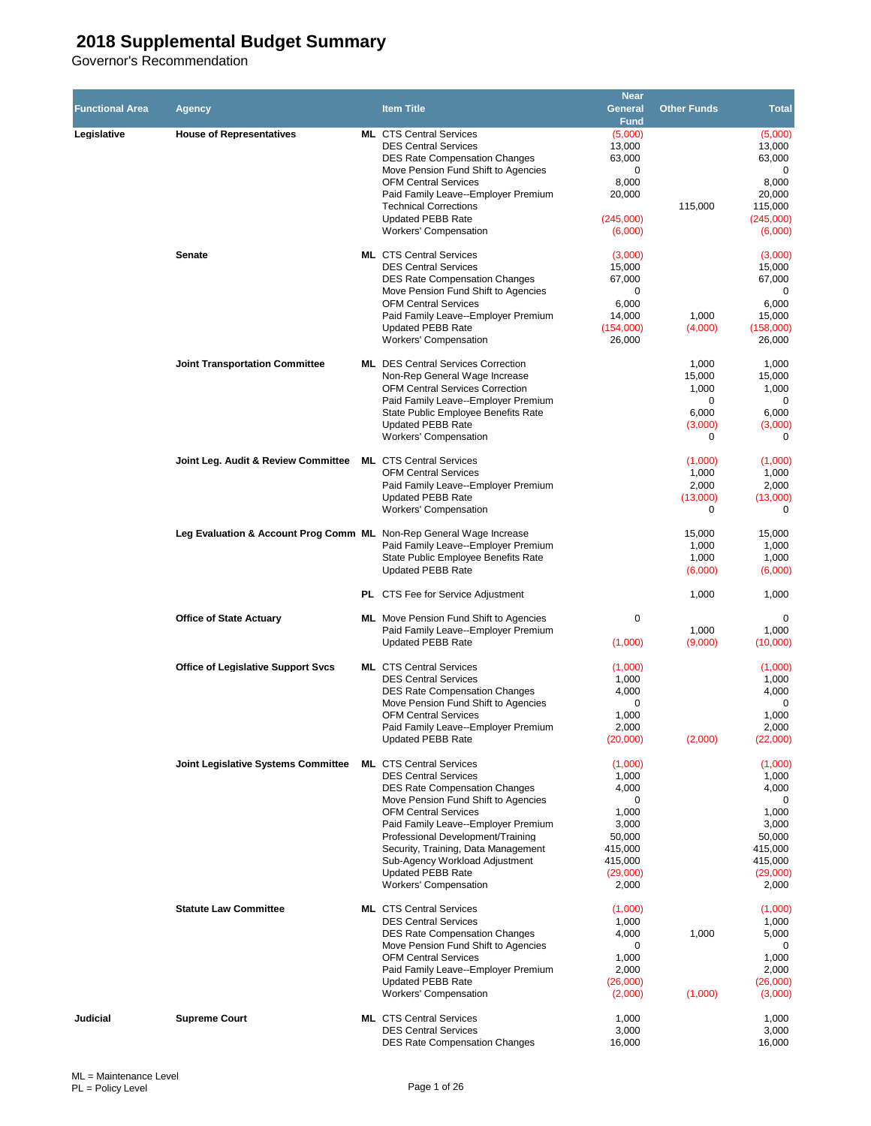|                        |                                                                     |                                                                                      | <b>Near</b>       |                    |                      |
|------------------------|---------------------------------------------------------------------|--------------------------------------------------------------------------------------|-------------------|--------------------|----------------------|
| <b>Functional Area</b> | Agency                                                              | <b>Item Title</b>                                                                    | <b>General</b>    | <b>Other Funds</b> | <b>Total</b>         |
|                        |                                                                     | <b>ML</b> CTS Central Services                                                       | <b>Fund</b>       |                    |                      |
| Legislative            | <b>House of Representatives</b>                                     | <b>DES Central Services</b>                                                          | (5,000)<br>13,000 |                    | (5,000)<br>13,000    |
|                        |                                                                     | <b>DES Rate Compensation Changes</b>                                                 | 63,000            |                    | 63,000               |
|                        |                                                                     | Move Pension Fund Shift to Agencies                                                  | 0                 |                    | 0                    |
|                        |                                                                     | <b>OFM Central Services</b>                                                          | 8,000             |                    | 8,000                |
|                        |                                                                     | Paid Family Leave--Employer Premium                                                  | 20,000            |                    | 20,000               |
|                        |                                                                     | <b>Technical Corrections</b><br><b>Updated PEBB Rate</b>                             | (245,000)         | 115,000            | 115,000<br>(245,000) |
|                        | <b>Workers' Compensation</b>                                        | (6,000)                                                                              |                   | (6,000)            |                      |
|                        |                                                                     |                                                                                      |                   |                    |                      |
|                        | <b>Senate</b>                                                       | <b>ML</b> CTS Central Services                                                       | (3,000)           |                    | (3,000)              |
|                        |                                                                     | <b>DES Central Services</b><br><b>DES Rate Compensation Changes</b>                  | 15,000<br>67,000  |                    | 15,000<br>67,000     |
|                        |                                                                     | Move Pension Fund Shift to Agencies                                                  | 0                 |                    | 0                    |
|                        |                                                                     | <b>OFM Central Services</b>                                                          | 6,000             |                    | 6,000                |
|                        |                                                                     | Paid Family Leave--Employer Premium                                                  | 14,000            | 1,000              | 15,000               |
|                        |                                                                     | <b>Updated PEBB Rate</b>                                                             | (154,000)         | (4,000)            | (158,000)            |
|                        |                                                                     | <b>Workers' Compensation</b>                                                         | 26,000            |                    | 26,000               |
|                        | <b>Joint Transportation Committee</b>                               | <b>ML</b> DES Central Services Correction                                            |                   | 1,000              | 1,000                |
|                        |                                                                     | Non-Rep General Wage Increase                                                        |                   | 15,000             | 15,000               |
|                        |                                                                     | <b>OFM Central Services Correction</b>                                               |                   | 1,000              | 1,000                |
|                        |                                                                     | Paid Family Leave--Employer Premium                                                  |                   | 0                  | 0                    |
|                        |                                                                     | State Public Employee Benefits Rate<br><b>Updated PEBB Rate</b>                      |                   | 6,000<br>(3,000)   | 6,000<br>(3,000)     |
|                        |                                                                     | <b>Workers' Compensation</b>                                                         |                   | $\Omega$           | 0                    |
|                        |                                                                     |                                                                                      |                   |                    |                      |
|                        | Joint Leg. Audit & Review Committee                                 | <b>ML</b> CTS Central Services                                                       |                   | (1,000)            | (1,000)              |
|                        |                                                                     | <b>OFM Central Services</b><br>Paid Family Leave--Employer Premium                   |                   | 1,000<br>2,000     | 1,000<br>2,000       |
|                        |                                                                     | <b>Updated PEBB Rate</b>                                                             |                   | (13,000)           | (13,000)             |
|                        |                                                                     | <b>Workers' Compensation</b>                                                         |                   | 0                  | $\mathbf 0$          |
|                        |                                                                     |                                                                                      |                   |                    |                      |
|                        | Leg Evaluation & Account Prog Comm ML Non-Rep General Wage Increase |                                                                                      |                   | 15,000             | 15,000               |
|                        | Paid Family Leave--Employer Premium                                 |                                                                                      | 1,000             | 1,000              |                      |
|                        | State Public Employee Benefits Rate<br><b>Updated PEBB Rate</b>     |                                                                                      | 1,000<br>(6,000)  | 1,000<br>(6,000)   |                      |
|                        |                                                                     |                                                                                      |                   |                    |                      |
|                        | <b>PL</b> CTS Fee for Service Adjustment                            |                                                                                      | 1,000             | 1,000              |                      |
|                        |                                                                     |                                                                                      |                   |                    |                      |
|                        | <b>Office of State Actuary</b>                                      | <b>ML</b> Move Pension Fund Shift to Agencies<br>Paid Family Leave--Employer Premium | 0                 | 1,000              | 0<br>1,000           |
|                        |                                                                     | <b>Updated PEBB Rate</b>                                                             | (1,000)           | (9,000)            | (10,000)             |
|                        |                                                                     |                                                                                      |                   |                    |                      |
|                        | <b>Office of Legislative Support Svcs</b>                           | <b>ML</b> CTS Central Services                                                       | (1,000)           |                    | (1,000)              |
|                        |                                                                     | <b>DES Central Services</b>                                                          | 1,000             |                    | 1,000                |
|                        |                                                                     | <b>DES Rate Compensation Changes</b><br>Move Pension Fund Shift to Agencies          | 4,000<br>0        |                    | 4,000<br>0           |
|                        |                                                                     | <b>OFM Central Services</b>                                                          | 1,000             |                    | 1,000                |
|                        |                                                                     | Paid Family Leave--Employer Premium                                                  | 2,000             |                    | 2,000                |
|                        |                                                                     | <b>Updated PEBB Rate</b>                                                             | (20,000)          | (2,000)            | (22,000)             |
|                        | <b>Joint Legislative Systems Committee</b>                          | <b>ML</b> CTS Central Services                                                       | (1,000)           |                    | (1.000)              |
|                        |                                                                     | <b>DES Central Services</b>                                                          | 1,000             |                    | 1,000                |
|                        |                                                                     | <b>DES Rate Compensation Changes</b>                                                 | 4,000             |                    | 4,000                |
|                        |                                                                     | Move Pension Fund Shift to Agencies                                                  | 0                 |                    | 0                    |
|                        |                                                                     | <b>OFM Central Services</b>                                                          | 1,000             |                    | 1,000                |
|                        |                                                                     | Paid Family Leave--Employer Premium<br>Professional Development/Training             | 3,000<br>50,000   |                    | 3,000<br>50,000      |
|                        |                                                                     | Security, Training, Data Management                                                  | 415,000           |                    | 415,000              |
|                        |                                                                     | Sub-Agency Workload Adjustment                                                       | 415,000           |                    | 415,000              |
|                        |                                                                     | <b>Updated PEBB Rate</b>                                                             | (29,000)          |                    | (29,000)             |
|                        |                                                                     | <b>Workers' Compensation</b>                                                         | 2,000             |                    | 2,000                |
|                        | <b>Statute Law Committee</b>                                        | <b>ML</b> CTS Central Services                                                       | (1,000)           |                    | (1,000)              |
|                        |                                                                     | <b>DES Central Services</b>                                                          | 1,000             |                    | 1,000                |
|                        |                                                                     | <b>DES Rate Compensation Changes</b>                                                 | 4,000             | 1,000              | 5,000                |
|                        |                                                                     | Move Pension Fund Shift to Agencies                                                  | 0                 |                    | 0                    |
|                        |                                                                     | <b>OFM Central Services</b><br>Paid Family Leave--Employer Premium                   | 1,000<br>2,000    |                    | 1,000<br>2,000       |
|                        |                                                                     | <b>Updated PEBB Rate</b>                                                             | (26,000)          |                    | (26,000)             |
|                        |                                                                     | <b>Workers' Compensation</b>                                                         | (2,000)           | (1,000)            | (3,000)              |
|                        |                                                                     |                                                                                      |                   |                    |                      |
| Judicial               | <b>Supreme Court</b>                                                | <b>ML</b> CTS Central Services                                                       | 1,000             |                    | 1,000                |
|                        |                                                                     | <b>DES Central Services</b><br><b>DES Rate Compensation Changes</b>                  | 3,000<br>16,000   |                    | 3,000<br>16,000      |
|                        |                                                                     |                                                                                      |                   |                    |                      |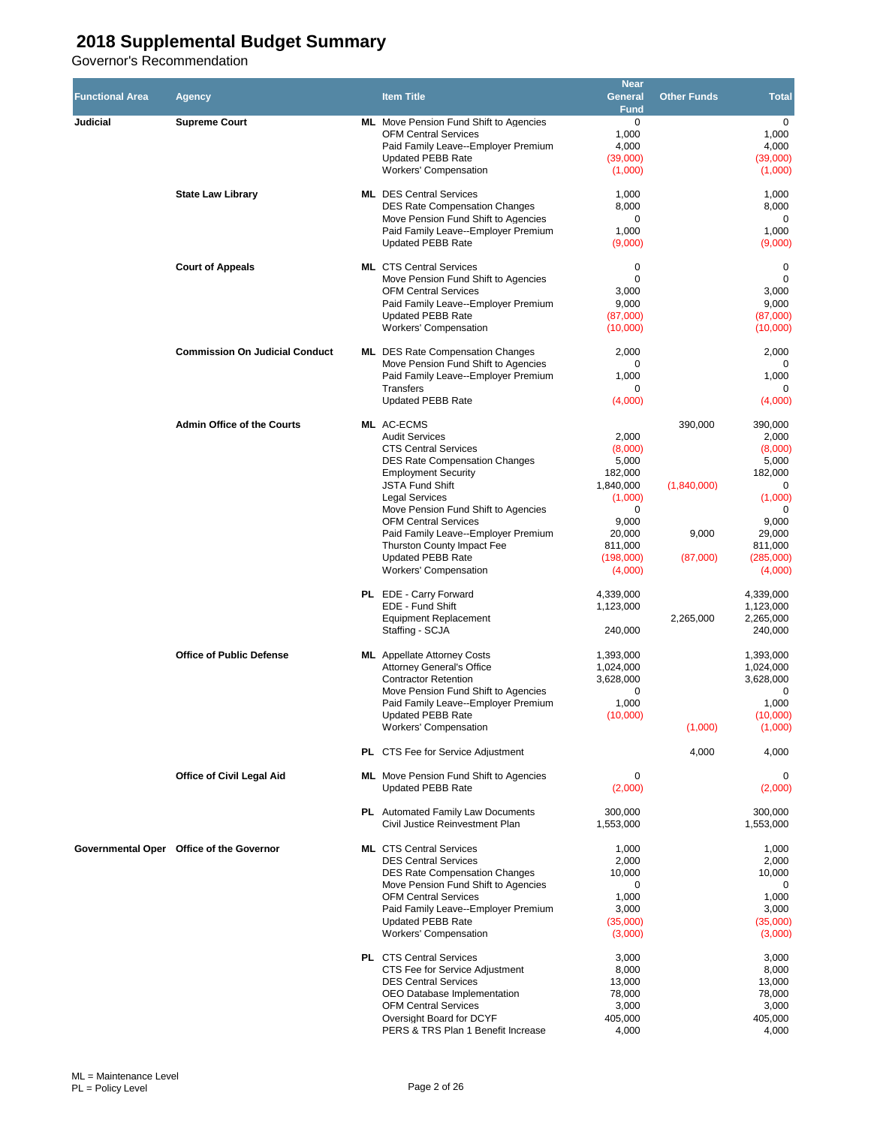| <b>Functional Area</b> | Agency                                   | <b>Item Title</b>                                                                                                                                                                                                                                                                                                                                                                                  | <b>Near</b><br><b>General</b><br><b>Fund</b>                                                                            | <b>Other Funds</b>                          | <b>Total</b>                                                                                                               |
|------------------------|------------------------------------------|----------------------------------------------------------------------------------------------------------------------------------------------------------------------------------------------------------------------------------------------------------------------------------------------------------------------------------------------------------------------------------------------------|-------------------------------------------------------------------------------------------------------------------------|---------------------------------------------|----------------------------------------------------------------------------------------------------------------------------|
| Judicial               | <b>Supreme Court</b>                     | <b>ML</b> Move Pension Fund Shift to Agencies<br><b>OFM Central Services</b><br>Paid Family Leave--Employer Premium<br><b>Updated PEBB Rate</b><br><b>Workers' Compensation</b>                                                                                                                                                                                                                    | $\mathbf 0$<br>1,000<br>4,000<br>(39,000)<br>(1,000)                                                                    |                                             | $\mathbf 0$<br>1,000<br>4,000<br>(39,000)<br>(1,000)                                                                       |
|                        | <b>State Law Library</b>                 | <b>ML</b> DES Central Services<br><b>DES Rate Compensation Changes</b><br>Move Pension Fund Shift to Agencies<br>Paid Family Leave--Employer Premium<br>Updated PEBB Rate                                                                                                                                                                                                                          | 1,000<br>8,000<br>0<br>1,000<br>(9,000)                                                                                 |                                             | 1,000<br>8,000<br>0<br>1,000<br>(9,000)                                                                                    |
|                        | <b>Court of Appeals</b>                  | <b>ML</b> CTS Central Services<br>Move Pension Fund Shift to Agencies<br><b>OFM Central Services</b><br>Paid Family Leave--Employer Premium<br><b>Updated PEBB Rate</b><br><b>Workers' Compensation</b>                                                                                                                                                                                            | $\mathbf 0$<br>$\mathbf 0$<br>3,000<br>9,000<br>(87,000)<br>(10,000)                                                    |                                             | $\mathbf 0$<br>$\mathbf 0$<br>3,000<br>9,000<br>(87,000)<br>(10,000)                                                       |
|                        | <b>Commission On Judicial Conduct</b>    | <b>ML</b> DES Rate Compensation Changes<br>Move Pension Fund Shift to Agencies<br>Paid Family Leave--Employer Premium<br><b>Transfers</b><br><b>Updated PEBB Rate</b>                                                                                                                                                                                                                              | 2,000<br>0<br>1,000<br>0<br>(4,000)                                                                                     |                                             | 2,000<br>0<br>1,000<br>$\Omega$<br>(4,000)                                                                                 |
|                        | <b>Admin Office of the Courts</b>        | ML AC-ECMS<br><b>Audit Services</b><br><b>CTS Central Services</b><br><b>DES Rate Compensation Changes</b><br><b>Employment Security</b><br><b>JSTA Fund Shift</b><br><b>Legal Services</b><br>Move Pension Fund Shift to Agencies<br><b>OFM Central Services</b><br>Paid Family Leave--Employer Premium<br>Thurston County Impact Fee<br><b>Updated PEBB Rate</b><br><b>Workers' Compensation</b> | 2,000<br>(8,000)<br>5,000<br>182,000<br>1,840,000<br>(1,000)<br>0<br>9,000<br>20,000<br>811,000<br>(198,000)<br>(4,000) | 390.000<br>(1,840,000)<br>9,000<br>(87,000) | 390,000<br>2,000<br>(8,000)<br>5,000<br>182,000<br>0<br>(1,000)<br>0<br>9,000<br>29,000<br>811,000<br>(285,000)<br>(4,000) |
|                        |                                          | PL EDE - Carry Forward<br>EDE - Fund Shift<br><b>Equipment Replacement</b><br>Staffing - SCJA                                                                                                                                                                                                                                                                                                      | 4,339,000<br>1,123,000<br>240,000                                                                                       | 2,265,000                                   | 4,339,000<br>1,123,000<br>2,265,000<br>240,000                                                                             |
|                        | <b>Office of Public Defense</b>          | <b>ML</b> Appellate Attorney Costs<br><b>Attornev General's Office</b><br><b>Contractor Retention</b><br>Move Pension Fund Shift to Agencies<br>Paid Family Leave--Employer Premium<br>Updated PEBB Rate<br><b>Workers' Compensation</b><br>PL CTS Fee for Service Adjustment                                                                                                                      | 1,393,000<br>1,024,000<br>3,628,000<br>0<br>1,000<br>(10,000)                                                           | (1,000)<br>4,000                            | 1,393,000<br>1,024,000<br>3,628,000<br>$\mathbf 0$<br>1,000<br>(10,000)<br>(1,000)<br>4,000                                |
|                        | <b>Office of Civil Legal Aid</b>         | <b>ML</b> Move Pension Fund Shift to Agencies<br><b>Updated PEBB Rate</b>                                                                                                                                                                                                                                                                                                                          | 0<br>(2,000)                                                                                                            |                                             | $\Omega$<br>(2,000)                                                                                                        |
|                        |                                          | PL Automated Family Law Documents<br>Civil Justice Reinvestment Plan                                                                                                                                                                                                                                                                                                                               | 300.000<br>1,553,000                                                                                                    |                                             | 300,000<br>1,553,000                                                                                                       |
|                        | Governmental Oper Office of the Governor | <b>ML</b> CTS Central Services<br><b>DES Central Services</b><br><b>DES Rate Compensation Changes</b><br>Move Pension Fund Shift to Agencies<br><b>OFM Central Services</b><br>Paid Family Leave--Employer Premium<br><b>Updated PEBB Rate</b><br><b>Workers' Compensation</b>                                                                                                                     | 1,000<br>2,000<br>10,000<br>0<br>1,000<br>3,000<br>(35,000)<br>(3,000)                                                  |                                             | 1,000<br>2,000<br>10,000<br>0<br>1,000<br>3,000<br>(35,000)<br>(3,000)                                                     |
|                        |                                          | PL CTS Central Services<br>CTS Fee for Service Adjustment<br><b>DES Central Services</b><br>OEO Database Implementation<br><b>OFM Central Services</b><br>Oversight Board for DCYF<br>PERS & TRS Plan 1 Benefit Increase                                                                                                                                                                           | 3,000<br>8,000<br>13,000<br>78,000<br>3,000<br>405,000<br>4,000                                                         |                                             | 3,000<br>8,000<br>13,000<br>78,000<br>3,000<br>405,000<br>4,000                                                            |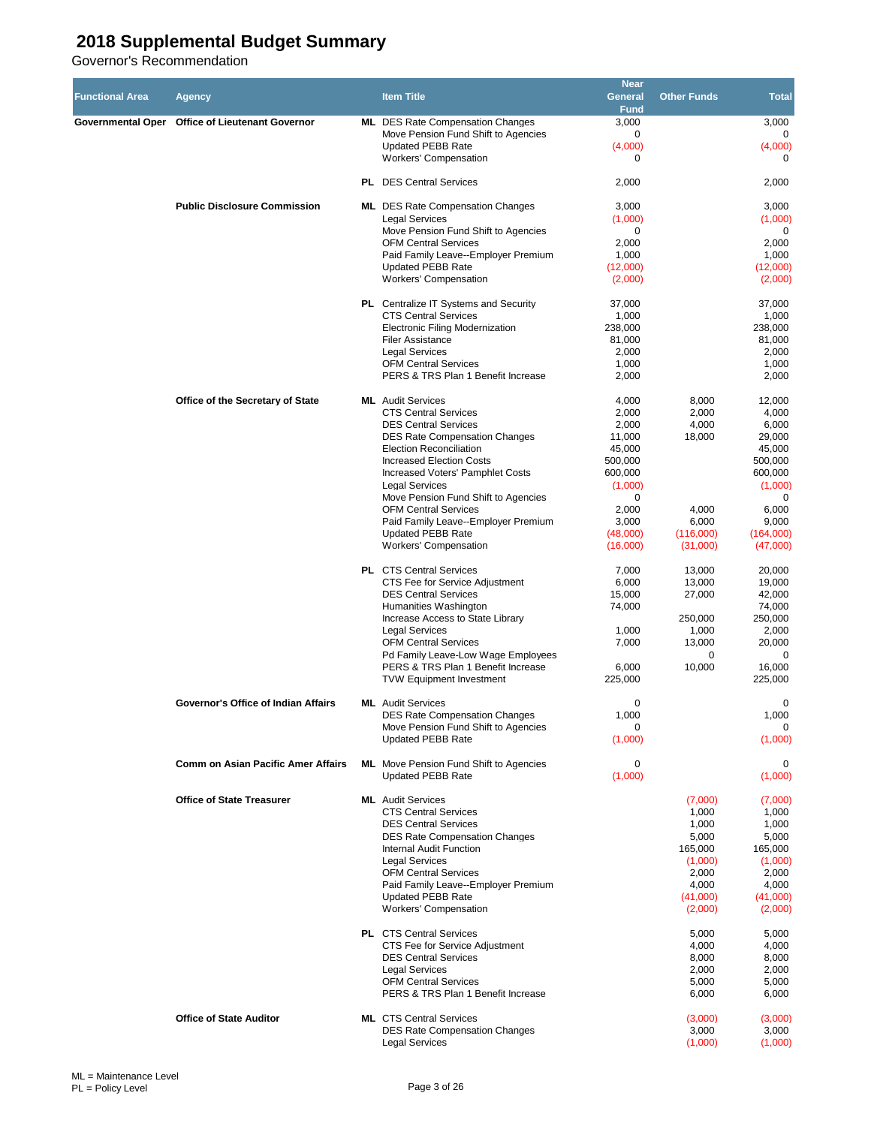|                        |                                                 |                                                                             | <b>Near</b>        |                    |                       |
|------------------------|-------------------------------------------------|-----------------------------------------------------------------------------|--------------------|--------------------|-----------------------|
| <b>Functional Area</b> | Agency                                          | <b>Item Title</b>                                                           | General            | <b>Other Funds</b> | <b>Total</b>          |
|                        |                                                 |                                                                             | <b>Fund</b>        |                    |                       |
|                        | Governmental Oper Office of Lieutenant Governor | <b>ML</b> DES Rate Compensation Changes                                     | 3,000<br>0         |                    | 3,000<br>$\mathbf 0$  |
|                        |                                                 | Move Pension Fund Shift to Agencies<br><b>Updated PEBB Rate</b>             | (4,000)            |                    | (4,000)               |
|                        |                                                 | <b>Workers' Compensation</b>                                                | 0                  |                    | $\mathbf 0$           |
|                        |                                                 |                                                                             |                    |                    |                       |
|                        |                                                 | <b>PL</b> DES Central Services                                              | 2,000              |                    | 2,000                 |
|                        |                                                 |                                                                             |                    |                    |                       |
|                        | <b>Public Disclosure Commission</b>             | <b>ML</b> DES Rate Compensation Changes                                     | 3,000              |                    | 3,000                 |
|                        |                                                 | <b>Legal Services</b><br>Move Pension Fund Shift to Agencies                | (1,000)<br>0       |                    | (1,000)<br>0          |
|                        |                                                 | <b>OFM Central Services</b>                                                 | 2,000              |                    | 2,000                 |
|                        |                                                 | Paid Family Leave--Employer Premium                                         | 1,000              |                    | 1,000                 |
|                        |                                                 | <b>Updated PEBB Rate</b>                                                    | (12,000)           |                    | (12,000)              |
|                        |                                                 | <b>Workers' Compensation</b>                                                | (2,000)            |                    | (2,000)               |
|                        |                                                 | <b>PL</b> Centralize IT Systems and Security                                | 37,000             |                    | 37,000                |
|                        |                                                 | <b>CTS Central Services</b>                                                 | 1,000              |                    | 1,000                 |
|                        |                                                 | <b>Electronic Filing Modernization</b>                                      | 238,000            |                    | 238,000               |
|                        |                                                 | Filer Assistance                                                            | 81,000             |                    | 81,000                |
|                        |                                                 | <b>Legal Services</b>                                                       | 2,000              |                    | 2,000                 |
|                        |                                                 | <b>OFM Central Services</b>                                                 | 1,000              |                    | 1,000                 |
|                        |                                                 | PERS & TRS Plan 1 Benefit Increase                                          | 2,000              |                    | 2,000                 |
|                        | Office of the Secretary of State                | <b>ML</b> Audit Services                                                    | 4,000              | 8,000              | 12,000                |
|                        |                                                 | <b>CTS Central Services</b>                                                 | 2,000              | 2,000              | 4,000                 |
|                        |                                                 | <b>DES Central Services</b>                                                 | 2,000              | 4,000              | 6,000                 |
|                        |                                                 | <b>DES Rate Compensation Changes</b>                                        | 11,000             | 18,000             | 29,000                |
|                        |                                                 | <b>Election Reconciliation</b>                                              | 45,000             |                    | 45,000                |
|                        |                                                 | <b>Increased Election Costs</b>                                             | 500,000            |                    | 500,000               |
|                        |                                                 | <b>Increased Voters' Pamphlet Costs</b><br><b>Legal Services</b>            | 600,000<br>(1,000) |                    | 600,000<br>(1,000)    |
|                        |                                                 | Move Pension Fund Shift to Agencies                                         | 0                  |                    | 0                     |
|                        |                                                 | <b>OFM Central Services</b>                                                 | 2,000              | 4,000              | 6,000                 |
|                        |                                                 | Paid Family Leave--Employer Premium                                         | 3,000              | 6,000              | 9,000                 |
|                        |                                                 | <b>Updated PEBB Rate</b>                                                    | (48,000)           | (116,000)          | (164,000)             |
|                        |                                                 | <b>Workers' Compensation</b>                                                | (16,000)           | (31,000)           | (47,000)              |
|                        |                                                 | <b>PL</b> CTS Central Services                                              | 7,000              | 13,000             | 20,000                |
|                        |                                                 | CTS Fee for Service Adjustment                                              | 6,000              | 13,000             | 19,000                |
|                        |                                                 | <b>DES Central Services</b>                                                 | 15,000             | 27,000             | 42,000                |
|                        |                                                 | Humanities Washington                                                       | 74,000             |                    | 74,000                |
|                        |                                                 | Increase Access to State Library                                            |                    | 250,000            | 250,000               |
|                        |                                                 | <b>Legal Services</b>                                                       | 1,000              | 1,000              | 2,000                 |
|                        |                                                 | <b>OFM Central Services</b><br>Pd Family Leave-Low Wage Employees           | 7,000              | 13,000<br>0        | 20,000<br>$\mathbf 0$ |
|                        |                                                 | PERS & TRS Plan 1 Benefit Increase                                          | 6,000              | 10,000             | 16,000                |
|                        |                                                 | <b>TVW Equipment Investment</b>                                             | 225,000            |                    | 225,000               |
|                        |                                                 |                                                                             |                    |                    |                       |
|                        | Governor's Office of Indian Affairs             | <b>ML</b> Audit Services                                                    | 0                  |                    | 0                     |
|                        |                                                 | <b>DES Rate Compensation Changes</b><br>Move Pension Fund Shift to Agencies | 1,000<br>0         |                    | 1,000<br>0            |
|                        |                                                 | <b>Updated PEBB Rate</b>                                                    | (1,000)            |                    | (1,000)               |
|                        |                                                 |                                                                             |                    |                    |                       |
|                        | <b>Comm on Asian Pacific Amer Affairs</b>       | <b>ML</b> Move Pension Fund Shift to Agencies                               | 0                  |                    | 0                     |
|                        |                                                 | <b>Updated PEBB Rate</b>                                                    | (1,000)            |                    | (1,000)               |
|                        | <b>Office of State Treasurer</b>                | <b>ML</b> Audit Services                                                    |                    | (7,000)            | (7,000)               |
|                        |                                                 | <b>CTS Central Services</b>                                                 |                    | 1,000              | 1,000                 |
|                        |                                                 | <b>DES Central Services</b>                                                 |                    | 1,000              | 1,000                 |
|                        |                                                 | <b>DES Rate Compensation Changes</b>                                        |                    | 5,000              | 5,000                 |
|                        |                                                 | Internal Audit Function<br><b>Legal Services</b>                            |                    | 165,000<br>(1,000) | 165,000<br>(1,000)    |
|                        |                                                 | <b>OFM Central Services</b>                                                 |                    | 2,000              | 2,000                 |
|                        |                                                 | Paid Family Leave--Employer Premium                                         |                    | 4,000              | 4,000                 |
|                        |                                                 | <b>Updated PEBB Rate</b>                                                    |                    | (41,000)           | (41,000)              |
|                        |                                                 | <b>Workers' Compensation</b>                                                |                    | (2,000)            | (2,000)               |
|                        |                                                 | <b>PL</b> CTS Central Services                                              |                    | 5,000              | 5,000                 |
|                        |                                                 | CTS Fee for Service Adjustment                                              |                    | 4,000              | 4,000                 |
|                        |                                                 | <b>DES Central Services</b>                                                 |                    | 8,000              | 8,000                 |
|                        |                                                 | <b>Legal Services</b>                                                       |                    | 2,000              | 2,000                 |
|                        |                                                 | <b>OFM Central Services</b>                                                 |                    | 5,000              | 5,000                 |
|                        |                                                 | PERS & TRS Plan 1 Benefit Increase                                          |                    | 6,000              | 6,000                 |
|                        | <b>Office of State Auditor</b>                  | <b>ML</b> CTS Central Services                                              |                    | (3,000)            | (3,000)               |
|                        |                                                 | <b>DES Rate Compensation Changes</b>                                        |                    | 3,000              | 3,000                 |
|                        |                                                 | Legal Services                                                              |                    | (1,000)            | (1,000)               |
|                        |                                                 |                                                                             |                    |                    |                       |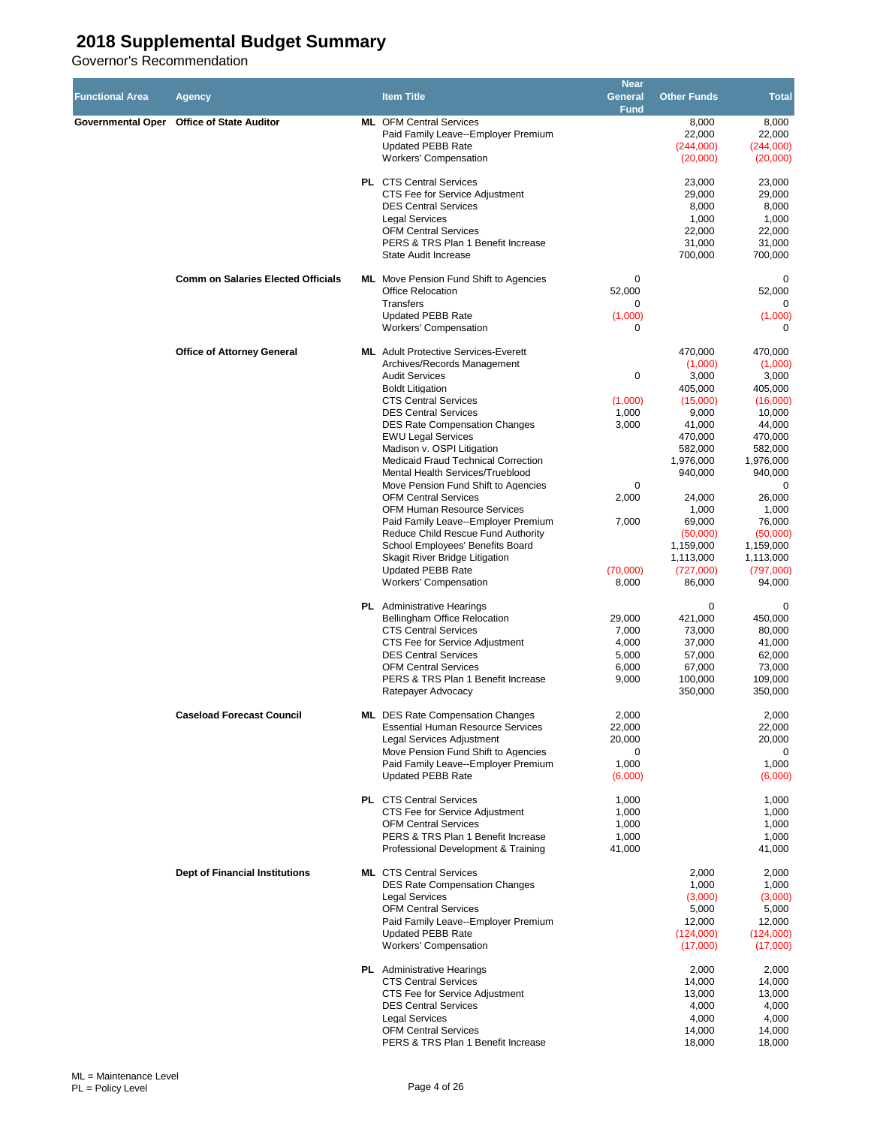| <b>Functional Area</b> | Agency                                    | <b>Item Title</b>                                                                                                                                                                                                                                                                                                                                                                                                                                                                                                                                                                                                                                                                       | <b>Near</b><br>General<br><b>Fund</b>                                      | <b>Other Funds</b>                                                                                                                                                                                            | <b>Total</b>                                                                                                                                                                                                        |
|------------------------|-------------------------------------------|-----------------------------------------------------------------------------------------------------------------------------------------------------------------------------------------------------------------------------------------------------------------------------------------------------------------------------------------------------------------------------------------------------------------------------------------------------------------------------------------------------------------------------------------------------------------------------------------------------------------------------------------------------------------------------------------|----------------------------------------------------------------------------|---------------------------------------------------------------------------------------------------------------------------------------------------------------------------------------------------------------|---------------------------------------------------------------------------------------------------------------------------------------------------------------------------------------------------------------------|
|                        | Governmental Oper Office of State Auditor | <b>ML</b> OFM Central Services<br>Paid Family Leave--Employer Premium<br><b>Updated PEBB Rate</b><br>Workers' Compensation                                                                                                                                                                                                                                                                                                                                                                                                                                                                                                                                                              |                                                                            | 8,000<br>22,000<br>(244,000)<br>(20,000)                                                                                                                                                                      | 8,000<br>22,000<br>(244,000)<br>(20,000)                                                                                                                                                                            |
|                        |                                           | <b>PL</b> CTS Central Services<br>CTS Fee for Service Adjustment<br><b>DES Central Services</b><br><b>Legal Services</b><br><b>OFM Central Services</b><br>PERS & TRS Plan 1 Benefit Increase<br>State Audit Increase                                                                                                                                                                                                                                                                                                                                                                                                                                                                   |                                                                            | 23,000<br>29,000<br>8,000<br>1,000<br>22,000<br>31,000<br>700,000                                                                                                                                             | 23,000<br>29,000<br>8,000<br>1,000<br>22,000<br>31,000<br>700,000                                                                                                                                                   |
|                        | <b>Comm on Salaries Elected Officials</b> | <b>ML</b> Move Pension Fund Shift to Agencies<br><b>Office Relocation</b><br><b>Transfers</b><br><b>Updated PEBB Rate</b><br><b>Workers' Compensation</b>                                                                                                                                                                                                                                                                                                                                                                                                                                                                                                                               | 0<br>52,000<br>0<br>(1,000)<br>0                                           |                                                                                                                                                                                                               | 0<br>52,000<br>0<br>(1,000)<br>0                                                                                                                                                                                    |
|                        | <b>Office of Attorney General</b>         | <b>ML</b> Adult Protective Services-Everett<br>Archives/Records Management<br><b>Audit Services</b><br><b>Boldt Litigation</b><br><b>CTS Central Services</b><br><b>DES Central Services</b><br><b>DES Rate Compensation Changes</b><br><b>EWU Legal Services</b><br>Madison v. OSPI Litigation<br>Medicaid Fraud Technical Correction<br>Mental Health Services/Trueblood<br>Move Pension Fund Shift to Agencies<br><b>OFM Central Services</b><br>OFM Human Resource Services<br>Paid Family Leave--Employer Premium<br>Reduce Child Rescue Fund Authority<br>School Employees' Benefits Board<br>Skagit River Bridge Litigation<br><b>Updated PEBB Rate</b><br>Workers' Compensation | 0<br>(1,000)<br>1,000<br>3,000<br>0<br>2,000<br>7,000<br>(70,000)<br>8,000 | 470,000<br>(1,000)<br>3,000<br>405,000<br>(15,000)<br>9,000<br>41,000<br>470,000<br>582,000<br>1,976,000<br>940,000<br>24,000<br>1,000<br>69,000<br>(50,000)<br>1,159,000<br>1,113,000<br>(727,000)<br>86,000 | 470,000<br>(1,000)<br>3,000<br>405,000<br>(16,000)<br>10,000<br>44,000<br>470,000<br>582,000<br>1,976,000<br>940,000<br>0<br>26,000<br>1,000<br>76,000<br>(50,000)<br>1,159,000<br>1,113,000<br>(797,000)<br>94,000 |
|                        |                                           | <b>PL</b> Administrative Hearings<br>Bellingham Office Relocation<br><b>CTS Central Services</b><br>CTS Fee for Service Adjustment<br><b>DES Central Services</b><br><b>OFM Central Services</b><br>PERS & TRS Plan 1 Benefit Increase<br>Ratepayer Advocacy                                                                                                                                                                                                                                                                                                                                                                                                                            | 29,000<br>7,000<br>4,000<br>5,000<br>6,000<br>9,000                        | 0<br>421,000<br>73,000<br>37,000<br>57,000<br>67,000<br>100,000<br>350,000                                                                                                                                    | 0<br>450,000<br>80,000<br>41,000<br>62,000<br>73,000<br>109,000<br>350,000                                                                                                                                          |
|                        | <b>Caseload Forecast Council</b>          | <b>ML</b> DES Rate Compensation Changes<br><b>Essential Human Resource Services</b><br>Legal Services Adjustment<br>Move Pension Fund Shift to Agencies<br>Paid Family Leave--Employer Premium<br><b>Updated PEBB Rate</b>                                                                                                                                                                                                                                                                                                                                                                                                                                                              | 2,000<br>22,000<br>20,000<br>0<br>1,000<br>(6,000)                         |                                                                                                                                                                                                               | 2,000<br>22,000<br>20,000<br>0<br>1,000<br>(6,000)                                                                                                                                                                  |
|                        |                                           | <b>PL</b> CTS Central Services<br>CTS Fee for Service Adjustment<br><b>OFM Central Services</b><br>PERS & TRS Plan 1 Benefit Increase<br>Professional Development & Training                                                                                                                                                                                                                                                                                                                                                                                                                                                                                                            | 1,000<br>1,000<br>1,000<br>1,000<br>41,000                                 |                                                                                                                                                                                                               | 1,000<br>1,000<br>1,000<br>1,000<br>41,000                                                                                                                                                                          |
|                        | <b>Dept of Financial Institutions</b>     | <b>ML</b> CTS Central Services<br><b>DES Rate Compensation Changes</b><br><b>Legal Services</b><br><b>OFM Central Services</b><br>Paid Family Leave--Employer Premium<br><b>Updated PEBB Rate</b><br><b>Workers' Compensation</b>                                                                                                                                                                                                                                                                                                                                                                                                                                                       |                                                                            | 2,000<br>1,000<br>(3,000)<br>5,000<br>12,000<br>(124,000)<br>(17,000)                                                                                                                                         | 2,000<br>1,000<br>(3,000)<br>5,000<br>12,000<br>(124,000)<br>(17,000)                                                                                                                                               |
|                        |                                           | <b>PL</b> Administrative Hearings<br><b>CTS Central Services</b><br>CTS Fee for Service Adjustment<br><b>DES Central Services</b><br><b>Legal Services</b><br><b>OFM Central Services</b><br>PERS & TRS Plan 1 Benefit Increase                                                                                                                                                                                                                                                                                                                                                                                                                                                         |                                                                            | 2,000<br>14,000<br>13,000<br>4,000<br>4,000<br>14,000<br>18,000                                                                                                                                               | 2,000<br>14,000<br>13,000<br>4,000<br>4,000<br>14,000<br>18,000                                                                                                                                                     |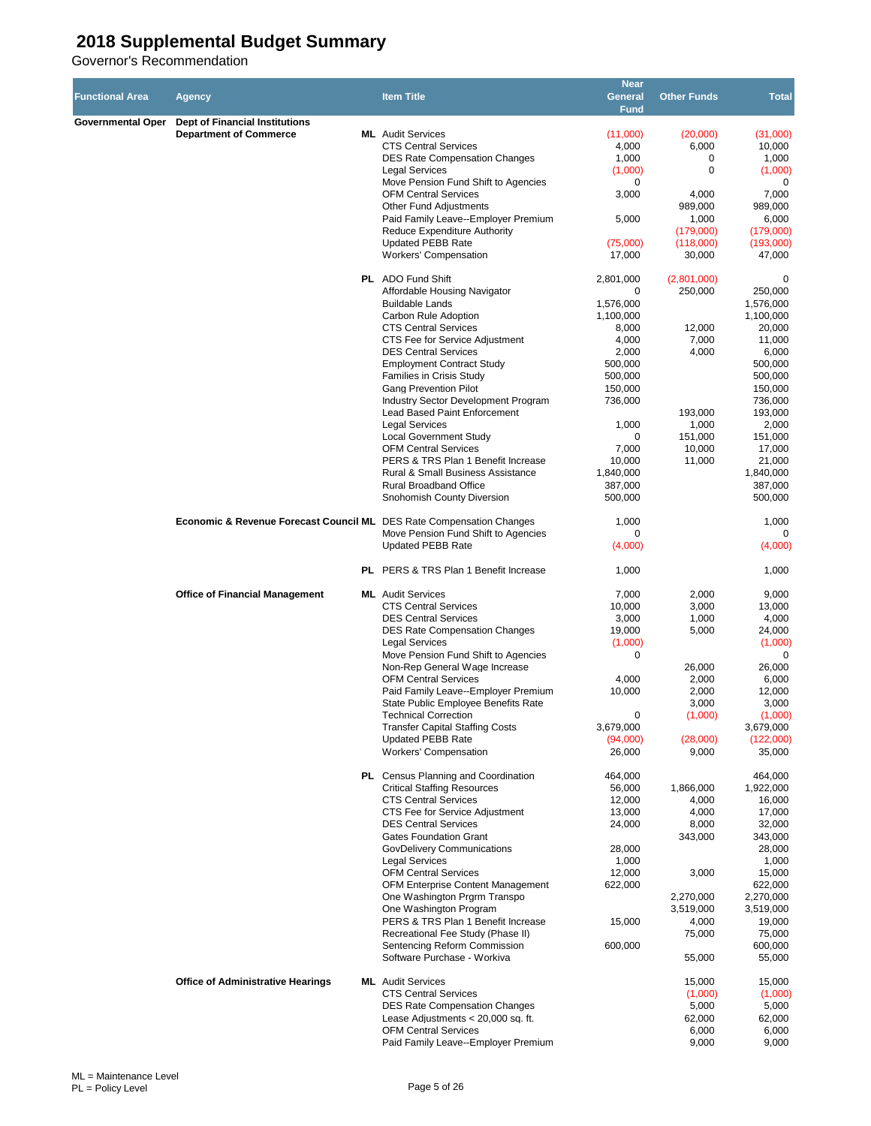|                        |                                                                                 |                                                                     | <b>Near</b>       |                     |                        |
|------------------------|---------------------------------------------------------------------------------|---------------------------------------------------------------------|-------------------|---------------------|------------------------|
| <b>Functional Area</b> | Agency                                                                          | <b>Item Title</b>                                                   | General           | <b>Other Funds</b>  | <b>Total</b>           |
|                        |                                                                                 |                                                                     | <b>Fund</b>       |                     |                        |
| Governmental Oper      | Dept of Financial Institutions                                                  |                                                                     |                   |                     |                        |
|                        | <b>Department of Commerce</b>                                                   | <b>ML</b> Audit Services                                            | (11,000)          | (20,000)            | (31,000)               |
|                        |                                                                                 | <b>CTS Central Services</b>                                         | 4,000             | 6,000               | 10,000                 |
|                        |                                                                                 | <b>DES Rate Compensation Changes</b>                                | 1,000             | 0                   | 1,000                  |
|                        |                                                                                 | <b>Legal Services</b>                                               | (1,000)           | 0                   | (1,000)                |
|                        |                                                                                 | Move Pension Fund Shift to Agencies                                 | 0                 |                     | 0                      |
|                        |                                                                                 | <b>OFM Central Services</b>                                         | 3,000             | 4,000               | 7,000                  |
|                        |                                                                                 | Other Fund Adjustments                                              |                   | 989,000             | 989,000                |
|                        |                                                                                 | Paid Family Leave--Employer Premium<br>Reduce Expenditure Authority | 5,000             | 1,000               | 6,000                  |
|                        |                                                                                 | <b>Updated PEBB Rate</b>                                            | (75,000)          | (179,000)           | (179,000)<br>(193,000) |
|                        |                                                                                 | <b>Workers' Compensation</b>                                        | 17,000            | (118,000)<br>30,000 | 47,000                 |
|                        |                                                                                 |                                                                     |                   |                     |                        |
|                        |                                                                                 | <b>PL</b> ADO Fund Shift                                            | 2,801,000         | (2,801,000)         | 0                      |
|                        |                                                                                 | Affordable Housing Navigator                                        | 0                 | 250,000             | 250,000                |
|                        |                                                                                 | <b>Buildable Lands</b>                                              | 1,576,000         |                     | 1,576,000              |
|                        |                                                                                 | Carbon Rule Adoption                                                | 1,100,000         |                     | 1,100,000              |
|                        |                                                                                 | <b>CTS Central Services</b>                                         | 8,000             | 12,000              | 20,000                 |
|                        |                                                                                 | CTS Fee for Service Adjustment                                      | 4,000             | 7,000               | 11,000                 |
|                        |                                                                                 | <b>DES Central Services</b>                                         | 2,000             | 4,000               | 6,000                  |
|                        |                                                                                 | <b>Employment Contract Study</b>                                    | 500,000           |                     | 500,000                |
|                        |                                                                                 | Families in Crisis Study                                            | 500.000           |                     | 500,000                |
|                        |                                                                                 | <b>Gang Prevention Pilot</b>                                        | 150,000           |                     | 150,000                |
|                        |                                                                                 | <b>Industry Sector Development Program</b>                          | 736,000           |                     | 736,000                |
|                        |                                                                                 | <b>Lead Based Paint Enforcement</b>                                 |                   | 193,000             | 193,000                |
|                        |                                                                                 | <b>Legal Services</b>                                               | 1,000             | 1,000               | 2,000                  |
|                        |                                                                                 | <b>Local Government Study</b>                                       | 0                 | 151,000             | 151,000                |
|                        |                                                                                 | <b>OFM Central Services</b>                                         | 7,000             | 10,000              | 17,000                 |
|                        |                                                                                 | PERS & TRS Plan 1 Benefit Increase                                  | 10,000            | 11,000              | 21,000                 |
|                        |                                                                                 | <b>Rural &amp; Small Business Assistance</b>                        | 1,840,000         |                     | 1,840,000              |
|                        |                                                                                 | Rural Broadband Office                                              | 387,000           |                     | 387,000                |
|                        |                                                                                 | Snohomish County Diversion                                          | 500,000           |                     | 500,000                |
|                        |                                                                                 |                                                                     |                   |                     |                        |
|                        | <b>Economic &amp; Revenue Forecast Council ML</b> DES Rate Compensation Changes |                                                                     | 1,000             |                     | 1,000                  |
|                        |                                                                                 | Move Pension Fund Shift to Agencies                                 | 0                 |                     | 0                      |
|                        |                                                                                 | <b>Updated PEBB Rate</b>                                            | (4,000)           |                     | (4,000)                |
|                        |                                                                                 | PL PERS & TRS Plan 1 Benefit Increase                               | 1,000             |                     | 1,000                  |
|                        |                                                                                 |                                                                     |                   |                     |                        |
|                        | <b>Office of Financial Management</b>                                           | <b>ML</b> Audit Services                                            | 7,000             | 2,000               | 9,000                  |
|                        |                                                                                 | <b>CTS Central Services</b>                                         | 10,000            | 3,000               | 13,000                 |
|                        |                                                                                 | <b>DES Central Services</b>                                         | 3,000             | 1,000               | 4,000                  |
|                        |                                                                                 | <b>DES Rate Compensation Changes</b>                                | 19,000            | 5,000               | 24,000                 |
|                        |                                                                                 | <b>Legal Services</b>                                               | (1,000)           |                     | (1,000)                |
|                        |                                                                                 | Move Pension Fund Shift to Agencies                                 | 0                 |                     | $\mathbf 0$            |
|                        |                                                                                 | Non-Rep General Wage Increase                                       |                   | 26,000              | 26,000                 |
|                        |                                                                                 | <b>OFM Central Services</b>                                         | 4,000             | 2,000               | 6,000                  |
|                        |                                                                                 | Paid Family Leave--Employer Premium                                 | 10,000            | 2,000               | 12,000                 |
|                        |                                                                                 | State Public Employee Benefits Rate                                 |                   | 3,000               | 3,000                  |
|                        |                                                                                 | <b>Technical Correction</b>                                         | 0                 | (1,000)             | (1,000)                |
|                        |                                                                                 | <b>Transfer Capital Staffing Costs</b>                              | 3,679,000         |                     | 3,679,000              |
|                        |                                                                                 | <b>Updated PEBB Rate</b>                                            | (94,000)          | (28,000)            | (122,000)              |
|                        |                                                                                 | <b>Workers' Compensation</b>                                        | 26,000            | 9,000               | 35,000                 |
|                        |                                                                                 |                                                                     |                   |                     |                        |
|                        |                                                                                 | <b>PL</b> Census Planning and Coordination                          | 464,000           |                     | 464,000                |
|                        |                                                                                 | <b>Critical Staffing Resources</b>                                  | 56,000            | 1,866,000           | 1,922,000              |
|                        |                                                                                 | <b>CTS Central Services</b>                                         | 12,000            | 4,000               | 16,000                 |
|                        |                                                                                 | CTS Fee for Service Adjustment                                      | 13,000            | 4,000               | 17,000                 |
|                        |                                                                                 | <b>DES Central Services</b>                                         | 24,000            | 8,000               | 32,000                 |
|                        |                                                                                 | <b>Gates Foundation Grant</b>                                       |                   | 343,000             | 343,000                |
|                        |                                                                                 | GovDelivery Communications                                          | 28,000            |                     | 28,000                 |
|                        |                                                                                 | <b>Legal Services</b><br><b>OFM Central Services</b>                | 1,000             |                     | 1,000                  |
|                        |                                                                                 | OFM Enterprise Content Management                                   | 12,000<br>622,000 | 3,000               | 15,000<br>622,000      |
|                        |                                                                                 | One Washington Prgrm Transpo                                        |                   | 2,270,000           | 2,270,000              |
|                        |                                                                                 | One Washington Program                                              |                   | 3,519,000           | 3,519,000              |
|                        |                                                                                 | PERS & TRS Plan 1 Benefit Increase                                  | 15,000            | 4,000               | 19,000                 |
|                        |                                                                                 | Recreational Fee Study (Phase II)                                   |                   | 75,000              | 75,000                 |
|                        |                                                                                 | Sentencing Reform Commission                                        | 600,000           |                     | 600,000                |
|                        |                                                                                 | Software Purchase - Workiva                                         |                   | 55,000              | 55,000                 |
|                        |                                                                                 |                                                                     |                   |                     |                        |
|                        | <b>Office of Administrative Hearings</b>                                        | <b>ML</b> Audit Services                                            |                   | 15,000              | 15,000                 |
|                        |                                                                                 | <b>CTS Central Services</b>                                         |                   | (1,000)             | (1,000)                |
|                        |                                                                                 | <b>DES Rate Compensation Changes</b>                                |                   | 5,000               | 5,000                  |
|                        |                                                                                 | Lease Adjustments $<$ 20,000 sq. ft.                                |                   | 62,000              | 62,000                 |
|                        |                                                                                 | <b>OFM Central Services</b>                                         |                   | 6,000               | 6,000                  |
|                        |                                                                                 | Paid Family Leave--Employer Premium                                 |                   | 9,000               | 9,000                  |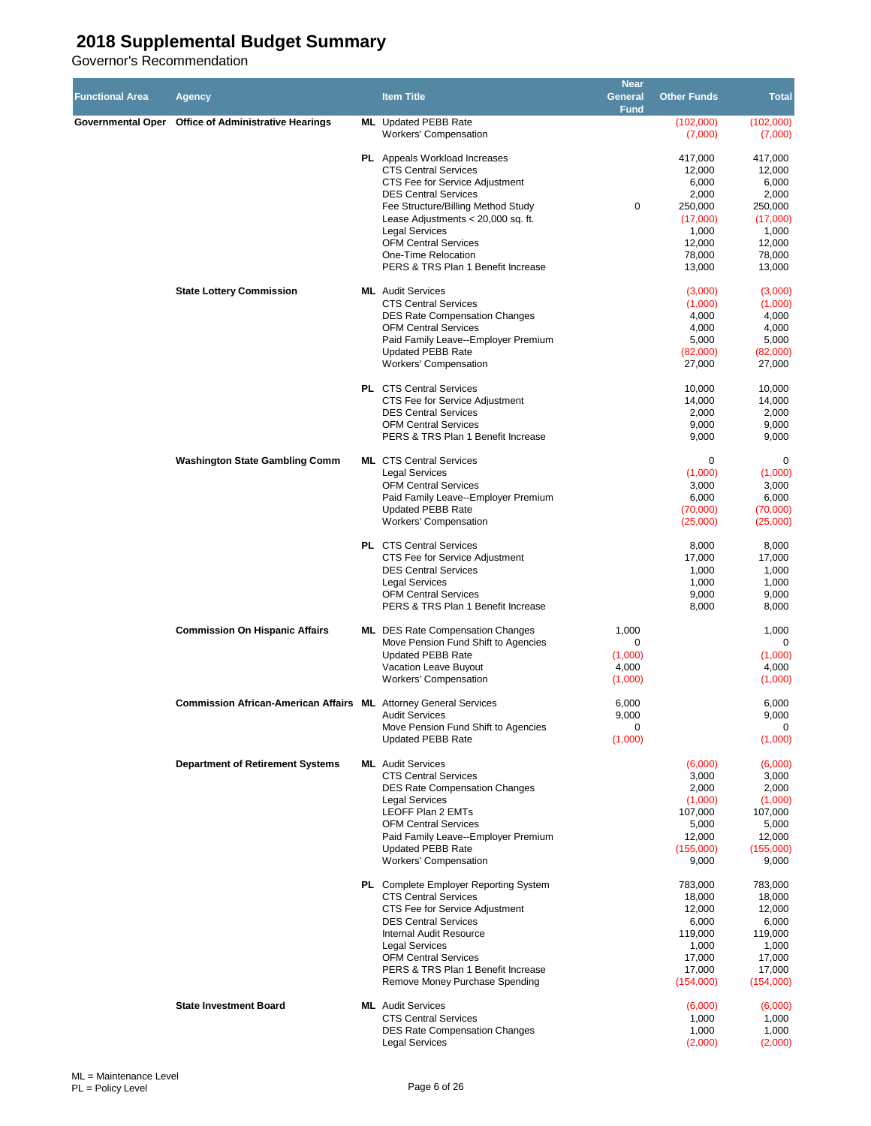| <b>Functional Area</b> | <b>Agency</b>                                                           | <b>Item Title</b>                                                                                                                                                                                                                                                                                                                     | <b>Near</b><br><b>General</b><br><b>Fund</b> | <b>Other Funds</b>                                                                                | <b>Total</b>                                                                                      |
|------------------------|-------------------------------------------------------------------------|---------------------------------------------------------------------------------------------------------------------------------------------------------------------------------------------------------------------------------------------------------------------------------------------------------------------------------------|----------------------------------------------|---------------------------------------------------------------------------------------------------|---------------------------------------------------------------------------------------------------|
|                        | Governmental Oper Office of Administrative Hearings                     | <b>ML</b> Updated PEBB Rate<br><b>Workers' Compensation</b>                                                                                                                                                                                                                                                                           |                                              | (102,000)<br>(7,000)                                                                              | (102,000)<br>(7,000)                                                                              |
|                        |                                                                         | <b>PL</b> Appeals Workload Increases<br><b>CTS Central Services</b><br>CTS Fee for Service Adjustment<br><b>DES Central Services</b><br>Fee Structure/Billing Method Study<br>Lease Adjustments < 20,000 sq. ft.<br><b>Legal Services</b><br><b>OFM Central Services</b><br>One-Time Relocation<br>PERS & TRS Plan 1 Benefit Increase | $\mathbf 0$                                  | 417,000<br>12,000<br>6,000<br>2,000<br>250,000<br>(17,000)<br>1,000<br>12,000<br>78,000<br>13,000 | 417,000<br>12,000<br>6,000<br>2,000<br>250,000<br>(17,000)<br>1,000<br>12,000<br>78,000<br>13,000 |
|                        | <b>State Lottery Commission</b>                                         | <b>ML</b> Audit Services<br><b>CTS Central Services</b><br><b>DES Rate Compensation Changes</b><br><b>OFM Central Services</b><br>Paid Family Leave--Employer Premium<br><b>Updated PEBB Rate</b><br><b>Workers' Compensation</b>                                                                                                     |                                              | (3,000)<br>(1,000)<br>4,000<br>4,000<br>5,000<br>(82,000)<br>27,000                               | (3,000)<br>(1,000)<br>4,000<br>4,000<br>5,000<br>(82,000)<br>27,000                               |
|                        |                                                                         | <b>PL</b> CTS Central Services<br>CTS Fee for Service Adjustment<br><b>DES Central Services</b><br><b>OFM Central Services</b><br>PERS & TRS Plan 1 Benefit Increase                                                                                                                                                                  |                                              | 10,000<br>14,000<br>2,000<br>9,000<br>9,000                                                       | 10,000<br>14,000<br>2,000<br>9,000<br>9,000                                                       |
|                        | <b>Washington State Gambling Comm</b>                                   | <b>ML</b> CTS Central Services<br><b>Legal Services</b><br><b>OFM Central Services</b><br>Paid Family Leave--Employer Premium<br><b>Updated PEBB Rate</b><br><b>Workers' Compensation</b>                                                                                                                                             |                                              | 0<br>(1,000)<br>3,000<br>6,000<br>(70,000)<br>(25,000)                                            | 0<br>(1,000)<br>3,000<br>6,000<br>(70,000)<br>(25,000)                                            |
|                        |                                                                         | <b>PL</b> CTS Central Services<br>CTS Fee for Service Adjustment<br><b>DES Central Services</b><br><b>Legal Services</b><br><b>OFM Central Services</b><br>PERS & TRS Plan 1 Benefit Increase                                                                                                                                         |                                              | 8,000<br>17,000<br>1,000<br>1,000<br>9,000<br>8,000                                               | 8,000<br>17,000<br>1,000<br>1,000<br>9,000<br>8,000                                               |
|                        | <b>Commission On Hispanic Affairs</b>                                   | <b>ML</b> DES Rate Compensation Changes<br>Move Pension Fund Shift to Agencies<br><b>Updated PEBB Rate</b><br>Vacation Leave Buyout<br><b>Workers' Compensation</b>                                                                                                                                                                   | 1,000<br>0<br>(1,000)<br>4,000<br>(1,000)    |                                                                                                   | 1,000<br>$\Omega$<br>(1,000)<br>4,000<br>(1,000)                                                  |
|                        | <b>Commission African-American Affairs ML Attorney General Services</b> | <b>Audit Services</b><br>Move Pension Fund Shift to Agencies<br><b>Updated PEBB Rate</b>                                                                                                                                                                                                                                              | 6,000<br>9,000<br>0<br>(1,000)               |                                                                                                   | 6,000<br>9,000<br>0<br>(1,000)                                                                    |
|                        | <b>Department of Retirement Systems</b>                                 | <b>ML</b> Audit Services<br><b>CTS Central Services</b><br><b>DES Rate Compensation Changes</b><br><b>Legal Services</b><br>LEOFF Plan 2 EMTs<br><b>OFM Central Services</b><br>Paid Family Leave--Employer Premium<br><b>Updated PEBB Rate</b><br>Workers' Compensation                                                              |                                              | (6,000)<br>3,000<br>2,000<br>(1,000)<br>107,000<br>5,000<br>12,000<br>(155,000)<br>9,000          | (6,000)<br>3,000<br>2,000<br>(1,000)<br>107,000<br>5,000<br>12,000<br>(155,000)<br>9,000          |
|                        |                                                                         | <b>PL</b> Complete Employer Reporting System<br><b>CTS Central Services</b><br>CTS Fee for Service Adjustment<br><b>DES Central Services</b><br><b>Internal Audit Resource</b><br><b>Legal Services</b><br><b>OFM Central Services</b><br>PERS & TRS Plan 1 Benefit Increase<br>Remove Money Purchase Spending                        |                                              | 783,000<br>18,000<br>12,000<br>6,000<br>119,000<br>1,000<br>17,000<br>17,000<br>(154,000)         | 783,000<br>18,000<br>12,000<br>6,000<br>119,000<br>1,000<br>17,000<br>17,000<br>(154,000)         |
|                        | <b>State Investment Board</b>                                           | <b>ML</b> Audit Services<br><b>CTS Central Services</b><br><b>DES Rate Compensation Changes</b><br><b>Legal Services</b>                                                                                                                                                                                                              |                                              | (6,000)<br>1,000<br>1,000<br>(2,000)                                                              | (6,000)<br>1,000<br>1,000<br>(2,000)                                                              |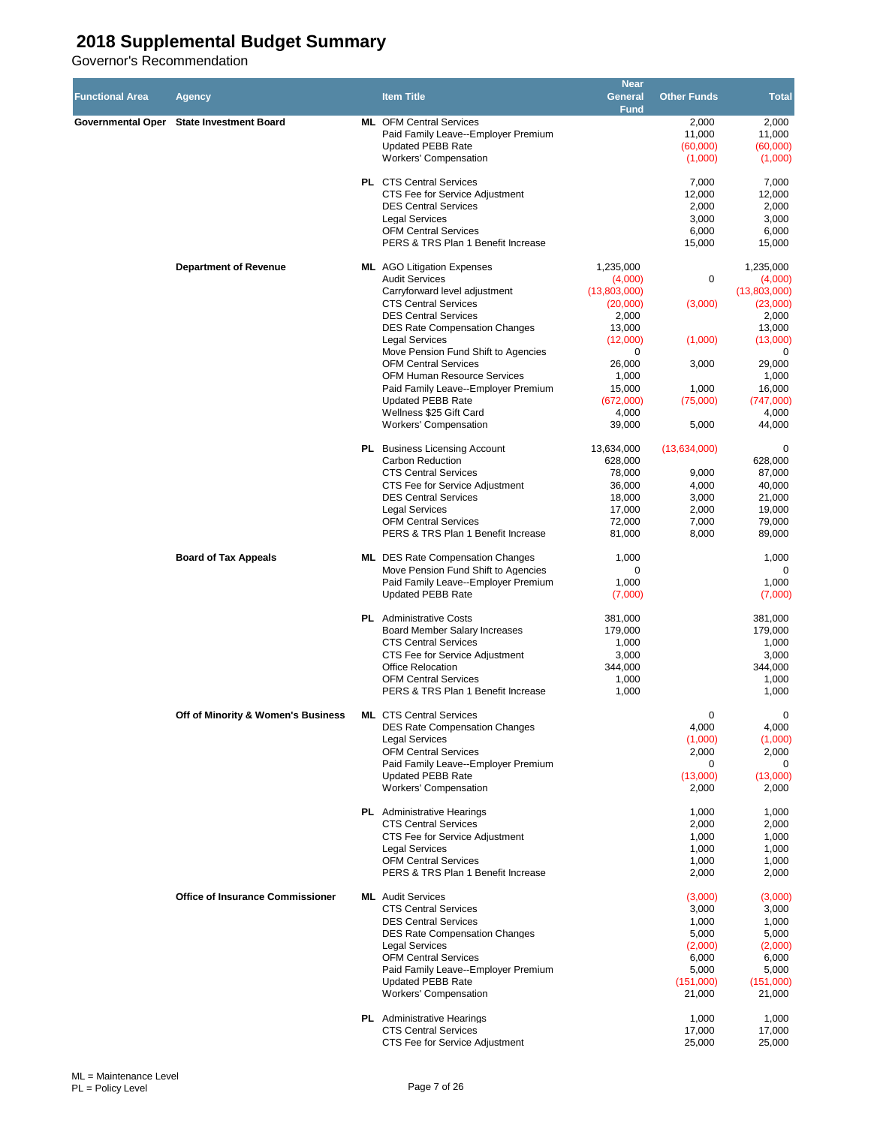| <b>Functional Area</b> | Agency                                   | <b>Item Title</b>                                                                                 | <b>Near</b><br><b>General</b><br><b>Fund</b> | <b>Other Funds</b>          | <b>Total</b>                |
|------------------------|------------------------------------------|---------------------------------------------------------------------------------------------------|----------------------------------------------|-----------------------------|-----------------------------|
|                        | Governmental Oper State Investment Board | <b>ML</b> OFM Central Services<br>Paid Family Leave--Employer Premium<br><b>Updated PEBB Rate</b> |                                              | 2,000<br>11,000<br>(60,000) | 2,000<br>11,000<br>(60,000) |
|                        |                                          | Workers' Compensation<br><b>PL</b> CTS Central Services                                           |                                              | (1,000)<br>7,000            | (1,000)<br>7,000            |
|                        |                                          | CTS Fee for Service Adjustment<br><b>DES Central Services</b>                                     |                                              | 12,000<br>2,000             | 12,000<br>2,000             |
|                        |                                          | <b>Legal Services</b>                                                                             |                                              | 3,000                       | 3,000                       |
|                        |                                          | <b>OFM Central Services</b><br>PERS & TRS Plan 1 Benefit Increase                                 |                                              | 6,000<br>15,000             | 6,000<br>15,000             |
|                        | <b>Department of Revenue</b>             | <b>ML</b> AGO Litigation Expenses<br><b>Audit Services</b>                                        | 1,235,000<br>(4,000)                         | 0                           | 1,235,000<br>(4,000)        |
|                        |                                          | Carryforward level adjustment                                                                     | (13,803,000)                                 |                             | (13,803,000)                |
|                        |                                          | <b>CTS Central Services</b>                                                                       | (20,000)                                     | (3,000)                     | (23,000)                    |
|                        |                                          | <b>DES Central Services</b><br><b>DES Rate Compensation Changes</b>                               | 2,000<br>13,000                              |                             | 2,000<br>13,000             |
|                        |                                          | <b>Legal Services</b>                                                                             | (12,000)                                     | (1,000)                     | (13,000)                    |
|                        |                                          | Move Pension Fund Shift to Agencies<br><b>OFM Central Services</b>                                | 0                                            |                             | 0                           |
|                        |                                          | OFM Human Resource Services                                                                       | 26,000<br>1,000                              | 3,000                       | 29,000<br>1,000             |
|                        |                                          | Paid Family Leave--Employer Premium                                                               | 15,000                                       | 1,000                       | 16,000                      |
|                        |                                          | <b>Updated PEBB Rate</b><br>Wellness \$25 Gift Card                                               | (672,000)<br>4,000                           | (75,000)                    | (747,000)<br>4,000          |
|                        |                                          | <b>Workers' Compensation</b>                                                                      | 39,000                                       | 5,000                       | 44,000                      |
|                        |                                          | <b>PL</b> Business Licensing Account                                                              | 13,634,000                                   | (13,634,000)                | 0                           |
|                        |                                          | Carbon Reduction<br><b>CTS Central Services</b>                                                   | 628,000                                      |                             | 628,000                     |
|                        |                                          | CTS Fee for Service Adjustment                                                                    | 78,000<br>36,000                             | 9,000<br>4,000              | 87,000<br>40,000            |
|                        |                                          | <b>DES Central Services</b>                                                                       | 18,000                                       | 3,000                       | 21,000                      |
|                        |                                          | <b>Legal Services</b><br><b>OFM Central Services</b>                                              | 17,000<br>72,000                             | 2,000<br>7,000              | 19,000<br>79,000            |
|                        |                                          | PERS & TRS Plan 1 Benefit Increase                                                                | 81,000                                       | 8,000                       | 89,000                      |
|                        | <b>Board of Tax Appeals</b>              | <b>ML</b> DES Rate Compensation Changes<br>Move Pension Fund Shift to Agencies                    | 1,000<br>0                                   |                             | 1,000<br>$\Omega$           |
|                        |                                          | Paid Family Leave--Employer Premium<br><b>Updated PEBB Rate</b>                                   | 1,000<br>(7,000)                             |                             | 1,000<br>(7,000)            |
|                        |                                          | <b>PL</b> Administrative Costs                                                                    | 381,000                                      |                             | 381,000                     |
|                        |                                          | Board Member Salary Increases                                                                     | 179,000                                      |                             | 179,000                     |
|                        |                                          | <b>CTS Central Services</b>                                                                       | 1,000                                        |                             | 1,000                       |
|                        |                                          | CTS Fee for Service Adjustment<br>Office Relocation                                               | 3,000<br>344,000                             |                             | 3,000<br>344,000            |
|                        |                                          | <b>OFM Central Services</b>                                                                       | 1,000                                        |                             | 1,000                       |
|                        |                                          | PERS & TRS Plan 1 Benefit Increase                                                                | 1,000                                        |                             | 1,000                       |
|                        | Off of Minority & Women's Business       | <b>ML</b> CTS Central Services<br><b>DES Rate Compensation Changes</b>                            |                                              | 0<br>4,000                  | 0<br>4,000                  |
|                        |                                          | <b>Legal Services</b>                                                                             |                                              | (1,000)                     | (1,000)                     |
|                        |                                          | <b>OFM Central Services</b>                                                                       |                                              | 2,000                       | 2,000                       |
|                        |                                          | Paid Family Leave--Employer Premium<br><b>Updated PEBB Rate</b>                                   |                                              | 0<br>(13,000)               | $\mathbf 0$<br>(13,000)     |
|                        |                                          | <b>Workers' Compensation</b>                                                                      |                                              | 2,000                       | 2,000                       |
|                        |                                          | <b>PL</b> Administrative Hearings                                                                 |                                              | 1,000                       | 1,000                       |
|                        |                                          | <b>CTS Central Services</b><br>CTS Fee for Service Adjustment                                     |                                              | 2,000<br>1,000              | 2,000<br>1,000              |
|                        |                                          | <b>Legal Services</b>                                                                             |                                              | 1,000                       | 1,000                       |
|                        |                                          | <b>OFM Central Services</b>                                                                       |                                              | 1,000                       | 1,000                       |
|                        |                                          | PERS & TRS Plan 1 Benefit Increase                                                                |                                              | 2,000                       | 2,000                       |
|                        | <b>Office of Insurance Commissioner</b>  | <b>ML</b> Audit Services<br><b>CTS Central Services</b>                                           |                                              | (3,000)<br>3,000            | (3,000)<br>3,000            |
|                        |                                          | <b>DES Central Services</b>                                                                       |                                              | 1,000                       | 1,000                       |
|                        |                                          | DES Rate Compensation Changes<br><b>Legal Services</b>                                            |                                              | 5,000<br>(2,000)            | 5,000                       |
|                        |                                          | <b>OFM Central Services</b>                                                                       |                                              | 6,000                       | (2,000)<br>6,000            |
|                        |                                          | Paid Family Leave--Employer Premium                                                               |                                              | 5,000                       | 5,000                       |
|                        |                                          | <b>Updated PEBB Rate</b><br>Workers' Compensation                                                 |                                              | (151,000)<br>21,000         | (151,000)<br>21,000         |
|                        |                                          | <b>PL</b> Administrative Hearings                                                                 |                                              | 1,000                       | 1,000                       |
|                        |                                          | <b>CTS Central Services</b><br>CTS Fee for Service Adjustment                                     |                                              | 17,000<br>25,000            | 17,000<br>25,000            |
|                        |                                          |                                                                                                   |                                              |                             |                             |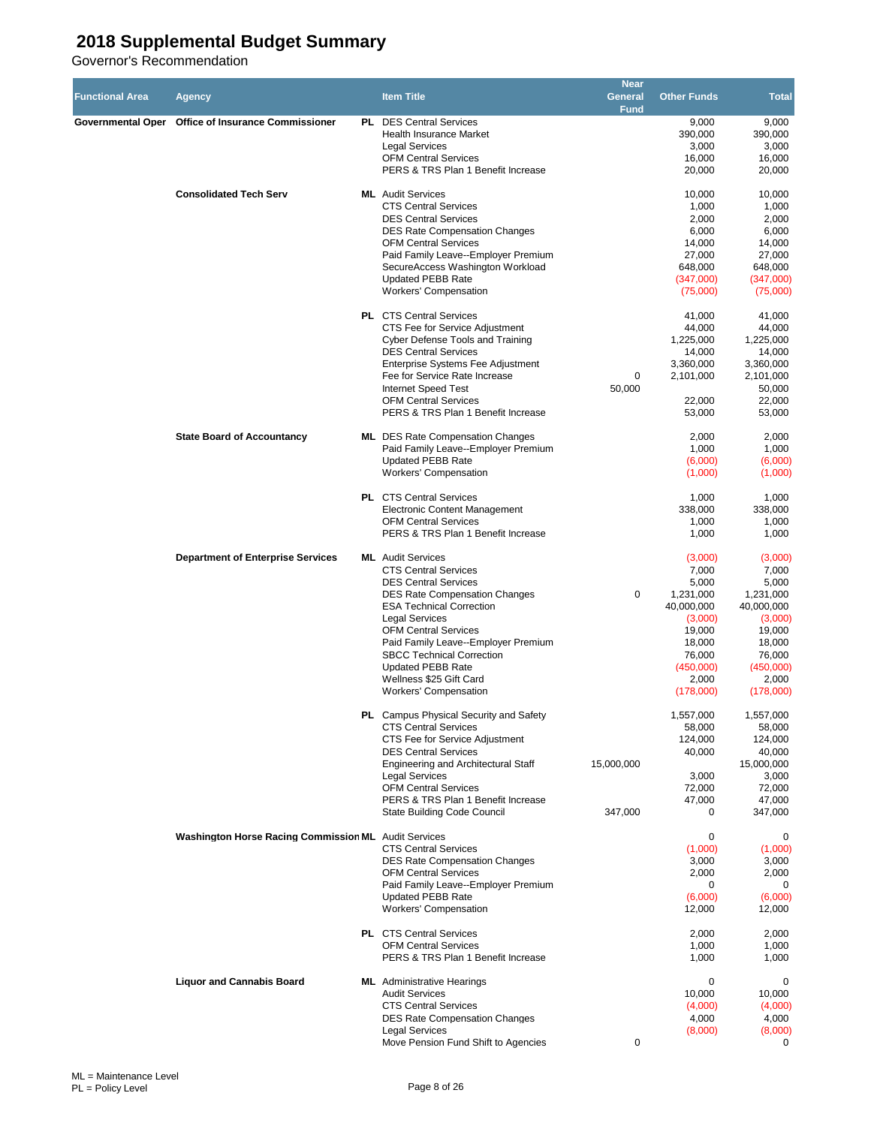| <b>Functional Area</b> | Agency                                               | <b>Item Title</b>                                                                                                                                                                                                                                                                                                                                                                           | <b>Near</b><br><b>General</b><br>Fund | <b>Other Funds</b>                                                                                                               | <b>Total</b>                                                                                                                     |
|------------------------|------------------------------------------------------|---------------------------------------------------------------------------------------------------------------------------------------------------------------------------------------------------------------------------------------------------------------------------------------------------------------------------------------------------------------------------------------------|---------------------------------------|----------------------------------------------------------------------------------------------------------------------------------|----------------------------------------------------------------------------------------------------------------------------------|
|                        | Governmental Oper Office of Insurance Commissioner   | <b>PL</b> DES Central Services<br><b>Health Insurance Market</b><br><b>Legal Services</b><br><b>OFM Central Services</b><br>PERS & TRS Plan 1 Benefit Increase                                                                                                                                                                                                                              |                                       | 9,000<br>390,000<br>3,000<br>16,000<br>20,000                                                                                    | 9,000<br>390,000<br>3,000<br>16,000<br>20,000                                                                                    |
|                        | <b>Consolidated Tech Serv</b>                        | <b>ML</b> Audit Services<br><b>CTS Central Services</b><br><b>DES Central Services</b><br><b>DES Rate Compensation Changes</b><br><b>OFM Central Services</b><br>Paid Family Leave--Employer Premium<br>SecureAccess Washington Workload<br>Updated PEBB Rate<br><b>Workers' Compensation</b>                                                                                               |                                       | 10,000<br>1,000<br>2,000<br>6,000<br>14,000<br>27,000<br>648,000<br>(347,000)<br>(75,000)                                        | 10,000<br>1,000<br>2,000<br>6,000<br>14,000<br>27,000<br>648,000<br>(347,000)<br>(75,000)                                        |
|                        |                                                      | <b>PL</b> CTS Central Services<br>CTS Fee for Service Adjustment<br>Cyber Defense Tools and Training<br><b>DES Central Services</b><br>Enterprise Systems Fee Adjustment<br>Fee for Service Rate Increase<br><b>Internet Speed Test</b><br><b>OFM Central Services</b><br>PERS & TRS Plan 1 Benefit Increase                                                                                | 0<br>50.000                           | 41,000<br>44,000<br>1,225,000<br>14,000<br>3,360,000<br>2,101,000<br>22,000<br>53,000                                            | 41,000<br>44,000<br>1,225,000<br>14,000<br>3,360,000<br>2,101,000<br>50,000<br>22,000<br>53,000                                  |
|                        | <b>State Board of Accountancy</b>                    | <b>ML</b> DES Rate Compensation Changes<br>Paid Family Leave--Employer Premium<br><b>Updated PEBB Rate</b><br><b>Workers' Compensation</b>                                                                                                                                                                                                                                                  |                                       | 2,000<br>1,000<br>(6,000)<br>(1,000)                                                                                             | 2,000<br>1,000<br>(6,000)<br>(1,000)                                                                                             |
|                        |                                                      | <b>PL</b> CTS Central Services<br><b>Electronic Content Management</b><br><b>OFM Central Services</b><br>PERS & TRS Plan 1 Benefit Increase                                                                                                                                                                                                                                                 |                                       | 1,000<br>338,000<br>1,000<br>1,000                                                                                               | 1,000<br>338,000<br>1,000<br>1,000                                                                                               |
|                        | <b>Department of Enterprise Services</b>             | <b>ML</b> Audit Services<br><b>CTS Central Services</b><br><b>DES Central Services</b><br><b>DES Rate Compensation Changes</b><br><b>ESA Technical Correction</b><br><b>Legal Services</b><br><b>OFM Central Services</b><br>Paid Family Leave--Employer Premium<br><b>SBCC Technical Correction</b><br><b>Updated PEBB Rate</b><br>Wellness \$25 Gift Card<br><b>Workers' Compensation</b> | $\mathbf 0$                           | (3,000)<br>7,000<br>5,000<br>1,231,000<br>40,000,000<br>(3,000)<br>19,000<br>18,000<br>76,000<br>(450,000)<br>2,000<br>(178,000) | (3,000)<br>7,000<br>5,000<br>1,231,000<br>40,000,000<br>(3,000)<br>19,000<br>18,000<br>76,000<br>(450,000)<br>2,000<br>(178,000) |
|                        |                                                      | PL Campus Physical Security and Safety<br><b>CTS Central Services</b><br>CTS Fee for Service Adjustment<br><b>DES Central Services</b><br><b>Engineering and Architectural Staff</b><br><b>Legal Services</b><br><b>OFM Central Services</b><br>PERS & TRS Plan 1 Benefit Increase<br><b>State Building Code Council</b>                                                                    | 15,000,000<br>347,000                 | 1,557,000<br>58,000<br>124,000<br>40,000<br>3,000<br>72,000<br>47,000<br>0                                                       | 1,557,000<br>58,000<br>124,000<br>40,000<br>15,000,000<br>3,000<br>72,000<br>47,000<br>347,000                                   |
|                        | Washington Horse Racing Commission ML Audit Services | <b>CTS Central Services</b><br><b>DES Rate Compensation Changes</b><br><b>OFM Central Services</b><br>Paid Family Leave--Employer Premium<br><b>Updated PEBB Rate</b><br><b>Workers' Compensation</b>                                                                                                                                                                                       |                                       | 0<br>(1,000)<br>3,000<br>2,000<br>0<br>(6,000)<br>12,000                                                                         | 0<br>(1,000)<br>3,000<br>2,000<br>0<br>(6,000)<br>12,000                                                                         |
|                        |                                                      | <b>PL</b> CTS Central Services<br><b>OFM Central Services</b><br>PERS & TRS Plan 1 Benefit Increase                                                                                                                                                                                                                                                                                         |                                       | 2,000<br>1,000<br>1,000                                                                                                          | 2,000<br>1,000<br>1,000                                                                                                          |
|                        | <b>Liquor and Cannabis Board</b>                     | <b>ML</b> Administrative Hearings<br><b>Audit Services</b><br><b>CTS Central Services</b><br><b>DES Rate Compensation Changes</b><br><b>Legal Services</b><br>Move Pension Fund Shift to Agencies                                                                                                                                                                                           | 0                                     | 0<br>10,000<br>(4,000)<br>4,000<br>(8,000)                                                                                       | 0<br>10,000<br>(4,000)<br>4,000<br>(8,000)<br>0                                                                                  |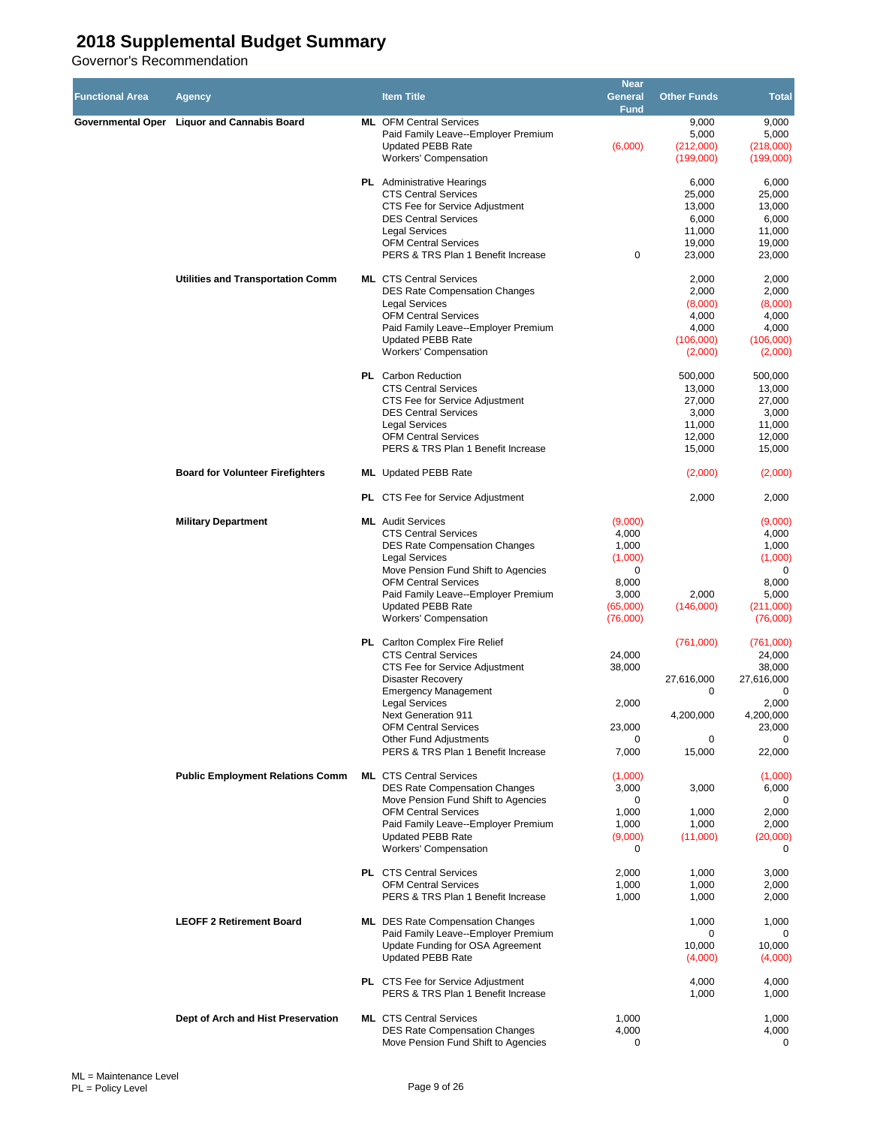| <b>Functional Area</b> | <b>Agency</b>                               | <b>Item Title</b>                                                                                                                                                                                                                                                                                                              | <b>Near</b><br><b>General</b><br>Fund                                               | <b>Other Funds</b>                                                 | <b>Total</b>                                                                               |
|------------------------|---------------------------------------------|--------------------------------------------------------------------------------------------------------------------------------------------------------------------------------------------------------------------------------------------------------------------------------------------------------------------------------|-------------------------------------------------------------------------------------|--------------------------------------------------------------------|--------------------------------------------------------------------------------------------|
|                        | Governmental Oper Liquor and Cannabis Board | <b>ML</b> OFM Central Services<br>Paid Family Leave--Employer Premium<br><b>Updated PEBB Rate</b><br><b>Workers' Compensation</b>                                                                                                                                                                                              | (6,000)                                                                             | 9,000<br>5,000<br>(212,000)<br>(199,000)                           | 9,000<br>5,000<br>(218,000)<br>(199,000)                                                   |
|                        |                                             | <b>PL</b> Administrative Hearings<br><b>CTS Central Services</b><br>CTS Fee for Service Adjustment<br><b>DES Central Services</b><br><b>Legal Services</b><br><b>OFM Central Services</b>                                                                                                                                      |                                                                                     | 6,000<br>25,000<br>13,000<br>6,000<br>11,000<br>19,000             | 6,000<br>25,000<br>13,000<br>6,000<br>11,000<br>19,000                                     |
|                        | Utilities and Transportation Comm           | PERS & TRS Plan 1 Benefit Increase<br><b>ML</b> CTS Central Services<br><b>DES Rate Compensation Changes</b>                                                                                                                                                                                                                   | 0                                                                                   | 23,000<br>2,000<br>2,000                                           | 23,000<br>2,000<br>2,000                                                                   |
|                        |                                             | Legal Services<br><b>OFM Central Services</b><br>Paid Family Leave--Employer Premium<br><b>Updated PEBB Rate</b><br><b>Workers' Compensation</b>                                                                                                                                                                               |                                                                                     | (8,000)<br>4,000<br>4,000<br>(106,000)<br>(2,000)                  | (8,000)<br>4,000<br>4,000<br>(106,000)<br>(2,000)                                          |
|                        |                                             | PL Carbon Reduction<br><b>CTS Central Services</b><br>CTS Fee for Service Adjustment<br><b>DES Central Services</b><br><b>Legal Services</b><br><b>OFM Central Services</b><br>PERS & TRS Plan 1 Benefit Increase                                                                                                              |                                                                                     | 500,000<br>13,000<br>27,000<br>3,000<br>11,000<br>12,000<br>15,000 | 500,000<br>13,000<br>27,000<br>3,000<br>11,000<br>12,000<br>15,000                         |
|                        | <b>Board for Volunteer Firefighters</b>     | <b>ML</b> Updated PEBB Rate                                                                                                                                                                                                                                                                                                    |                                                                                     | (2,000)                                                            | (2,000)                                                                                    |
|                        |                                             | PL CTS Fee for Service Adjustment                                                                                                                                                                                                                                                                                              |                                                                                     | 2,000                                                              | 2,000                                                                                      |
|                        | <b>Military Department</b>                  | <b>ML</b> Audit Services<br><b>CTS Central Services</b><br><b>DES Rate Compensation Changes</b><br><b>Legal Services</b><br>Move Pension Fund Shift to Agencies<br><b>OFM Central Services</b><br>Paid Family Leave--Employer Premium<br><b>Updated PEBB Rate</b><br><b>Workers' Compensation</b>                              | (9,000)<br>4,000<br>1,000<br>(1,000)<br>0<br>8,000<br>3,000<br>(65,000)<br>(76,000) | 2,000<br>(146,000)                                                 | (9,000)<br>4,000<br>1,000<br>(1,000)<br>0<br>8,000<br>5,000<br>(211,000)<br>(76,000)       |
|                        |                                             | <b>PL</b> Carlton Complex Fire Relief<br><b>CTS Central Services</b><br>CTS Fee for Service Adjustment<br><b>Disaster Recovery</b><br><b>Emergency Management</b><br><b>Legal Services</b><br><b>Next Generation 911</b><br><b>OFM Central Services</b><br><b>Other Fund Adjustments</b><br>PERS & TRS Plan 1 Benefit Increase | 24,000<br>38,000<br>2,000<br>23,000<br>7,000                                        | (761,000)<br>27,616,000<br>0<br>4,200,000<br>0<br>15,000           | (761,000)<br>24,000<br>38,000<br>27,616,000<br>0<br>2,000<br>4,200,000<br>23,000<br>22,000 |
|                        | <b>Public Employment Relations Comm</b>     | <b>ML</b> CTS Central Services<br><b>DES Rate Compensation Changes</b><br>Move Pension Fund Shift to Agencies<br><b>OFM Central Services</b><br>Paid Family Leave--Employer Premium<br><b>Updated PEBB Rate</b><br><b>Workers' Compensation</b>                                                                                | (1,000)<br>3,000<br>0<br>1,000<br>1,000<br>(9,000)<br>$\mathbf 0$                   | 3,000<br>1,000<br>1,000<br>(11,000)                                | (1,000)<br>6,000<br>0<br>2,000<br>2,000<br>(20,000)<br>$\mathbf 0$                         |
|                        |                                             | <b>PL</b> CTS Central Services<br><b>OFM Central Services</b><br>PERS & TRS Plan 1 Benefit Increase                                                                                                                                                                                                                            | 2,000<br>1,000<br>1,000                                                             | 1,000<br>1,000<br>1,000                                            | 3,000<br>2,000<br>2,000                                                                    |
|                        | <b>LEOFF 2 Retirement Board</b>             | <b>ML</b> DES Rate Compensation Changes<br>Paid Family Leave--Employer Premium<br>Update Funding for OSA Agreement<br>Updated PEBB Rate                                                                                                                                                                                        |                                                                                     | 1,000<br>0<br>10,000<br>(4,000)                                    | 1,000<br>0<br>10,000<br>(4,000)                                                            |
|                        |                                             | <b>PL</b> CTS Fee for Service Adjustment<br>PERS & TRS Plan 1 Benefit Increase                                                                                                                                                                                                                                                 |                                                                                     | 4,000<br>1,000                                                     | 4,000<br>1,000                                                                             |
|                        | Dept of Arch and Hist Preservation          | <b>ML</b> CTS Central Services<br><b>DES Rate Compensation Changes</b><br>Move Pension Fund Shift to Agencies                                                                                                                                                                                                                  | 1,000<br>4,000<br>0                                                                 |                                                                    | 1,000<br>4,000<br>0                                                                        |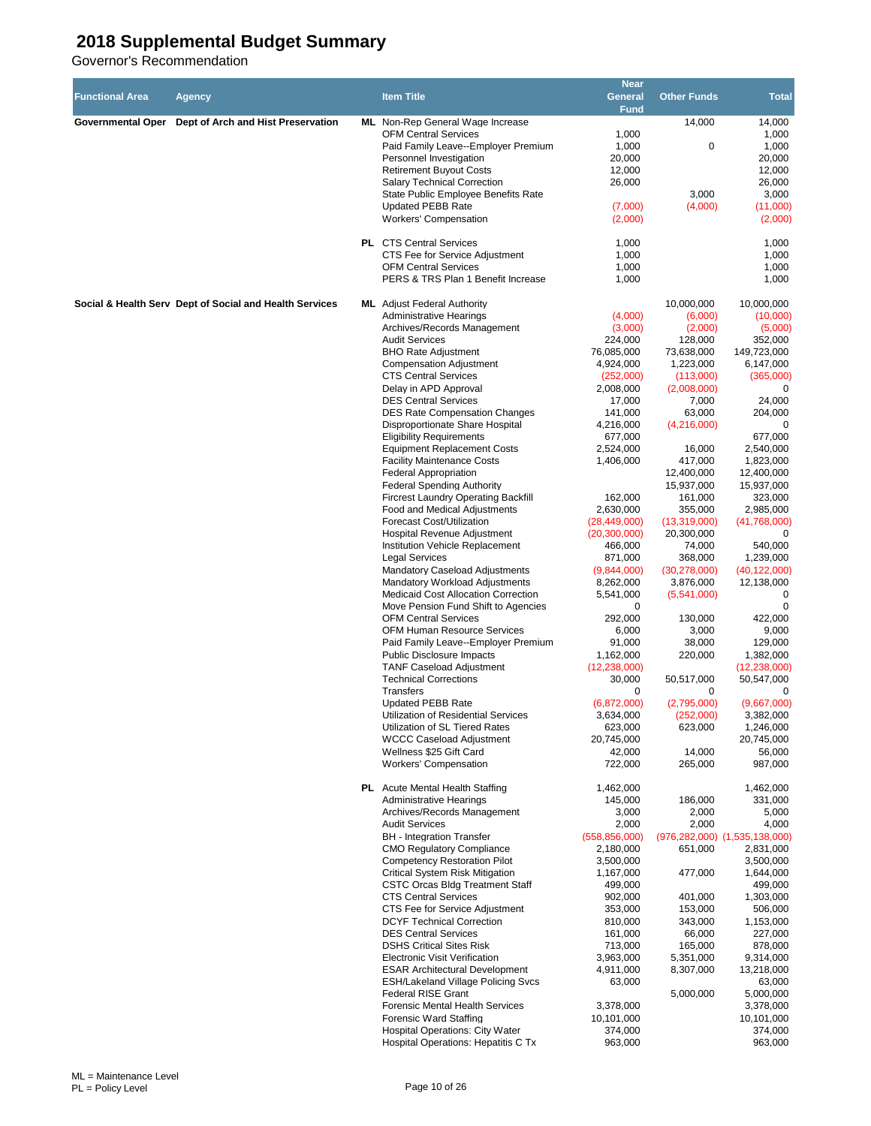| <b>Functional Area</b>   | <b>Agency</b>                                           | <b>Item Title</b>                                                                  | <b>Near</b><br><b>General</b><br><b>Fund</b> | <b>Other Funds</b>       | <b>Total</b>                  |
|--------------------------|---------------------------------------------------------|------------------------------------------------------------------------------------|----------------------------------------------|--------------------------|-------------------------------|
| <b>Governmental Oper</b> | Dept of Arch and Hist Preservation                      | ML Non-Rep General Wage Increase                                                   |                                              | 14,000                   | 14,000                        |
|                          |                                                         | <b>OFM Central Services</b>                                                        | 1,000                                        |                          | 1,000                         |
|                          |                                                         | Paid Family Leave--Employer Premium                                                | 1,000                                        | 0                        | 1,000                         |
|                          |                                                         | Personnel Investigation<br><b>Retirement Buyout Costs</b>                          | 20,000<br>12,000                             |                          | 20,000<br>12,000              |
|                          |                                                         | <b>Salary Technical Correction</b>                                                 | 26,000                                       |                          | 26,000                        |
|                          |                                                         | State Public Employee Benefits Rate                                                |                                              | 3,000                    | 3,000                         |
|                          |                                                         | Updated PEBB Rate                                                                  | (7,000)                                      | (4,000)                  | (11,000)                      |
|                          |                                                         | <b>Workers' Compensation</b>                                                       | (2,000)                                      |                          | (2,000)                       |
|                          |                                                         | <b>PL</b> CTS Central Services                                                     | 1,000                                        |                          | 1,000                         |
|                          |                                                         | CTS Fee for Service Adjustment<br><b>OFM Central Services</b>                      | 1,000<br>1,000                               |                          | 1,000<br>1,000                |
|                          |                                                         | PERS & TRS Plan 1 Benefit Increase                                                 | 1,000                                        |                          | 1,000                         |
|                          | Social & Health Serv Dept of Social and Health Services | <b>ML</b> Adjust Federal Authority                                                 |                                              | 10,000,000               | 10,000,000                    |
|                          |                                                         | <b>Administrative Hearings</b>                                                     | (4,000)                                      | (6,000)                  | (10,000)                      |
|                          |                                                         | Archives/Records Management                                                        | (3,000)                                      | (2,000)                  | (5,000)                       |
|                          |                                                         | <b>Audit Services</b>                                                              | 224,000                                      | 128,000                  | 352,000                       |
|                          |                                                         | <b>BHO Rate Adjustment</b><br><b>Compensation Adjustment</b>                       | 76,085,000<br>4,924,000                      | 73,638,000<br>1,223,000  | 149,723,000<br>6,147,000      |
|                          |                                                         | <b>CTS Central Services</b>                                                        | (252,000)                                    | (113,000)                | (365,000)                     |
|                          |                                                         | Delay in APD Approval                                                              | 2,008,000                                    | (2,008,000)              | 0                             |
|                          |                                                         | <b>DES Central Services</b>                                                        | 17,000                                       | 7,000                    | 24,000                        |
|                          |                                                         | <b>DES Rate Compensation Changes</b>                                               | 141,000                                      | 63,000                   | 204,000                       |
|                          |                                                         | Disproportionate Share Hospital                                                    | 4,216,000                                    | (4,216,000)              |                               |
|                          |                                                         | <b>Eligibility Requirements</b>                                                    | 677,000                                      |                          | 677,000                       |
|                          |                                                         | <b>Equipment Replacement Costs</b><br><b>Facility Maintenance Costs</b>            | 2,524,000<br>1,406,000                       | 16,000<br>417,000        | 2,540,000<br>1,823,000        |
|                          |                                                         | <b>Federal Appropriation</b>                                                       |                                              | 12,400,000               | 12,400,000                    |
|                          |                                                         | <b>Federal Spending Authority</b>                                                  |                                              | 15,937,000               | 15,937,000                    |
|                          |                                                         | <b>Fircrest Laundry Operating Backfill</b>                                         | 162,000                                      | 161,000                  | 323,000                       |
|                          |                                                         | Food and Medical Adjustments                                                       | 2,630,000                                    | 355,000                  | 2,985,000                     |
|                          |                                                         | Forecast Cost/Utilization                                                          | (28, 449, 000)                               | (13,319,000)             | (41,768,000)                  |
|                          |                                                         | Hospital Revenue Adjustment<br>Institution Vehicle Replacement                     | (20, 300, 000)<br>466,000                    | 20,300,000<br>74,000     | 540,000                       |
|                          |                                                         | <b>Legal Services</b>                                                              | 871,000                                      | 368,000                  | 1,239,000                     |
|                          |                                                         | Mandatory Caseload Adjustments                                                     | (9,844,000)                                  | (30, 278, 000)           | (40, 122, 000)                |
|                          |                                                         | Mandatory Workload Adjustments                                                     | 8,262,000                                    | 3,876,000                | 12,138,000                    |
|                          |                                                         | Medicaid Cost Allocation Correction                                                | 5,541,000                                    | (5,541,000)              | 0                             |
|                          |                                                         | Move Pension Fund Shift to Agencies                                                | 0                                            |                          | 0                             |
|                          |                                                         | <b>OFM Central Services</b><br>OFM Human Resource Services                         | 292,000<br>6,000                             | 130,000<br>3,000         | 422,000<br>9,000              |
|                          |                                                         | Paid Family Leave--Employer Premium                                                | 91,000                                       | 38,000                   | 129,000                       |
|                          |                                                         | <b>Public Disclosure Impacts</b>                                                   | 1,162,000                                    | 220,000                  | 1,382,000                     |
|                          |                                                         | <b>TANF Caseload Adiustment</b>                                                    | (12, 238, 000)                               |                          | (12, 238, 000)                |
|                          |                                                         | <b>Technical Corrections</b>                                                       | 30.000                                       | 50,517,000               | 50,547,000                    |
|                          |                                                         | <b>Transfers</b>                                                                   | 0                                            | 0                        | 0                             |
|                          |                                                         | <b>Updated PEBB Rate</b><br>Utilization of Residential Services                    | (6,872,000)<br>3,634,000                     | (2,795,000)<br>(252,000) | (9,667,000)<br>3,382,000      |
|                          |                                                         | Utilization of SL Tiered Rates                                                     | 623,000                                      | 623,000                  | 1,246,000                     |
|                          |                                                         | <b>WCCC Caseload Adjustment</b>                                                    | 20,745,000                                   |                          | 20,745,000                    |
|                          |                                                         | Wellness \$25 Gift Card                                                            | 42,000                                       | 14,000                   | 56,000                        |
|                          |                                                         | Workers' Compensation                                                              | 722,000                                      | 265,000                  | 987,000                       |
|                          |                                                         | PL Acute Mental Health Staffing                                                    | 1,462,000                                    |                          | 1,462,000                     |
|                          |                                                         | <b>Administrative Hearings</b><br>Archives/Records Management                      | 145,000<br>3,000                             | 186,000<br>2,000         | 331,000<br>5,000              |
|                          |                                                         | <b>Audit Services</b>                                                              | 2,000                                        | 2,000                    | 4,000                         |
|                          |                                                         | <b>BH</b> - Integration Transfer                                                   | (558, 856, 000)                              |                          | (976,282,000) (1,535,138,000) |
|                          |                                                         | <b>CMO Requlatory Compliance</b>                                                   | 2,180,000                                    | 651,000                  | 2,831,000                     |
|                          |                                                         | <b>Competency Restoration Pilot</b>                                                | 3,500,000                                    |                          | 3,500,000                     |
|                          |                                                         | <b>Critical System Risk Mitigation</b>                                             | 1,167,000                                    | 477,000                  | 1,644,000                     |
|                          |                                                         | <b>CSTC Orcas Bldg Treatment Staff</b><br><b>CTS Central Services</b>              | 499,000<br>902,000                           | 401,000                  | 499,000<br>1,303,000          |
|                          |                                                         | CTS Fee for Service Adjustment                                                     | 353,000                                      | 153,000                  | 506,000                       |
|                          |                                                         | <b>DCYF Technical Correction</b>                                                   | 810,000                                      | 343,000                  | 1,153,000                     |
|                          |                                                         | <b>DES Central Services</b>                                                        | 161,000                                      | 66,000                   | 227,000                       |
|                          |                                                         | <b>DSHS Critical Sites Risk</b>                                                    | 713,000                                      | 165,000                  | 878,000                       |
|                          |                                                         | <b>Electronic Visit Verification</b>                                               | 3,963,000                                    | 5,351,000                | 9,314,000                     |
|                          |                                                         | <b>ESAR Architectural Development</b><br><b>ESH/Lakeland Village Policing Svcs</b> | 4,911,000<br>63,000                          | 8,307,000                | 13,218,000<br>63,000          |
|                          |                                                         | <b>Federal RISE Grant</b>                                                          |                                              | 5,000,000                | 5,000,000                     |
|                          |                                                         | Forensic Mental Health Services                                                    | 3,378,000                                    |                          | 3,378,000                     |
|                          |                                                         | <b>Forensic Ward Staffing</b>                                                      | 10,101,000                                   |                          | 10,101,000                    |
|                          |                                                         | <b>Hospital Operations: City Water</b>                                             | 374,000                                      |                          | 374,000                       |
|                          |                                                         | Hospital Operations: Hepatitis C Tx                                                | 963,000                                      |                          | 963,000                       |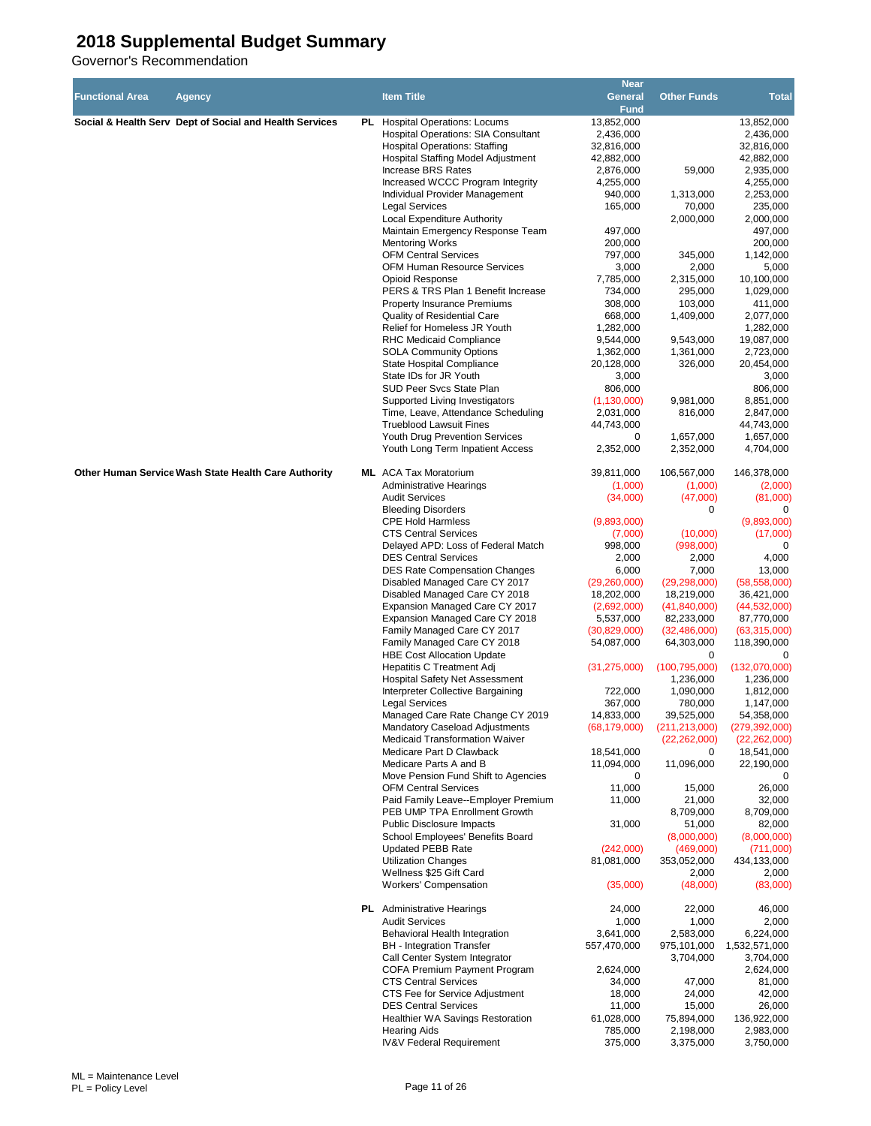|                        |                                                         |                                            | <b>Near</b>                |                    |                 |
|------------------------|---------------------------------------------------------|--------------------------------------------|----------------------------|--------------------|-----------------|
| <b>Functional Area</b> | <b>Agency</b>                                           | <b>Item Title</b>                          | General                    | <b>Other Funds</b> | <b>Total</b>    |
|                        |                                                         |                                            | Fund                       |                    |                 |
|                        | Social & Health Serv Dept of Social and Health Services | PL Hospital Operations: Locums             | 13,852,000                 |                    | 13,852,000      |
|                        |                                                         | <b>Hospital Operations: SIA Consultant</b> | 2,436,000                  |                    | 2,436,000       |
|                        |                                                         | <b>Hospital Operations: Staffing</b>       | 32,816,000                 |                    | 32,816,000      |
|                        |                                                         | Hospital Staffing Model Adjustment         | 42,882,000                 |                    | 42,882,000      |
|                        |                                                         | Increase BRS Rates                         | 2,876,000                  | 59,000             | 2,935,000       |
|                        |                                                         | Increased WCCC Program Integrity           | 4,255,000                  |                    | 4,255,000       |
|                        |                                                         | Individual Provider Management             | 940,000                    | 1,313,000          | 2,253,000       |
|                        |                                                         | <b>Legal Services</b>                      | 165,000                    | 70,000             | 235,000         |
|                        |                                                         | Local Expenditure Authority                |                            | 2,000,000          | 2,000,000       |
|                        |                                                         | Maintain Emergency Response Team           | 497,000                    |                    | 497,000         |
|                        |                                                         | <b>Mentoring Works</b>                     | 200,000                    |                    | 200,000         |
|                        |                                                         | <b>OFM Central Services</b>                | 797,000                    | 345,000            | 1,142,000       |
|                        |                                                         | <b>OFM Human Resource Services</b>         | 3,000                      | 2,000              | 5,000           |
|                        |                                                         | Opioid Response                            | 7,785,000                  | 2,315,000          | 10,100,000      |
|                        |                                                         | PERS & TRS Plan 1 Benefit Increase         | 734,000                    | 295,000            | 1,029,000       |
|                        |                                                         | <b>Property Insurance Premiums</b>         | 308,000                    | 103,000            | 411,000         |
|                        |                                                         | Quality of Residential Care                | 668,000                    | 1,409,000          | 2,077,000       |
|                        |                                                         | Relief for Homeless JR Youth               | 1,282,000                  |                    | 1,282,000       |
|                        |                                                         | RHC Medicaid Compliance                    | 9,544,000                  | 9,543,000          | 19,087,000      |
|                        |                                                         | <b>SOLA Community Options</b>              | 1,362,000                  | 1,361,000          | 2,723,000       |
|                        |                                                         | State Hospital Compliance                  | 20,128,000                 | 326,000            | 20,454,000      |
|                        |                                                         | State IDs for JR Youth                     | 3,000                      |                    | 3,000           |
|                        |                                                         | SUD Peer Svcs State Plan                   | 806,000                    |                    | 806,000         |
|                        |                                                         | Supported Living Investigators             |                            | 9,981,000          | 8,851,000       |
|                        |                                                         | Time, Leave, Attendance Scheduling         | (1, 130, 000)<br>2,031,000 |                    |                 |
|                        |                                                         |                                            |                            | 816,000            | 2,847,000       |
|                        |                                                         | <b>Trueblood Lawsuit Fines</b>             | 44,743,000                 |                    | 44,743,000      |
|                        |                                                         | Youth Drug Prevention Services             | 0                          | 1,657,000          | 1,657,000       |
|                        |                                                         | Youth Long Term Inpatient Access           | 2,352,000                  | 2,352,000          | 4,704,000       |
|                        |                                                         |                                            |                            |                    |                 |
|                        | Other Human Service Wash State Health Care Authority    | <b>ML</b> ACA Tax Moratorium               | 39,811,000                 | 106,567,000        | 146,378,000     |
|                        |                                                         | <b>Administrative Hearings</b>             | (1,000)                    | (1,000)            | (2,000)         |
|                        |                                                         | <b>Audit Services</b>                      | (34,000)                   | (47,000)           | (81,000)        |
|                        |                                                         | <b>Bleeding Disorders</b>                  |                            | 0                  |                 |
|                        |                                                         | <b>CPE Hold Harmless</b>                   | (9,893,000)                |                    | (9,893,000)     |
|                        |                                                         | <b>CTS Central Services</b>                | (7,000)                    | (10,000)           | (17,000)        |
|                        |                                                         | Delayed APD: Loss of Federal Match         | 998,000                    | (998,000)          | 0               |
|                        |                                                         | <b>DES Central Services</b>                | 2,000                      | 2,000              | 4,000           |
|                        |                                                         | <b>DES Rate Compensation Changes</b>       | 6,000                      | 7,000              | 13,000          |
|                        |                                                         | Disabled Managed Care CY 2017              | (29, 260, 000)             | (29, 298, 000)     | (58, 558, 000)  |
|                        |                                                         | Disabled Managed Care CY 2018              | 18,202,000                 | 18,219,000         | 36,421,000      |
|                        |                                                         | Expansion Managed Care CY 2017             | (2,692,000)                | (41, 840, 000)     | (44, 532, 000)  |
|                        |                                                         | Expansion Managed Care CY 2018             | 5,537,000                  | 82,233,000         | 87,770,000      |
|                        |                                                         | Family Managed Care CY 2017                | (30, 829, 000)             | (32, 486, 000)     | (63,315,000)    |
|                        |                                                         | Family Managed Care CY 2018                | 54,087,000                 | 64,303,000         | 118,390,000     |
|                        |                                                         | <b>HBE Cost Allocation Update</b>          |                            | 0                  |                 |
|                        |                                                         | Hepatitis C Treatment Adj                  | (31, 275, 000)             | (100, 795, 000)    | (132,070,000)   |
|                        |                                                         | <b>Hospital Safety Net Assessment</b>      |                            | 1,236,000          | 1,236,000       |
|                        |                                                         | Interpreter Collective Bargaining          | 722,000                    | 1,090,000          | 1,812,000       |
|                        |                                                         | <b>Legal Services</b>                      | 367,000                    | 780,000            | 1,147,000       |
|                        |                                                         | Managed Care Rate Change CY 2019           | 14,833,000                 | 39,525,000         | 54,358,000      |
|                        |                                                         | Mandatory Caseload Adjustments             | (68, 179, 000)             | (211, 213, 000)    | (279, 392, 000) |
|                        |                                                         | Medicaid Transformation Waiver             |                            | (22, 262, 000)     | (22, 262, 000)  |
|                        |                                                         | Medicare Part D Clawback                   | 18,541,000                 | 0                  | 18,541,000      |
|                        |                                                         | Medicare Parts A and B                     | 11,094,000                 | 11,096,000         | 22,190,000      |
|                        |                                                         | Move Pension Fund Shift to Agencies        | 0                          |                    | 0               |
|                        |                                                         | <b>OFM Central Services</b>                | 11,000                     | 15,000             | 26,000          |
|                        |                                                         | Paid Family Leave--Employer Premium        | 11,000                     | 21,000             | 32,000          |
|                        |                                                         | PEB UMP TPA Enrollment Growth              |                            | 8,709,000          | 8,709,000       |
|                        |                                                         | Public Disclosure Impacts                  | 31,000                     | 51,000             | 82,000          |
|                        |                                                         | School Employees' Benefits Board           |                            | (8,000,000)        | (8,000,000)     |
|                        |                                                         | Updated PEBB Rate                          | (242,000)                  | (469,000)          | (711,000)       |
|                        |                                                         | <b>Utilization Changes</b>                 | 81,081,000                 | 353,052,000        | 434,133,000     |
|                        |                                                         | Wellness \$25 Gift Card                    |                            | 2,000              | 2,000           |
|                        |                                                         | <b>Workers' Compensation</b>               | (35,000)                   | (48,000)           |                 |
|                        |                                                         |                                            |                            |                    | (83,000)        |
|                        |                                                         | <b>PL</b> Administrative Hearings          | 24,000                     | 22,000             | 46,000          |
|                        |                                                         | <b>Audit Services</b>                      |                            |                    |                 |
|                        |                                                         |                                            | 1,000<br>3,641,000         | 1,000              | 2,000           |
|                        |                                                         | Behavioral Health Integration              |                            | 2,583,000          | 6,224,000       |
|                        |                                                         | <b>BH</b> - Integration Transfer           | 557,470,000                | 975,101,000        | 1,532,571,000   |
|                        |                                                         | Call Center System Integrator              |                            | 3,704,000          | 3,704,000       |
|                        |                                                         | COFA Premium Payment Program               | 2,624,000                  |                    | 2,624,000       |
|                        |                                                         | <b>CTS Central Services</b>                | 34,000                     | 47,000             | 81,000          |
|                        |                                                         | CTS Fee for Service Adjustment             | 18,000                     | 24,000             | 42,000          |
|                        |                                                         | <b>DES Central Services</b>                | 11,000                     | 15,000             | 26,000          |
|                        |                                                         | <b>Healthier WA Savings Restoration</b>    | 61,028,000                 | 75,894,000         | 136,922,000     |
|                        |                                                         | <b>Hearing Aids</b>                        | 785,000                    | 2,198,000          | 2,983,000       |
|                        |                                                         | <b>IV&amp;V Federal Requirement</b>        | 375,000                    | 3,375,000          | 3,750,000       |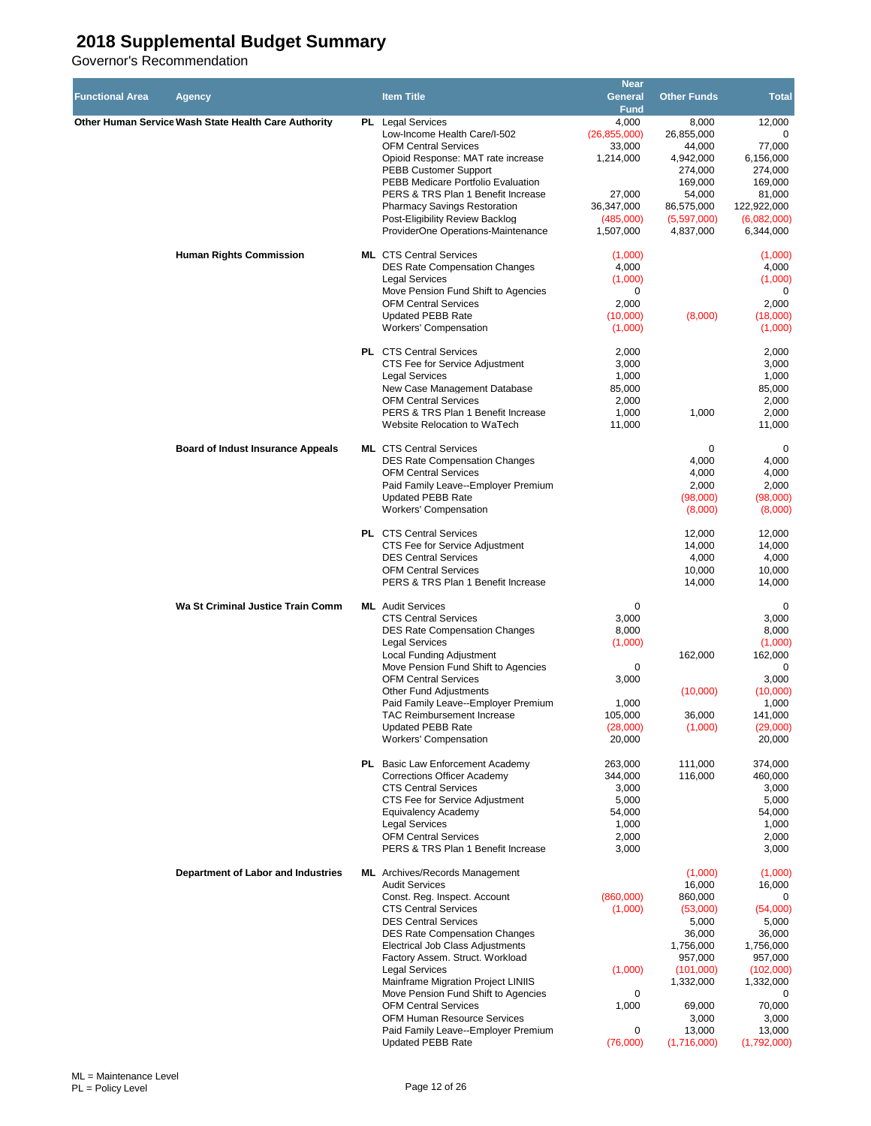| <b>Functional Area</b> | Agency                                               | <b>Item Title</b>                                                     | <b>Near</b><br>General | <b>Other Funds</b>       | <b>Total</b>             |
|------------------------|------------------------------------------------------|-----------------------------------------------------------------------|------------------------|--------------------------|--------------------------|
|                        | Other Human Service Wash State Health Care Authority | PL Legal Services                                                     | <b>Fund</b><br>4,000   | 8,000                    | 12,000                   |
|                        |                                                      | Low-Income Health Care/I-502                                          | (26, 855, 000)         | 26,855,000               | $\Omega$                 |
|                        |                                                      | <b>OFM Central Services</b>                                           | 33,000                 | 44,000                   | 77,000                   |
|                        |                                                      | Opioid Response: MAT rate increase                                    | 1,214,000              | 4,942,000                | 6,156,000                |
|                        |                                                      | <b>PEBB Customer Support</b>                                          |                        | 274,000                  | 274,000                  |
|                        |                                                      | PEBB Medicare Portfolio Evaluation                                    |                        | 169,000                  | 169,000                  |
|                        |                                                      | PERS & TRS Plan 1 Benefit Increase                                    | 27,000                 | 54,000                   | 81,000                   |
|                        |                                                      | <b>Pharmacy Savings Restoration</b>                                   | 36,347,000             | 86,575,000               | 122,922,000              |
|                        |                                                      | Post-Eligibility Review Backlog<br>ProviderOne Operations-Maintenance | (485,000)<br>1,507,000 | (5,597,000)<br>4,837,000 | (6,082,000)<br>6,344,000 |
|                        |                                                      |                                                                       |                        |                          |                          |
|                        | <b>Human Rights Commission</b>                       | <b>ML</b> CTS Central Services                                        | (1,000)                |                          | (1,000)                  |
|                        |                                                      | <b>DES Rate Compensation Changes</b>                                  | 4,000                  |                          | 4,000                    |
|                        |                                                      | <b>Legal Services</b>                                                 | (1,000)                |                          | (1,000)                  |
|                        |                                                      | Move Pension Fund Shift to Agencies                                   | 0                      |                          | 0                        |
|                        |                                                      | <b>OFM Central Services</b>                                           | 2,000                  |                          | 2,000                    |
|                        |                                                      | <b>Updated PEBB Rate</b>                                              | (10,000)               | (8,000)                  | (18,000)                 |
|                        |                                                      | <b>Workers' Compensation</b>                                          | (1,000)                |                          | (1,000)                  |
|                        |                                                      | <b>PL</b> CTS Central Services                                        | 2,000                  |                          | 2,000                    |
|                        |                                                      | CTS Fee for Service Adjustment                                        | 3,000                  |                          | 3,000                    |
|                        |                                                      | <b>Legal Services</b>                                                 | 1,000                  |                          | 1,000                    |
|                        |                                                      | New Case Management Database                                          | 85,000                 |                          | 85,000                   |
|                        |                                                      | <b>OFM Central Services</b>                                           | 2,000                  |                          | 2,000                    |
|                        |                                                      | PERS & TRS Plan 1 Benefit Increase                                    | 1,000                  | 1,000                    | 2,000                    |
|                        |                                                      | Website Relocation to WaTech                                          | 11,000                 |                          | 11,000                   |
|                        | <b>Board of Indust Insurance Appeals</b>             | <b>ML</b> CTS Central Services                                        |                        | 0                        | 0                        |
|                        |                                                      | <b>DES Rate Compensation Changes</b>                                  |                        | 4,000                    | 4,000                    |
|                        |                                                      | <b>OFM Central Services</b>                                           |                        | 4,000                    | 4,000                    |
|                        |                                                      | Paid Family Leave--Employer Premium                                   |                        | 2,000                    | 2,000                    |
|                        |                                                      | <b>Updated PEBB Rate</b>                                              |                        | (98,000)                 | (98,000)                 |
|                        |                                                      | <b>Workers' Compensation</b>                                          |                        | (8,000)                  | (8,000)                  |
|                        |                                                      |                                                                       |                        |                          |                          |
|                        |                                                      | <b>PL</b> CTS Central Services                                        |                        | 12,000                   | 12,000                   |
|                        |                                                      | CTS Fee for Service Adjustment                                        |                        | 14,000                   | 14,000                   |
|                        |                                                      | <b>DES Central Services</b><br><b>OFM Central Services</b>            |                        | 4,000<br>10,000          | 4,000<br>10,000          |
|                        |                                                      | PERS & TRS Plan 1 Benefit Increase                                    |                        | 14,000                   | 14,000                   |
|                        |                                                      |                                                                       |                        |                          |                          |
|                        | Wa St Criminal Justice Train Comm                    | <b>ML</b> Audit Services                                              | 0                      |                          | 0                        |
|                        |                                                      | <b>CTS Central Services</b>                                           | 3,000                  |                          | 3,000                    |
|                        |                                                      | <b>DES Rate Compensation Changes</b>                                  | 8,000                  |                          | 8,000                    |
|                        |                                                      | <b>Legal Services</b>                                                 | (1,000)                |                          | (1,000)                  |
|                        |                                                      | Local Funding Adjustment<br>Move Pension Fund Shift to Agencies       |                        | 162,000                  | 162,000<br>0             |
|                        |                                                      | <b>OFM Central Services</b>                                           | 0<br>3,000             |                          | 3,000                    |
|                        |                                                      | <b>Other Fund Adjustments</b>                                         |                        | (10,000)                 | (10,000)                 |
|                        |                                                      | Paid Family Leave--Employer Premium                                   | 1,000                  |                          | 1,000                    |
|                        |                                                      | TAC Reimbursement Increase                                            | 105,000                | 36,000                   | 141,000                  |
|                        |                                                      | <b>Updated PEBB Rate</b>                                              | (28,000)               | (1,000)                  | (29,000)                 |
|                        |                                                      | <b>Workers' Compensation</b>                                          | 20,000                 |                          | 20,000                   |
|                        |                                                      |                                                                       |                        |                          |                          |
|                        |                                                      | PL Basic Law Enforcement Academy<br>Corrections Officer Academy       | 263.000<br>344,000     | 111,000                  | 374,000                  |
|                        |                                                      | <b>CTS Central Services</b>                                           | 3,000                  | 116,000                  | 460,000<br>3,000         |
|                        |                                                      | CTS Fee for Service Adjustment                                        | 5,000                  |                          | 5,000                    |
|                        |                                                      | Equivalency Academy                                                   | 54,000                 |                          | 54,000                   |
|                        |                                                      | <b>Legal Services</b>                                                 | 1,000                  |                          | 1,000                    |
|                        |                                                      | <b>OFM Central Services</b>                                           | 2,000                  |                          | 2,000                    |
|                        |                                                      | PERS & TRS Plan 1 Benefit Increase                                    | 3,000                  |                          | 3,000                    |
|                        |                                                      |                                                                       |                        |                          |                          |
|                        | Department of Labor and Industries                   | <b>ML</b> Archives/Records Management<br><b>Audit Services</b>        |                        | (1,000)<br>16,000        | (1,000)<br>16,000        |
|                        |                                                      | Const. Reg. Inspect. Account                                          | (860,000)              | 860,000                  | 0                        |
|                        |                                                      | <b>CTS Central Services</b>                                           | (1,000)                | (53,000)                 | (54,000)                 |
|                        |                                                      | <b>DES Central Services</b>                                           |                        | 5,000                    | 5,000                    |
|                        |                                                      | <b>DES Rate Compensation Changes</b>                                  |                        | 36,000                   | 36,000                   |
|                        |                                                      | Electrical Job Class Adjustments                                      |                        | 1,756,000                | 1,756,000                |
|                        |                                                      | Factory Assem. Struct. Workload                                       |                        | 957,000                  | 957,000                  |
|                        |                                                      | <b>Legal Services</b>                                                 | (1,000)                | (101,000)                | (102,000)                |
|                        |                                                      | Mainframe Migration Project LINIIS                                    |                        | 1,332,000                | 1,332,000                |
|                        |                                                      | Move Pension Fund Shift to Agencies<br><b>OFM Central Services</b>    | 0<br>1,000             | 69,000                   | $\mathbf 0$<br>70,000    |
|                        |                                                      | <b>OFM Human Resource Services</b>                                    |                        | 3,000                    | 3,000                    |
|                        |                                                      | Paid Family Leave--Employer Premium                                   | 0                      | 13,000                   | 13,000                   |
|                        |                                                      | <b>Updated PEBB Rate</b>                                              | (76,000)               | (1,716,000)              | (1,792,000)              |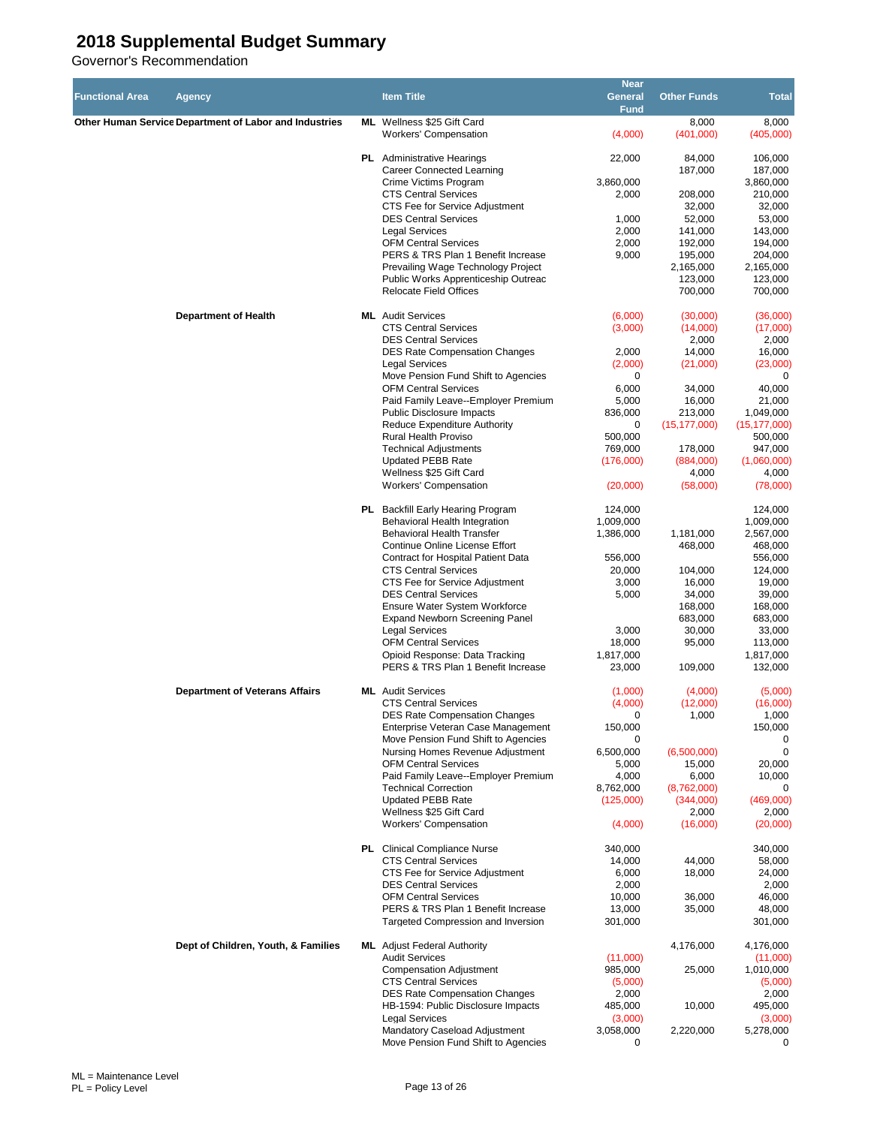|                        |                                                        |                                                                           | <b>Near</b>        |                          |                       |
|------------------------|--------------------------------------------------------|---------------------------------------------------------------------------|--------------------|--------------------------|-----------------------|
| <b>Functional Area</b> | Agency                                                 | <b>Item Title</b>                                                         | General            | <b>Other Funds</b>       | <b>Total</b>          |
|                        |                                                        |                                                                           | <b>Fund</b>        |                          |                       |
|                        | Other Human Service Department of Labor and Industries | ML Wellness \$25 Gift Card                                                |                    | 8,000                    | 8,000                 |
|                        |                                                        | <b>Workers' Compensation</b>                                              | (4,000)            | (401,000)                | (405,000)             |
|                        |                                                        |                                                                           |                    |                          |                       |
|                        |                                                        | <b>PL</b> Administrative Hearings<br><b>Career Connected Learning</b>     | 22,000             | 84,000<br>187,000        | 106,000<br>187,000    |
|                        |                                                        | Crime Victims Program                                                     | 3,860,000          |                          | 3,860,000             |
|                        |                                                        | <b>CTS Central Services</b>                                               | 2,000              | 208,000                  | 210,000               |
|                        |                                                        | CTS Fee for Service Adjustment                                            |                    | 32,000                   | 32,000                |
|                        |                                                        | <b>DES Central Services</b>                                               | 1,000              | 52,000                   | 53,000                |
|                        |                                                        | <b>Legal Services</b>                                                     | 2,000              | 141,000                  | 143,000               |
|                        |                                                        | <b>OFM Central Services</b>                                               | 2,000              | 192,000                  | 194,000               |
|                        |                                                        | PERS & TRS Plan 1 Benefit Increase                                        | 9,000              | 195,000                  | 204,000               |
|                        |                                                        | Prevailing Wage Technology Project<br>Public Works Apprenticeship Outreac |                    | 2,165,000<br>123,000     | 2,165,000<br>123,000  |
|                        |                                                        | <b>Relocate Field Offices</b>                                             |                    | 700,000                  | 700,000               |
|                        |                                                        |                                                                           |                    |                          |                       |
|                        | <b>Department of Health</b>                            | <b>ML</b> Audit Services                                                  | (6,000)            | (30,000)                 | (36,000)              |
|                        |                                                        | <b>CTS Central Services</b>                                               | (3,000)            | (14,000)                 | (17,000)              |
|                        |                                                        | <b>DES Central Services</b>                                               |                    | 2,000                    | 2,000                 |
|                        |                                                        | <b>DES Rate Compensation Changes</b>                                      | 2,000              | 14,000                   | 16,000                |
|                        |                                                        | <b>Legal Services</b>                                                     | (2,000)            | (21,000)                 | (23,000)              |
|                        |                                                        | Move Pension Fund Shift to Agencies<br><b>OFM Central Services</b>        | 0<br>6,000         | 34,000                   | 0<br>40,000           |
|                        |                                                        | Paid Family Leave--Employer Premium                                       | 5,000              | 16,000                   | 21,000                |
|                        |                                                        | <b>Public Disclosure Impacts</b>                                          | 836,000            | 213,000                  | 1,049,000             |
|                        |                                                        | <b>Reduce Expenditure Authority</b>                                       | 0                  | (15, 177, 000)           | (15, 177, 000)        |
|                        |                                                        | <b>Rural Health Proviso</b>                                               | 500,000            |                          | 500,000               |
|                        |                                                        | <b>Technical Adjustments</b>                                              | 769,000            | 178,000                  | 947,000               |
|                        |                                                        | <b>Updated PEBB Rate</b>                                                  | (176,000)          | (884,000)                | (1,060,000)           |
|                        |                                                        | Wellness \$25 Gift Card                                                   |                    | 4,000                    | 4,000                 |
|                        |                                                        | <b>Workers' Compensation</b>                                              | (20,000)           | (58,000)                 | (78,000)              |
|                        |                                                        | PL Backfill Early Hearing Program                                         | 124,000            |                          | 124,000               |
|                        |                                                        | Behavioral Health Integration                                             | 1,009,000          |                          | 1,009,000             |
|                        |                                                        | <b>Behavioral Health Transfer</b>                                         | 1,386,000          | 1,181,000                | 2,567,000             |
|                        |                                                        | Continue Online License Effort                                            |                    | 468,000                  | 468,000               |
|                        |                                                        | Contract for Hospital Patient Data                                        | 556,000            |                          | 556,000               |
|                        |                                                        | <b>CTS Central Services</b>                                               | 20,000             | 104,000                  | 124,000               |
|                        |                                                        | CTS Fee for Service Adjustment                                            | 3,000              | 16,000                   | 19,000                |
|                        |                                                        | <b>DES Central Services</b><br>Ensure Water System Workforce              | 5,000              | 34,000<br>168,000        | 39,000<br>168,000     |
|                        |                                                        | <b>Expand Newborn Screening Panel</b>                                     |                    | 683,000                  | 683,000               |
|                        |                                                        | <b>Legal Services</b>                                                     | 3,000              | 30,000                   | 33,000                |
|                        |                                                        | <b>OFM Central Services</b>                                               | 18,000             | 95,000                   | 113,000               |
|                        |                                                        | Opioid Response: Data Tracking                                            | 1,817,000          |                          | 1,817,000             |
|                        |                                                        | PERS & TRS Plan 1 Benefit Increase                                        | 23,000             | 109,000                  | 132,000               |
|                        | <b>Department of Veterans Affairs</b>                  | <b>ML</b> Audit Services                                                  | (1,000)            | (4,000)                  | (5,000)               |
|                        |                                                        | <b>CTS Central Services</b>                                               | (4,000)            | (12,000)                 | (16,000)              |
|                        |                                                        | <b>DES Rate Compensation Changes</b>                                      | 0                  | 1,000                    | 1,000                 |
|                        |                                                        | Enterprise Veteran Case Management                                        | 150,000            |                          | 150,000               |
|                        |                                                        | Move Pension Fund Shift to Agencies                                       | 0                  |                          | $\Omega$              |
|                        |                                                        | Nursing Homes Revenue Adjustment                                          | 6,500,000          | (6,500,000)              | 0                     |
|                        |                                                        | <b>OFM Central Services</b>                                               | 5,000              | 15,000                   | 20,000                |
|                        |                                                        | Paid Family Leave--Employer Premium                                       | 4,000<br>8,762,000 | 6,000                    | 10,000<br>$\mathbf 0$ |
|                        |                                                        | <b>Technical Correction</b><br><b>Updated PEBB Rate</b>                   | (125,000)          | (8,762,000)<br>(344,000) | (469,000)             |
|                        |                                                        | Wellness \$25 Gift Card                                                   |                    | 2,000                    | 2,000                 |
|                        |                                                        | <b>Workers' Compensation</b>                                              | (4,000)            | (16,000)                 | (20,000)              |
|                        |                                                        |                                                                           |                    |                          |                       |
|                        |                                                        | <b>PL</b> Clinical Compliance Nurse                                       | 340,000            |                          | 340,000               |
|                        |                                                        | <b>CTS Central Services</b>                                               | 14,000             | 44,000                   | 58,000                |
|                        |                                                        | CTS Fee for Service Adjustment<br><b>DES Central Services</b>             | 6,000<br>2,000     | 18,000                   | 24,000<br>2,000       |
|                        |                                                        | <b>OFM Central Services</b>                                               | 10,000             | 36,000                   | 46,000                |
|                        |                                                        | PERS & TRS Plan 1 Benefit Increase                                        | 13,000             | 35,000                   | 48,000                |
|                        |                                                        | Targeted Compression and Inversion                                        | 301,000            |                          | 301,000               |
|                        |                                                        |                                                                           |                    |                          |                       |
|                        | Dept of Children, Youth, & Families                    | <b>ML</b> Adjust Federal Authority<br><b>Audit Services</b>               | (11,000)           | 4,176,000                | 4,176,000<br>(11,000) |
|                        |                                                        | <b>Compensation Adjustment</b>                                            | 985,000            | 25,000                   | 1,010,000             |
|                        |                                                        | <b>CTS Central Services</b>                                               | (5,000)            |                          | (5,000)               |
|                        |                                                        | <b>DES Rate Compensation Changes</b>                                      | 2,000              |                          | 2,000                 |
|                        |                                                        | HB-1594: Public Disclosure Impacts                                        | 485,000            | 10,000                   | 495,000               |
|                        |                                                        | Legal Services                                                            | (3,000)            |                          | (3,000)               |
|                        |                                                        | Mandatory Caseload Adjustment<br>Move Pension Fund Shift to Agencies      | 3,058,000<br>0     | 2,220,000                | 5,278,000<br>0        |
|                        |                                                        |                                                                           |                    |                          |                       |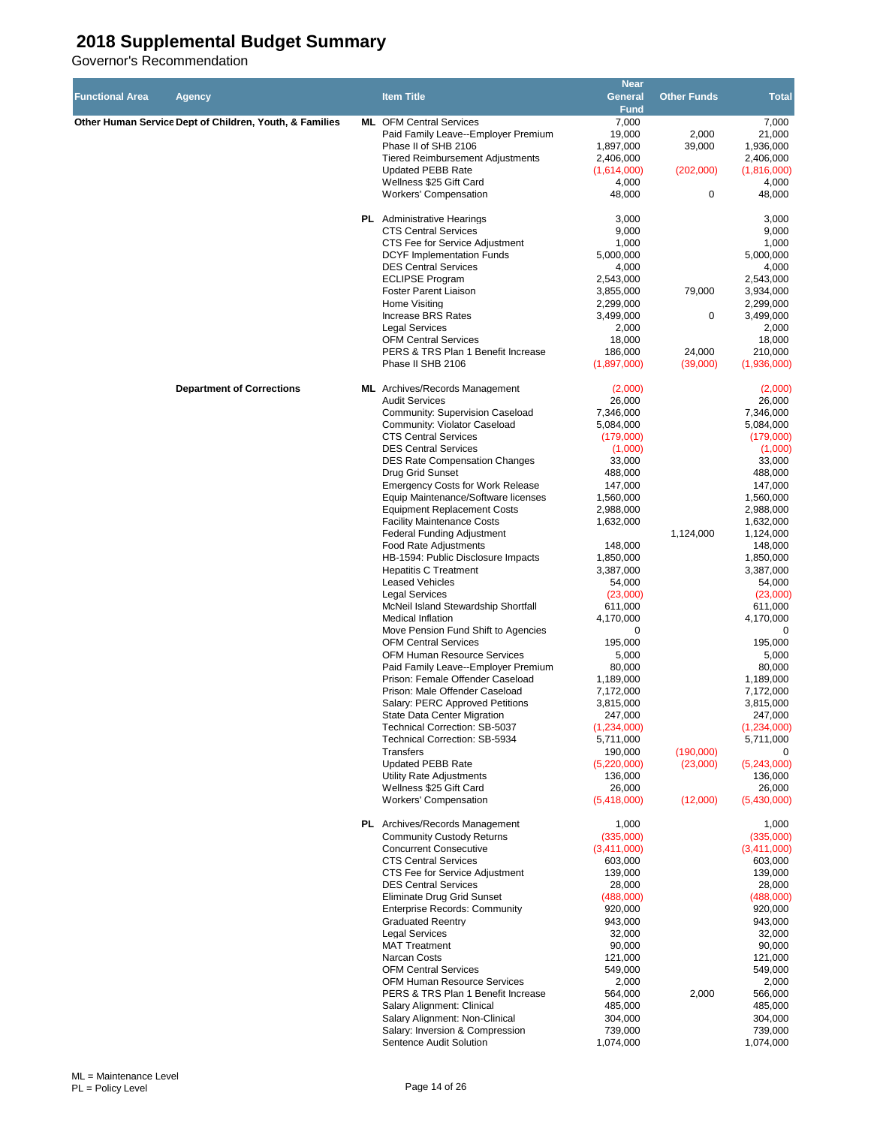|                        |                                                         |                                                                         | <b>Near</b>            |                    |                        |
|------------------------|---------------------------------------------------------|-------------------------------------------------------------------------|------------------------|--------------------|------------------------|
| <b>Functional Area</b> | <b>Agency</b>                                           | <b>Item Title</b>                                                       | General                | <b>Other Funds</b> | <b>Total</b>           |
|                        |                                                         |                                                                         | <b>Fund</b>            |                    |                        |
|                        | Other Human Service Dept of Children, Youth, & Families | <b>ML</b> OFM Central Services                                          | 7,000                  |                    | 7,000                  |
|                        |                                                         | Paid Family Leave--Employer Premium                                     | 19,000                 | 2,000              | 21,000                 |
|                        |                                                         | Phase II of SHB 2106<br><b>Tiered Reimbursement Adjustments</b>         | 1,897,000<br>2,406,000 | 39,000             | 1,936,000<br>2,406,000 |
|                        |                                                         | <b>Updated PEBB Rate</b>                                                | (1,614,000)            | (202,000)          | (1,816,000)            |
|                        |                                                         | Wellness \$25 Gift Card                                                 | 4,000                  |                    | 4,000                  |
|                        |                                                         | <b>Workers' Compensation</b>                                            | 48,000                 | 0                  | 48,000                 |
|                        |                                                         |                                                                         |                        |                    |                        |
|                        |                                                         | <b>PL</b> Administrative Hearings                                       | 3,000                  |                    | 3,000                  |
|                        |                                                         | <b>CTS Central Services</b>                                             | 9,000                  |                    | 9,000                  |
|                        |                                                         | CTS Fee for Service Adjustment                                          | 1,000                  |                    | 1,000                  |
|                        |                                                         | <b>DCYF Implementation Funds</b>                                        | 5,000,000              |                    | 5,000,000              |
|                        |                                                         | <b>DES Central Services</b>                                             | 4,000                  |                    | 4,000                  |
|                        |                                                         | <b>ECLIPSE Program</b>                                                  | 2,543,000              |                    | 2,543,000              |
|                        |                                                         | <b>Foster Parent Liaison</b>                                            | 3,855,000              | 79,000             | 3,934,000              |
|                        |                                                         | Home Visiting                                                           | 2,299,000              |                    | 2,299,000              |
|                        |                                                         | <b>Increase BRS Rates</b>                                               | 3,499,000              | 0                  | 3,499,000              |
|                        |                                                         | <b>Legal Services</b><br><b>OFM Central Services</b>                    | 2,000<br>18,000        |                    | 2,000<br>18,000        |
|                        |                                                         | PERS & TRS Plan 1 Benefit Increase                                      | 186,000                | 24,000             | 210,000                |
|                        |                                                         | Phase II SHB 2106                                                       | (1,897,000)            | (39,000)           | (1,936,000)            |
|                        |                                                         |                                                                         |                        |                    |                        |
|                        | <b>Department of Corrections</b>                        | <b>ML</b> Archives/Records Management                                   | (2,000)                |                    | (2,000)                |
|                        |                                                         | <b>Audit Services</b>                                                   | 26,000                 |                    | 26,000                 |
|                        |                                                         | Community: Supervision Caseload                                         | 7,346,000              |                    | 7,346,000              |
|                        |                                                         | Community: Violator Caseload                                            | 5,084,000              |                    | 5,084,000              |
|                        |                                                         | <b>CTS Central Services</b>                                             | (179,000)              |                    | (179,000)              |
|                        |                                                         | <b>DES Central Services</b>                                             | (1,000)                |                    | (1,000)                |
|                        |                                                         | <b>DES Rate Compensation Changes</b>                                    | 33,000                 |                    | 33,000                 |
|                        |                                                         | Drug Grid Sunset                                                        | 488,000                |                    | 488,000                |
|                        |                                                         | <b>Emergency Costs for Work Release</b>                                 | 147,000                |                    | 147,000                |
|                        |                                                         | Equip Maintenance/Software licenses                                     | 1,560,000              |                    | 1,560,000              |
|                        |                                                         | <b>Equipment Replacement Costs</b><br><b>Facility Maintenance Costs</b> | 2,988,000<br>1,632,000 |                    | 2,988,000<br>1,632,000 |
|                        |                                                         | <b>Federal Funding Adjustment</b>                                       |                        | 1,124,000          | 1,124,000              |
|                        |                                                         | Food Rate Adjustments                                                   | 148,000                |                    | 148,000                |
|                        |                                                         | HB-1594: Public Disclosure Impacts                                      | 1,850,000              |                    | 1,850,000              |
|                        |                                                         | <b>Hepatitis C Treatment</b>                                            | 3,387,000              |                    | 3,387,000              |
|                        |                                                         | <b>Leased Vehicles</b>                                                  | 54,000                 |                    | 54,000                 |
|                        |                                                         | <b>Legal Services</b>                                                   | (23,000)               |                    | (23,000)               |
|                        |                                                         | McNeil Island Stewardship Shortfall                                     | 611,000                |                    | 611,000                |
|                        |                                                         | <b>Medical Inflation</b>                                                | 4,170,000              |                    | 4,170,000              |
|                        |                                                         | Move Pension Fund Shift to Agencies                                     | 0                      |                    | $\Omega$               |
|                        |                                                         | <b>OFM Central Services</b>                                             | 195,000                |                    | 195,000                |
|                        |                                                         | <b>OFM Human Resource Services</b>                                      | 5,000                  |                    | 5,000                  |
|                        |                                                         | Paid Family Leave--Employer Premium                                     | 80,000                 |                    | 80,000                 |
|                        |                                                         | Prison: Female Offender Caseload                                        | 1,189,000              |                    | 1,189,000              |
|                        |                                                         | Prison: Male Offender Caseload                                          | 7,172,000              |                    | 7,172,000              |
|                        |                                                         | Salary: PERC Approved Petitions<br>State Data Center Migration          | 3,815,000              |                    | 3,815,000<br>247,000   |
|                        |                                                         | Technical Correction: SB-5037                                           | 247,000<br>(1,234,000) |                    | (1,234,000)            |
|                        |                                                         | <b>Technical Correction: SB-5934</b>                                    | 5,711,000              |                    | 5,711,000              |
|                        |                                                         | Transfers                                                               | 190,000                | (190,000)          | 0                      |
|                        |                                                         | Updated PEBB Rate                                                       | (5,220,000)            | (23,000)           | (5,243,000)            |
|                        |                                                         | Utility Rate Adjustments                                                | 136,000                |                    | 136,000                |
|                        |                                                         | Wellness \$25 Gift Card                                                 | 26,000                 |                    | 26,000                 |
|                        |                                                         | <b>Workers' Compensation</b>                                            | (5,418,000)            | (12,000)           | (5,430,000)            |
|                        |                                                         |                                                                         |                        |                    |                        |
|                        |                                                         | PL Archives/Records Management                                          | 1,000                  |                    | 1,000                  |
|                        |                                                         | <b>Community Custody Returns</b>                                        | (335,000)              |                    | (335,000)              |
|                        |                                                         | <b>Concurrent Consecutive</b><br><b>CTS Central Services</b>            | (3,411,000)<br>603,000 |                    | (3,411,000)<br>603,000 |
|                        |                                                         | CTS Fee for Service Adjustment                                          | 139,000                |                    | 139,000                |
|                        |                                                         | <b>DES Central Services</b>                                             | 28,000                 |                    | 28,000                 |
|                        |                                                         | Eliminate Drug Grid Sunset                                              | (488,000)              |                    | (488,000)              |
|                        |                                                         | <b>Enterprise Records: Community</b>                                    | 920,000                |                    | 920,000                |
|                        |                                                         | <b>Graduated Reentry</b>                                                | 943,000                |                    | 943,000                |
|                        |                                                         | <b>Legal Services</b>                                                   | 32,000                 |                    | 32,000                 |
|                        |                                                         | <b>MAT Treatment</b>                                                    | 90,000                 |                    | 90,000                 |
|                        |                                                         | <b>Narcan Costs</b>                                                     | 121,000                |                    | 121,000                |
|                        |                                                         | <b>OFM Central Services</b>                                             | 549,000                |                    | 549,000                |
|                        |                                                         | <b>OFM Human Resource Services</b>                                      | 2,000                  |                    | 2,000                  |
|                        |                                                         | PERS & TRS Plan 1 Benefit Increase                                      | 564,000                | 2,000              | 566,000                |
|                        |                                                         | Salary Alignment: Clinical                                              | 485,000                |                    | 485,000                |
|                        |                                                         | Salary Alignment: Non-Clinical                                          | 304,000                |                    | 304,000                |
|                        |                                                         | Salary: Inversion & Compression                                         | 739,000                |                    | 739,000                |
|                        |                                                         | Sentence Audit Solution                                                 | 1,074,000              |                    | 1,074,000              |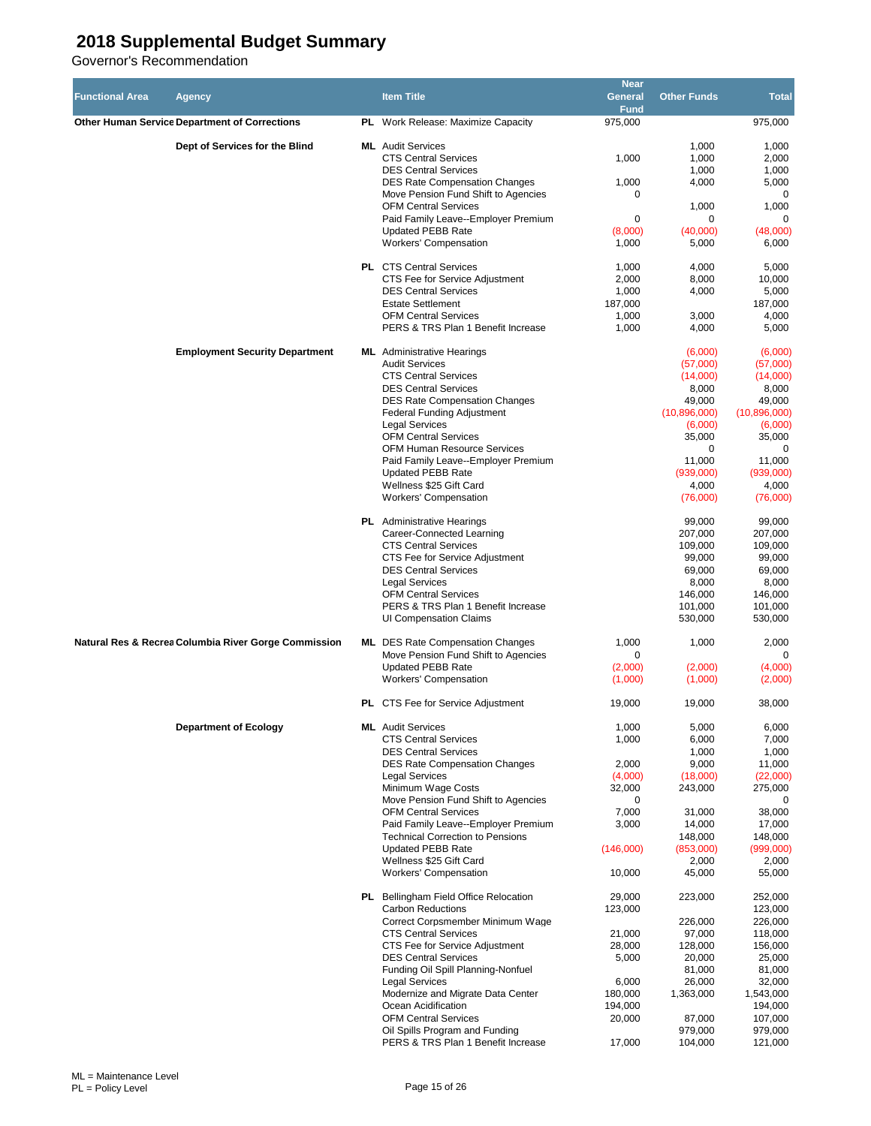| <b>Functional Area</b> | Agency                                               | <b>Item Title</b>                                                                                                                                                                                                                                                                                                                                                                                                                              | <b>Near</b><br>General<br><b>Fund</b>                                                             | <b>Other Funds</b>                                                                                                                       | <b>Total</b>                                                                                                                               |
|------------------------|------------------------------------------------------|------------------------------------------------------------------------------------------------------------------------------------------------------------------------------------------------------------------------------------------------------------------------------------------------------------------------------------------------------------------------------------------------------------------------------------------------|---------------------------------------------------------------------------------------------------|------------------------------------------------------------------------------------------------------------------------------------------|--------------------------------------------------------------------------------------------------------------------------------------------|
|                        | <b>Other Human Service Department of Corrections</b> | PL Work Release: Maximize Capacity                                                                                                                                                                                                                                                                                                                                                                                                             | 975,000                                                                                           |                                                                                                                                          | 975,000                                                                                                                                    |
|                        | Dept of Services for the Blind                       | <b>ML</b> Audit Services<br><b>CTS Central Services</b><br><b>DES Central Services</b><br><b>DES Rate Compensation Changes</b><br>Move Pension Fund Shift to Agencies<br><b>OFM Central Services</b><br>Paid Family Leave--Employer Premium<br><b>Updated PEBB Rate</b><br><b>Workers' Compensation</b>                                                                                                                                        | 1,000<br>1,000<br>0<br>0<br>(8,000)<br>1,000                                                      | 1,000<br>1,000<br>1,000<br>4,000<br>1,000<br>0<br>(40,000)<br>5,000                                                                      | 1,000<br>2,000<br>1,000<br>5,000<br>0<br>1,000<br>$\Omega$<br>(48,000)<br>6,000                                                            |
|                        |                                                      | <b>PL</b> CTS Central Services<br>CTS Fee for Service Adjustment<br><b>DES Central Services</b><br><b>Estate Settlement</b><br><b>OFM Central Services</b><br>PERS & TRS Plan 1 Benefit Increase                                                                                                                                                                                                                                               | 1,000<br>2,000<br>1,000<br>187,000<br>1,000<br>1,000                                              | 4,000<br>8,000<br>4,000<br>3,000<br>4,000                                                                                                | 5,000<br>10,000<br>5,000<br>187,000<br>4,000<br>5,000                                                                                      |
|                        | <b>Employment Security Department</b>                | <b>ML</b> Administrative Hearings<br><b>Audit Services</b><br><b>CTS Central Services</b><br><b>DES Central Services</b><br><b>DES Rate Compensation Changes</b><br><b>Federal Funding Adjustment</b><br><b>Legal Services</b><br><b>OFM Central Services</b><br><b>OFM Human Resource Services</b><br>Paid Family Leave--Employer Premium<br><b>Updated PEBB Rate</b><br>Wellness \$25 Gift Card<br><b>Workers' Compensation</b>              |                                                                                                   | (6,000)<br>(57,000)<br>(14,000)<br>8,000<br>49,000<br>(10,896,000)<br>(6,000)<br>35,000<br>0<br>11,000<br>(939,000)<br>4,000<br>(76,000) | (6,000)<br>(57,000)<br>(14,000)<br>8,000<br>49,000<br>(10.896,000)<br>(6,000)<br>35,000<br>0<br>11,000<br>(939,000)<br>4,000<br>(76,000)   |
|                        |                                                      | <b>PL</b> Administrative Hearings<br>Career-Connected Learning<br><b>CTS Central Services</b><br>CTS Fee for Service Adjustment<br><b>DES Central Services</b><br><b>Legal Services</b><br><b>OFM Central Services</b><br>PERS & TRS Plan 1 Benefit Increase<br>UI Compensation Claims                                                                                                                                                         |                                                                                                   | 99,000<br>207,000<br>109,000<br>99,000<br>69,000<br>8,000<br>146,000<br>101,000<br>530,000                                               | 99,000<br>207,000<br>109,000<br>99,000<br>69,000<br>8,000<br>146,000<br>101,000<br>530,000                                                 |
|                        | Natural Res & Recrea Columbia River Gorge Commission | <b>ML</b> DES Rate Compensation Changes<br>Move Pension Fund Shift to Agencies<br><b>Updated PEBB Rate</b><br><b>Workers' Compensation</b>                                                                                                                                                                                                                                                                                                     | 1,000<br>0<br>(2,000)<br>(1,000)                                                                  | 1,000<br>(2,000)<br>(1,000)                                                                                                              | 2,000<br>$\Omega$<br>(4,000)<br>(2,000)                                                                                                    |
|                        |                                                      | <b>PL</b> CTS Fee for Service Adjustment                                                                                                                                                                                                                                                                                                                                                                                                       | 19,000                                                                                            | 19,000                                                                                                                                   | 38,000                                                                                                                                     |
|                        | <b>Department of Ecology</b>                         | <b>ML</b> Audit Services<br><b>CTS Central Services</b><br><b>DES Central Services</b><br><b>DES Rate Compensation Changes</b><br><b>Legal Services</b><br>Minimum Wage Costs<br>Move Pension Fund Shift to Agencies<br><b>OFM Central Services</b><br>Paid Family Leave--Employer Premium<br><b>Technical Correction to Pensions</b><br><b>Updated PEBB Rate</b><br>Wellness \$25 Gift Card<br><b>Workers' Compensation</b>                   | 1,000<br>1,000<br>2,000<br>(4,000)<br>32,000<br>0<br>7,000<br>3,000<br>(146,000)<br>10,000        | 5,000<br>6,000<br>1,000<br>9,000<br>(18,000)<br>243,000<br>31,000<br>14,000<br>148,000<br>(853,000)<br>2,000<br>45,000                   | 6,000<br>7,000<br>1,000<br>11,000<br>(22,000)<br>275,000<br>0<br>38,000<br>17,000<br>148,000<br>(999,000)<br>2,000<br>55,000               |
|                        |                                                      | <b>PL</b> Bellingham Field Office Relocation<br><b>Carbon Reductions</b><br>Correct Corpsmember Minimum Wage<br><b>CTS Central Services</b><br>CTS Fee for Service Adjustment<br><b>DES Central Services</b><br>Funding Oil Spill Planning-Nonfuel<br><b>Legal Services</b><br>Modernize and Migrate Data Center<br>Ocean Acidification<br><b>OFM Central Services</b><br>Oil Spills Program and Funding<br>PERS & TRS Plan 1 Benefit Increase | 29,000<br>123,000<br>21,000<br>28,000<br>5,000<br>6,000<br>180,000<br>194,000<br>20,000<br>17,000 | 223,000<br>226,000<br>97,000<br>128,000<br>20,000<br>81,000<br>26,000<br>1,363,000<br>87,000<br>979,000<br>104,000                       | 252,000<br>123,000<br>226,000<br>118,000<br>156,000<br>25,000<br>81,000<br>32,000<br>1,543,000<br>194,000<br>107,000<br>979,000<br>121,000 |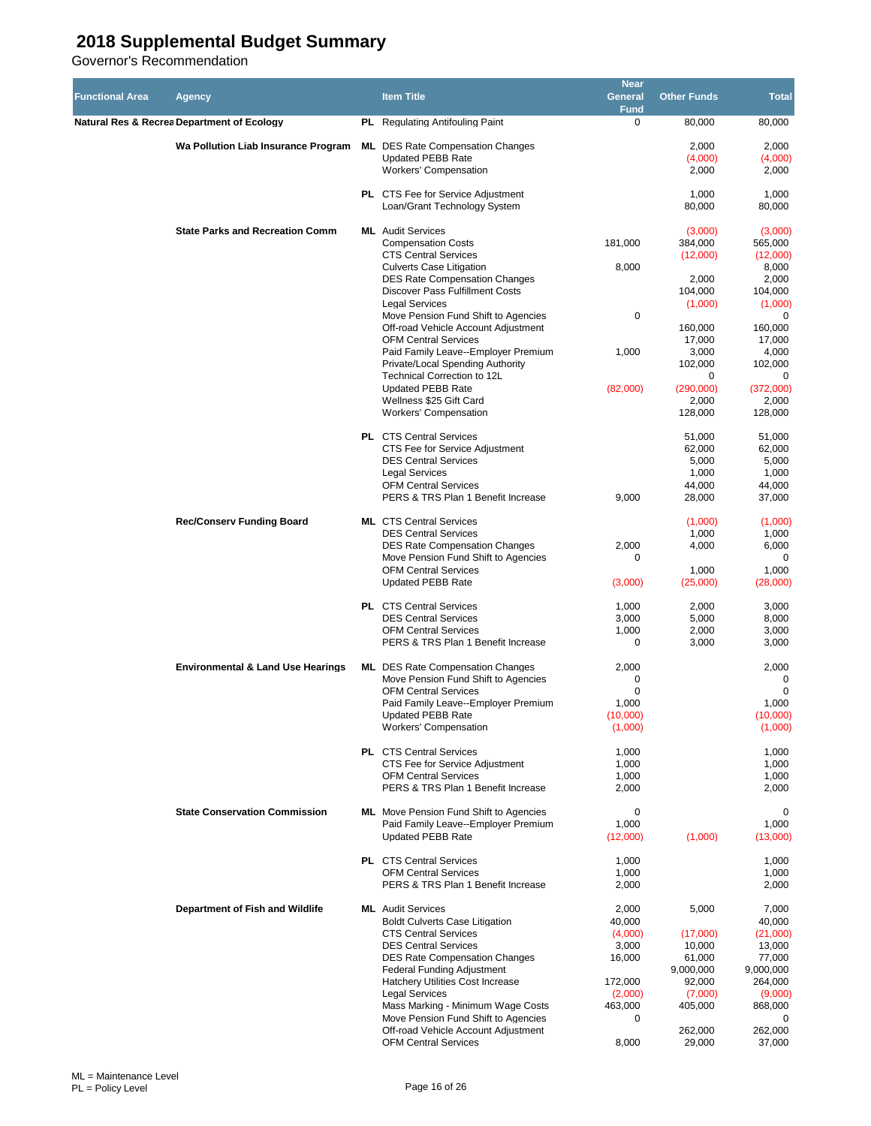| <b>Functional Area</b> | Agency                                                  | <b>Item Title</b>                                                                            | <b>Near</b><br>General<br><b>Fund</b> | <b>Other Funds</b>        | <b>Total</b>              |
|------------------------|---------------------------------------------------------|----------------------------------------------------------------------------------------------|---------------------------------------|---------------------------|---------------------------|
|                        | Natural Res & Recrea Department of Ecology              | <b>PL</b> Regulating Antifouling Paint                                                       | $\mathbf 0$                           | 80,000                    | 80,000                    |
|                        | Wa Pollution Liab Insurance Program                     | <b>ML</b> DES Rate Compensation Changes<br><b>Updated PEBB Rate</b><br>Workers' Compensation |                                       | 2,000<br>(4,000)<br>2,000 | 2,000<br>(4,000)<br>2,000 |
|                        |                                                         | <b>PL</b> CTS Fee for Service Adjustment<br>Loan/Grant Technology System                     |                                       | 1,000<br>80,000           | 1,000<br>80,000           |
|                        | <b>State Parks and Recreation Comm</b>                  | <b>ML</b> Audit Services                                                                     |                                       | (3,000)                   | (3,000)                   |
|                        |                                                         | <b>Compensation Costs</b><br><b>CTS Central Services</b>                                     | 181.000                               | 384,000<br>(12,000)       | 565,000<br>(12,000)       |
|                        |                                                         | <b>Culverts Case Litigation</b><br><b>DES Rate Compensation Changes</b>                      | 8,000                                 | 2,000                     | 8,000<br>2,000            |
|                        |                                                         | <b>Discover Pass Fulfillment Costs</b><br><b>Legal Services</b>                              |                                       | 104,000<br>(1,000)        | 104,000<br>(1,000)        |
|                        |                                                         | Move Pension Fund Shift to Agencies                                                          | 0                                     |                           | 0                         |
|                        |                                                         | Off-road Vehicle Account Adjustment<br><b>OFM Central Services</b>                           |                                       | 160,000<br>17,000         | 160,000<br>17,000         |
|                        |                                                         | Paid Family Leave--Employer Premium                                                          | 1,000                                 | 3,000                     | 4,000                     |
|                        |                                                         | Private/Local Spending Authority<br>Technical Correction to 12L                              |                                       | 102,000<br>0              | 102,000<br>0              |
|                        |                                                         | <b>Updated PEBB Rate</b>                                                                     | (82,000)                              | (290,000)                 | (372,000)                 |
|                        |                                                         | Wellness \$25 Gift Card<br><b>Workers' Compensation</b>                                      |                                       | 2,000<br>128,000          | 2,000<br>128,000          |
|                        |                                                         | <b>PL</b> CTS Central Services                                                               |                                       | 51,000                    | 51,000                    |
|                        |                                                         | CTS Fee for Service Adjustment<br><b>DES Central Services</b>                                |                                       | 62,000<br>5,000           | 62,000<br>5,000           |
|                        |                                                         | <b>Legal Services</b>                                                                        |                                       | 1,000                     | 1,000                     |
|                        |                                                         | <b>OFM Central Services</b><br>PERS & TRS Plan 1 Benefit Increase                            | 9,000                                 | 44,000<br>28,000          | 44,000<br>37,000          |
|                        | <b>Rec/Conserv Funding Board</b>                        | <b>ML</b> CTS Central Services                                                               |                                       | (1,000)                   | (1,000)                   |
|                        |                                                         | <b>DES Central Services</b><br><b>DES Rate Compensation Changes</b>                          | 2,000                                 | 1,000<br>4,000            | 1,000<br>6,000            |
|                        |                                                         | Move Pension Fund Shift to Agencies                                                          | 0                                     |                           | 0                         |
|                        | <b>OFM Central Services</b><br><b>Updated PEBB Rate</b> | (3,000)                                                                                      | 1,000<br>(25,000)                     | 1,000<br>(28,000)         |                           |
|                        |                                                         | <b>PL</b> CTS Central Services                                                               | 1,000                                 | 2,000                     | 3,000                     |
|                        |                                                         | <b>DES Central Services</b><br><b>OFM Central Services</b>                                   | 3,000<br>1,000                        | 5,000<br>2,000            | 8,000<br>3,000            |
|                        |                                                         | PERS & TRS Plan 1 Benefit Increase                                                           | 0                                     | 3,000                     | 3,000                     |
|                        | <b>Environmental &amp; Land Use Hearings</b>            | <b>ML</b> DES Rate Compensation Changes                                                      | 2,000                                 |                           | 2,000                     |
|                        |                                                         | Move Pension Fund Shift to Agencies<br><b>OFM Central Services</b>                           | 0<br>$\mathbf 0$                      |                           | 0<br>$\mathbf 0$          |
|                        |                                                         | Paid Family Leave--Employer Premium                                                          | 1,000                                 |                           | 1,000                     |
|                        |                                                         | <b>Updated PEBB Rate</b><br>Workers' Compensation                                            | (10,000)<br>(1,000)                   |                           | (10,000)<br>(1,000)       |
|                        |                                                         | <b>PL</b> CTS Central Services                                                               | 1,000                                 |                           | 1,000                     |
|                        |                                                         | CTS Fee for Service Adjustment<br><b>OFM Central Services</b>                                | 1,000<br>1,000                        |                           | 1,000<br>1,000            |
|                        |                                                         | PERS & TRS Plan 1 Benefit Increase                                                           | 2,000                                 |                           | 2,000                     |
|                        | <b>State Conservation Commission</b>                    | <b>ML</b> Move Pension Fund Shift to Agencies                                                | 0                                     |                           | 0                         |
|                        |                                                         | Paid Family Leave--Employer Premium<br><b>Updated PEBB Rate</b>                              | 1,000<br>(12,000)                     | (1,000)                   | 1,000<br>(13,000)         |
|                        |                                                         | <b>PL</b> CTS Central Services<br><b>OFM Central Services</b>                                | 1,000<br>1,000                        |                           | 1,000<br>1,000            |
|                        |                                                         | PERS & TRS Plan 1 Benefit Increase                                                           | 2,000                                 |                           | 2,000                     |
|                        | Department of Fish and Wildlife                         | <b>ML</b> Audit Services                                                                     | 2,000                                 | 5,000                     | 7,000                     |
|                        |                                                         | <b>Boldt Culverts Case Litigation</b><br><b>CTS Central Services</b>                         | 40,000<br>(4,000)                     | (17,000)                  | 40,000<br>(21,000)        |
|                        |                                                         | <b>DES Central Services</b>                                                                  | 3,000                                 | 10,000                    | 13,000                    |
|                        |                                                         | <b>DES Rate Compensation Changes</b><br>Federal Funding Adjustment                           | 16,000                                | 61,000<br>9,000,000       | 77,000<br>9,000,000       |
|                        |                                                         | Hatchery Utilities Cost Increase                                                             | 172,000                               | 92,000                    | 264,000                   |
|                        |                                                         | <b>Legal Services</b><br>Mass Marking - Minimum Wage Costs                                   | (2,000)<br>463,000                    | (7,000)<br>405,000        | (9,000)<br>868,000        |
|                        |                                                         | Move Pension Fund Shift to Agencies                                                          | 0                                     |                           | 0                         |
|                        |                                                         | Off-road Vehicle Account Adjustment<br><b>OFM Central Services</b>                           | 8,000                                 | 262,000<br>29,000         | 262,000<br>37,000         |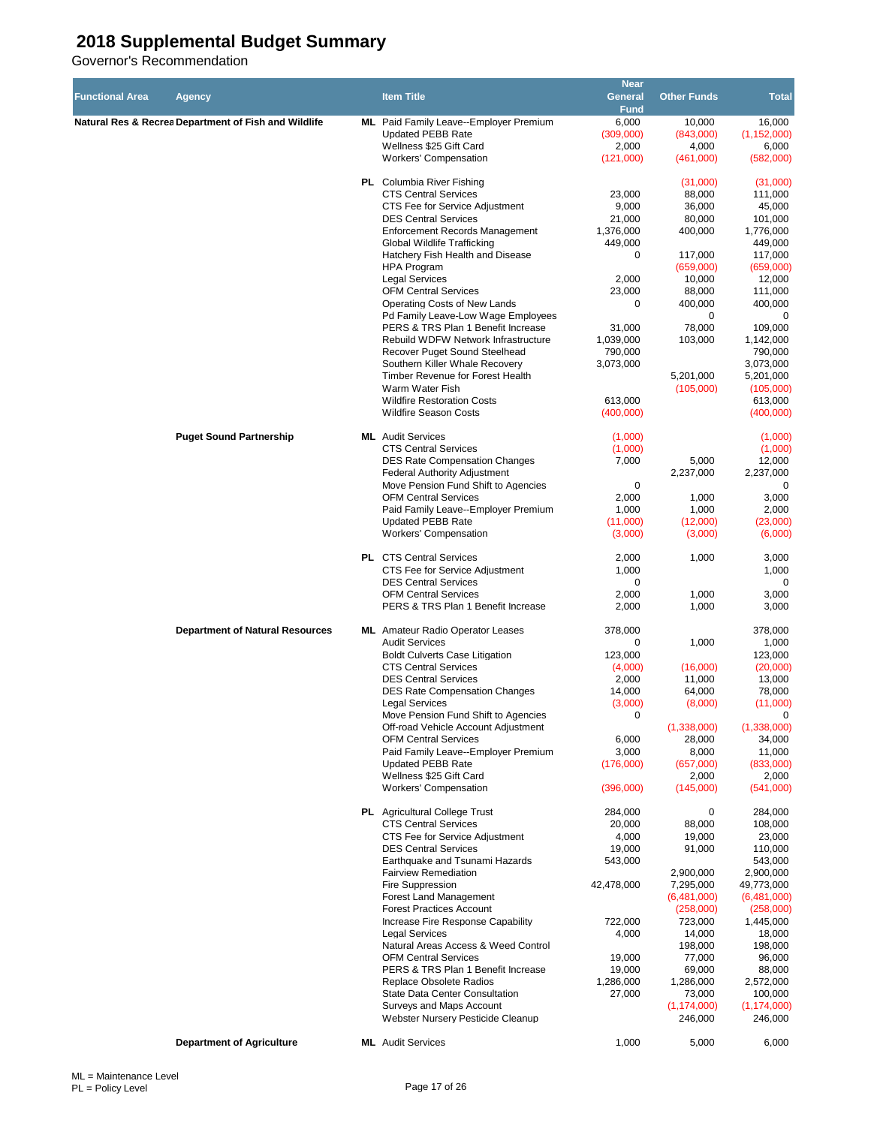| <b>Functional Area</b> | Agency                                               | <b>Item Title</b>                                                         | <b>Near</b><br>General | <b>Other Funds</b>       | Total                    |
|------------------------|------------------------------------------------------|---------------------------------------------------------------------------|------------------------|--------------------------|--------------------------|
|                        | Natural Res & Recrea Department of Fish and Wildlife | ML Paid Family Leave--Employer Premium                                    | <b>Fund</b><br>6,000   | 10,000                   | 16,000                   |
|                        |                                                      | <b>Updated PEBB Rate</b>                                                  | (309,000)              | (843,000)                | (1, 152, 000)            |
|                        |                                                      | Wellness \$25 Gift Card                                                   | 2,000                  | 4,000                    | 6,000                    |
|                        |                                                      | Workers' Compensation                                                     | (121,000)              | (461,000)                | (582,000)                |
|                        |                                                      | <b>PL</b> Columbia River Fishing                                          |                        | (31,000)                 | (31,000)                 |
|                        |                                                      | <b>CTS Central Services</b>                                               | 23,000                 | 88,000                   | 111,000                  |
|                        |                                                      | CTS Fee for Service Adjustment                                            | 9,000                  | 36,000                   | 45,000                   |
|                        |                                                      | <b>DES Central Services</b>                                               | 21,000                 | 80,000                   | 101,000                  |
|                        |                                                      | <b>Enforcement Records Management</b>                                     | 1,376,000              | 400,000                  | 1,776,000                |
|                        |                                                      | Global Wildlife Trafficking                                               | 449.000                |                          | 449.000                  |
|                        |                                                      | Hatchery Fish Health and Disease                                          | 0                      | 117,000                  | 117,000                  |
|                        |                                                      | <b>HPA Program</b>                                                        |                        | (659,000)                | (659,000)                |
|                        |                                                      | <b>Legal Services</b>                                                     | 2,000                  | 10,000                   | 12,000                   |
|                        |                                                      | <b>OFM Central Services</b>                                               | 23,000                 | 88,000                   | 111,000                  |
|                        |                                                      | Operating Costs of New Lands                                              | 0                      | 400,000                  | 400,000                  |
|                        |                                                      | Pd Family Leave-Low Wage Employees                                        |                        | 0                        | 0                        |
|                        |                                                      | PERS & TRS Plan 1 Benefit Increase<br>Rebuild WDFW Network Infrastructure | 31,000<br>1,039,000    | 78,000<br>103,000        | 109,000<br>1,142,000     |
|                        |                                                      | Recover Puget Sound Steelhead                                             | 790,000                |                          | 790,000                  |
|                        |                                                      | Southern Killer Whale Recovery                                            | 3,073,000              |                          | 3,073,000                |
|                        |                                                      | Timber Revenue for Forest Health                                          |                        | 5,201,000                | 5,201,000                |
|                        |                                                      | Warm Water Fish                                                           |                        | (105,000)                | (105,000)                |
|                        |                                                      | <b>Wildfire Restoration Costs</b>                                         | 613,000                |                          | 613,000                  |
|                        |                                                      | <b>Wildfire Season Costs</b>                                              | (400,000)              |                          | (400,000)                |
|                        | <b>Puget Sound Partnership</b>                       | <b>ML</b> Audit Services                                                  | (1,000)                |                          | (1,000)                  |
|                        |                                                      | <b>CTS Central Services</b>                                               | (1,000)                |                          | (1,000)                  |
|                        |                                                      | <b>DES Rate Compensation Changes</b>                                      | 7,000                  | 5,000                    | 12,000                   |
|                        |                                                      | <b>Federal Authority Adjustment</b>                                       |                        | 2,237,000                | 2,237,000                |
|                        |                                                      | Move Pension Fund Shift to Agencies                                       | 0                      |                          | 0                        |
|                        |                                                      | <b>OFM Central Services</b>                                               | 2,000                  | 1,000                    | 3,000                    |
|                        |                                                      | Paid Family Leave--Employer Premium                                       | 1,000                  | 1,000                    | 2,000                    |
|                        |                                                      | <b>Updated PEBB Rate</b>                                                  | (11,000)               | (12,000)                 | (23,000)                 |
|                        |                                                      | <b>Workers' Compensation</b>                                              | (3,000)                | (3,000)                  | (6,000)                  |
|                        |                                                      | <b>PL</b> CTS Central Services                                            | 2,000                  | 1,000                    | 3,000                    |
|                        |                                                      | CTS Fee for Service Adjustment                                            | 1,000                  |                          | 1,000                    |
|                        |                                                      | <b>DES Central Services</b>                                               | 0                      |                          | 0                        |
|                        |                                                      | <b>OFM Central Services</b>                                               | 2,000                  | 1,000                    | 3,000                    |
|                        |                                                      | PERS & TRS Plan 1 Benefit Increase                                        | 2,000                  | 1,000                    | 3,000                    |
|                        | <b>Department of Natural Resources</b>               | <b>ML</b> Amateur Radio Operator Leases                                   | 378,000                |                          | 378,000                  |
|                        |                                                      | <b>Audit Services</b>                                                     | 0                      | 1,000                    | 1,000                    |
|                        |                                                      | <b>Boldt Culverts Case Litigation</b>                                     | 123,000                |                          | 123,000                  |
|                        |                                                      | <b>CTS Central Services</b>                                               | (4,000)                | (16,000)                 | (20,000)                 |
|                        |                                                      | <b>DES Central Services</b>                                               | 2,000                  | 11,000                   | 13,000                   |
|                        |                                                      | <b>DES Rate Compensation Changes</b>                                      | 14,000                 | 64,000                   | 78,000                   |
|                        |                                                      | <b>Legal Services</b>                                                     | (3,000)                | (8,000)                  | (11,000)                 |
|                        |                                                      | Move Pension Fund Shift to Agencies                                       | 0                      |                          | 0                        |
|                        |                                                      | Off-road Vehicle Account Adjustment                                       |                        | (1,338,000)              | (1,338,000)              |
|                        |                                                      | <b>OFM Central Services</b>                                               | 6,000                  | 28,000                   | 34,000                   |
|                        |                                                      | Paid Family Leave--Employer Premium<br><b>Updated PEBB Rate</b>           | 3,000<br>(176,000)     | 8,000<br>(657,000)       | 11,000<br>(833,000)      |
|                        |                                                      | Wellness \$25 Gift Card                                                   |                        | 2,000                    | 2,000                    |
|                        |                                                      | <b>Workers' Compensation</b>                                              | (396,000)              | (145,000)                | (541,000)                |
|                        |                                                      |                                                                           |                        |                          |                          |
|                        |                                                      | <b>PL</b> Agricultural College Trust                                      | 284,000                | 0                        | 284,000                  |
|                        |                                                      | <b>CTS Central Services</b>                                               | 20,000                 | 88,000                   | 108,000                  |
|                        |                                                      | CTS Fee for Service Adjustment<br><b>DES Central Services</b>             | 4,000<br>19,000        | 19,000<br>91,000         | 23,000<br>110,000        |
|                        |                                                      | Earthquake and Tsunami Hazards                                            | 543,000                |                          | 543,000                  |
|                        |                                                      | <b>Fairview Remediation</b>                                               |                        | 2,900,000                | 2,900,000                |
|                        |                                                      | Fire Suppression                                                          | 42,478,000             | 7,295,000                | 49,773,000               |
|                        |                                                      | Forest Land Management                                                    |                        | (6,481,000)              | (6,481,000)              |
|                        |                                                      | <b>Forest Practices Account</b>                                           |                        | (258,000)                | (258,000)                |
|                        |                                                      | Increase Fire Response Capability                                         | 722,000                | 723,000                  | 1,445,000                |
|                        |                                                      | <b>Legal Services</b>                                                     | 4,000                  | 14,000                   | 18,000                   |
|                        |                                                      | Natural Areas Access & Weed Control                                       |                        | 198,000                  | 198,000                  |
|                        |                                                      | <b>OFM Central Services</b>                                               | 19,000                 | 77,000                   | 96,000                   |
|                        |                                                      | PERS & TRS Plan 1 Benefit Increase                                        | 19,000                 | 69,000                   | 88,000                   |
|                        |                                                      | Replace Obsolete Radios                                                   | 1,286,000              | 1,286,000                | 2,572,000                |
|                        |                                                      | State Data Center Consultation                                            | 27,000                 | 73,000                   | 100,000                  |
|                        |                                                      | Surveys and Maps Account<br>Webster Nursery Pesticide Cleanup             |                        | (1, 174, 000)<br>246,000 | (1, 174, 000)<br>246,000 |
|                        |                                                      |                                                                           |                        |                          |                          |
|                        | <b>Department of Agriculture</b>                     | <b>ML</b> Audit Services                                                  | 1,000                  | 5,000                    | 6,000                    |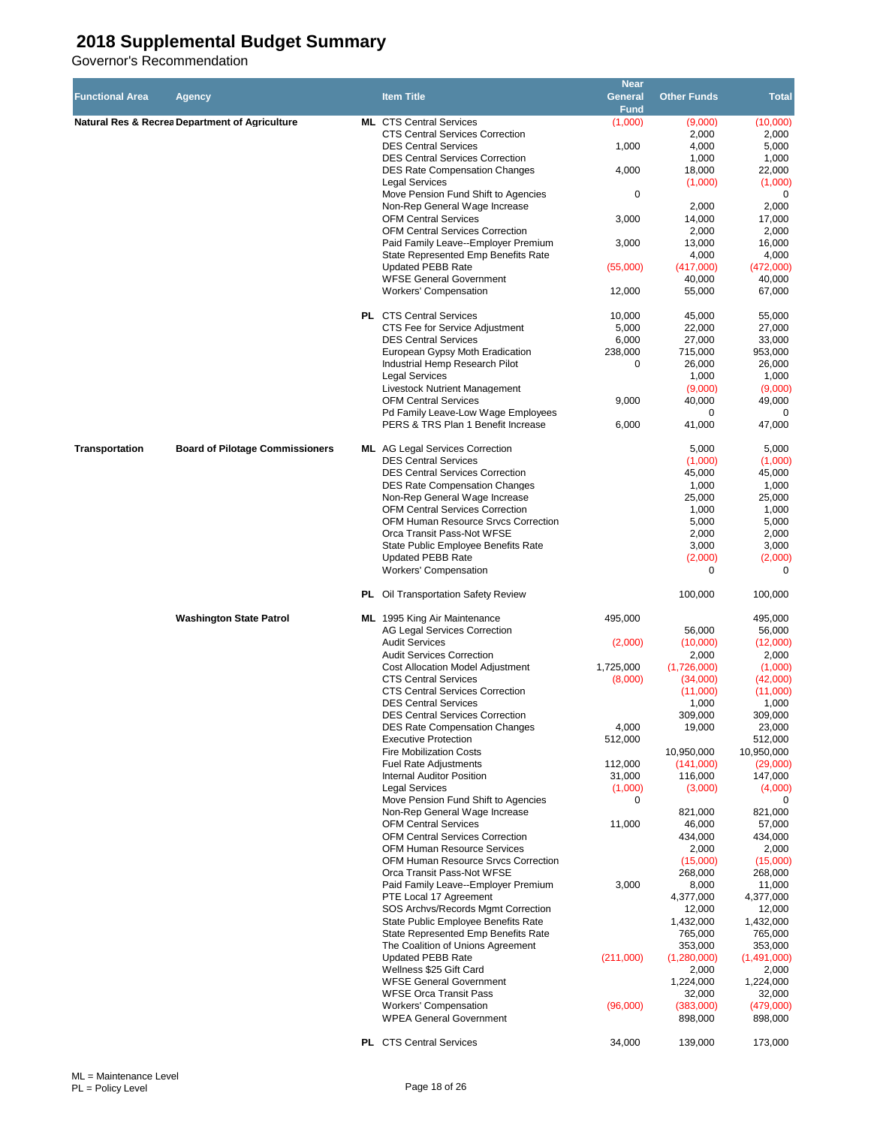|                        |                                                           |                                                                                | <b>Near</b>            |                        |                        |
|------------------------|-----------------------------------------------------------|--------------------------------------------------------------------------------|------------------------|------------------------|------------------------|
| <b>Functional Area</b> | Agency                                                    | <b>Item Title</b>                                                              | General<br><b>Fund</b> | <b>Other Funds</b>     | <b>Total</b>           |
|                        | <b>Natural Res &amp; Recrea Department of Agriculture</b> | <b>ML</b> CTS Central Services                                                 | (1,000)                | (9,000)                | (10,000)               |
|                        |                                                           | <b>CTS Central Services Correction</b>                                         |                        | 2,000                  | 2,000                  |
|                        |                                                           | <b>DES Central Services</b>                                                    | 1,000                  | 4,000                  | 5,000                  |
|                        |                                                           | <b>DES Central Services Correction</b><br><b>DES Rate Compensation Changes</b> | 4,000                  | 1,000<br>18,000        | 1,000<br>22,000        |
|                        |                                                           | <b>Legal Services</b>                                                          |                        | (1,000)                | (1,000)                |
|                        |                                                           | Move Pension Fund Shift to Agencies                                            | 0                      |                        | 0                      |
|                        |                                                           | Non-Rep General Wage Increase                                                  |                        | 2,000                  | 2,000                  |
|                        |                                                           | <b>OFM Central Services</b><br><b>OFM Central Services Correction</b>          | 3,000                  | 14,000<br>2,000        | 17,000<br>2,000        |
|                        |                                                           | Paid Family Leave--Employer Premium                                            | 3,000                  | 13,000                 | 16,000                 |
|                        |                                                           | State Represented Emp Benefits Rate                                            |                        | 4,000                  | 4,000                  |
|                        |                                                           | <b>Updated PEBB Rate</b>                                                       | (55,000)               | (417,000)              | (472,000)              |
|                        |                                                           | <b>WFSE General Government</b>                                                 |                        | 40,000                 | 40,000                 |
|                        |                                                           | <b>Workers' Compensation</b>                                                   | 12,000                 | 55,000                 | 67,000                 |
|                        |                                                           | <b>PL</b> CTS Central Services                                                 | 10,000                 | 45,000                 | 55,000                 |
|                        |                                                           | CTS Fee for Service Adjustment                                                 | 5,000                  | 22,000                 | 27,000                 |
|                        |                                                           | <b>DES Central Services</b>                                                    | 6,000<br>238,000       | 27,000                 | 33,000                 |
|                        |                                                           | European Gypsy Moth Eradication<br>Industrial Hemp Research Pilot              | 0                      | 715,000<br>26,000      | 953,000<br>26,000      |
|                        |                                                           | <b>Legal Services</b>                                                          |                        | 1,000                  | 1,000                  |
|                        |                                                           | Livestock Nutrient Management                                                  |                        | (9,000)                | (9,000)                |
|                        |                                                           | <b>OFM Central Services</b>                                                    | 9,000                  | 40,000                 | 49,000                 |
|                        |                                                           | Pd Family Leave-Low Wage Employees<br>PERS & TRS Plan 1 Benefit Increase       | 6,000                  | 0<br>41,000            | 0<br>47,000            |
|                        |                                                           |                                                                                |                        |                        |                        |
| <b>Transportation</b>  | <b>Board of Pilotage Commissioners</b>                    | <b>ML</b> AG Legal Services Correction                                         |                        | 5,000                  | 5,000                  |
|                        |                                                           | <b>DES Central Services</b>                                                    |                        | (1,000)                | (1,000)                |
|                        |                                                           | <b>DES Central Services Correction</b><br><b>DES Rate Compensation Changes</b> |                        | 45,000<br>1,000        | 45,000<br>1,000        |
|                        |                                                           | Non-Rep General Wage Increase                                                  |                        | 25,000                 | 25,000                 |
|                        |                                                           | <b>OFM Central Services Correction</b>                                         |                        | 1,000                  | 1,000                  |
|                        |                                                           | OFM Human Resource Srvcs Correction                                            |                        | 5,000                  | 5,000                  |
|                        |                                                           | Orca Transit Pass-Not WFSE<br>State Public Employee Benefits Rate              |                        | 2,000<br>3,000         | 2,000<br>3,000         |
|                        |                                                           | <b>Updated PEBB Rate</b>                                                       |                        | (2,000)                | (2,000)                |
|                        |                                                           | Workers' Compensation                                                          |                        | 0                      | $\Omega$               |
|                        |                                                           | PL Oil Transportation Safety Review                                            |                        | 100,000                | 100,000                |
|                        | <b>Washington State Patrol</b>                            | <b>ML</b> 1995 King Air Maintenance                                            | 495,000                |                        | 495,000                |
|                        |                                                           | AG Legal Services Correction                                                   |                        | 56,000                 | 56,000                 |
|                        |                                                           | <b>Audit Services</b><br><b>Audit Services Correction</b>                      | (2,000)                | (10,000)<br>2,000      | (12,000)<br>2,000      |
|                        |                                                           | <b>Cost Allocation Model Adjustment</b>                                        | 1,725,000              | (1,726,000)            | (1,000)                |
|                        |                                                           | <b>CTS Central Services</b>                                                    | (8,000)                | (34,000)               | (42,000)               |
|                        |                                                           | <b>CTS Central Services Correction</b>                                         |                        | (11,000)               | (11,000)               |
|                        |                                                           | <b>DES Central Services</b><br><b>DES Central Services Correction</b>          |                        | 1,000<br>309,000       | 1,000<br>309,000       |
|                        |                                                           | <b>DES Rate Compensation Changes</b>                                           | 4,000                  | 19,000                 | 23,000                 |
|                        |                                                           | <b>Executive Protection</b>                                                    | 512,000                |                        | 512,000                |
|                        |                                                           | <b>Fire Mobilization Costs</b>                                                 |                        | 10,950,000             | 10,950,000             |
|                        |                                                           | <b>Fuel Rate Adjustments</b><br><b>Internal Auditor Position</b>               | 112,000<br>31,000      | (141,000)<br>116,000   | (29,000)<br>147,000    |
|                        |                                                           | <b>Legal Services</b>                                                          | (1,000)                | (3,000)                | (4,000)                |
|                        |                                                           | Move Pension Fund Shift to Agencies                                            | 0                      |                        | 0                      |
|                        |                                                           | Non-Rep General Wage Increase                                                  |                        | 821,000                | 821,000                |
|                        |                                                           | <b>OFM Central Services</b><br><b>OFM Central Services Correction</b>          | 11,000                 | 46,000<br>434,000      | 57,000<br>434,000      |
|                        |                                                           | <b>OFM Human Resource Services</b>                                             |                        | 2,000                  | 2,000                  |
|                        |                                                           | OFM Human Resource Srvcs Correction                                            |                        | (15,000)               | (15,000)               |
|                        |                                                           | Orca Transit Pass-Not WFSE                                                     |                        | 268,000                | 268,000                |
|                        |                                                           | Paid Family Leave--Employer Premium<br>PTE Local 17 Agreement                  | 3,000                  | 8,000<br>4,377,000     | 11,000<br>4,377,000    |
|                        |                                                           | SOS Archvs/Records Mgmt Correction                                             |                        | 12,000                 | 12,000                 |
|                        |                                                           | State Public Employee Benefits Rate                                            |                        | 1,432,000              | 1,432,000              |
|                        |                                                           | State Represented Emp Benefits Rate                                            |                        | 765,000                | 765,000                |
|                        |                                                           | The Coalition of Unions Agreement<br><b>Updated PEBB Rate</b>                  | (211,000)              | 353,000<br>(1,280,000) | 353,000<br>(1,491,000) |
|                        |                                                           | Wellness \$25 Gift Card                                                        |                        | 2,000                  | 2,000                  |
|                        |                                                           | <b>WFSE General Government</b>                                                 |                        | 1,224,000              | 1,224,000              |
|                        |                                                           | <b>WFSE Orca Transit Pass</b><br>Workers' Compensation                         | (96,000)               | 32,000<br>(383,000)    | 32,000<br>(479,000)    |
|                        |                                                           | <b>WPEA General Government</b>                                                 |                        | 898,000                | 898,000                |
|                        |                                                           | PL CTS Central Services                                                        | 34,000                 | 139,000                | 173,000                |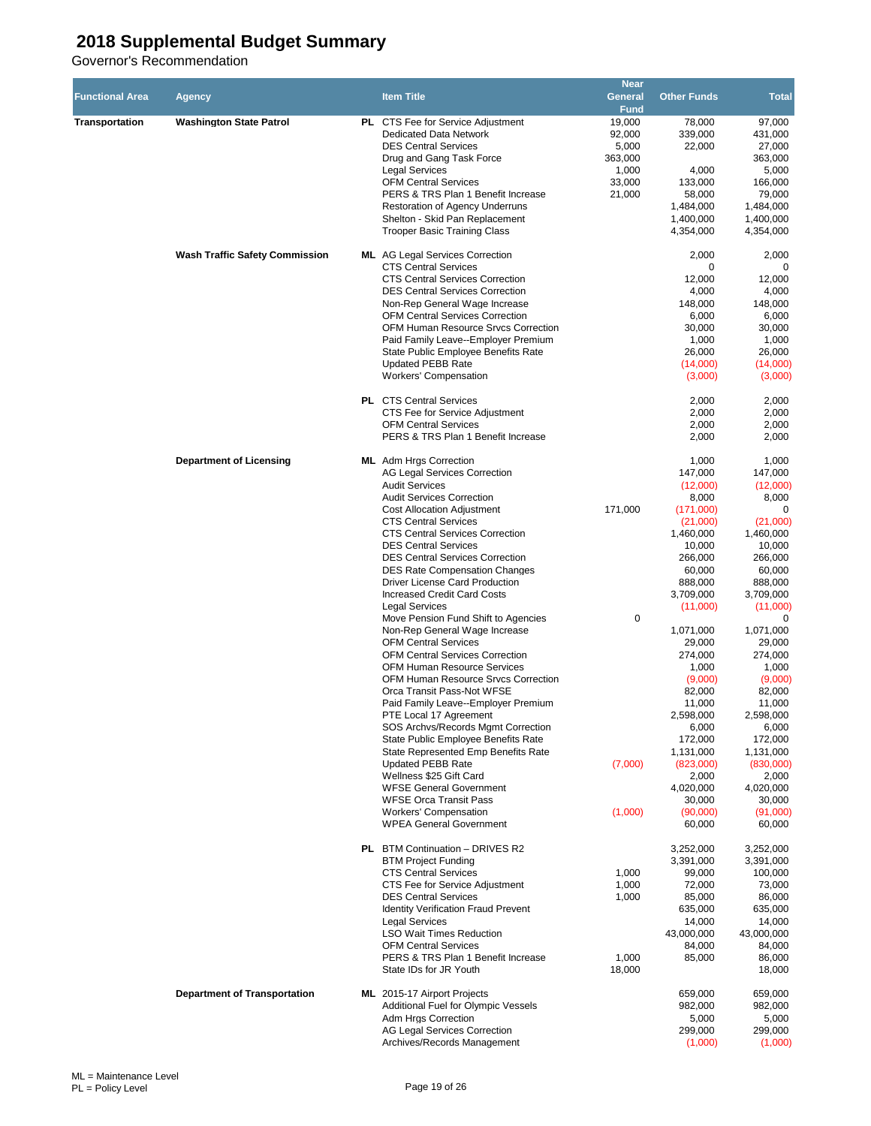| <b>Functional Area</b> | Agency                                | <b>Item Title</b>                                                             | <b>Near</b><br>General<br><b>Fund</b> | <b>Other Funds</b>     | <b>Total</b>           |
|------------------------|---------------------------------------|-------------------------------------------------------------------------------|---------------------------------------|------------------------|------------------------|
| <b>Transportation</b>  | <b>Washington State Patrol</b>        | PL CTS Fee for Service Adjustment<br><b>Dedicated Data Network</b>            | 19,000<br>92,000                      | 78.000<br>339,000      | 97,000<br>431,000      |
|                        |                                       | <b>DES Central Services</b><br>Drug and Gang Task Force                       | 5,000<br>363,000                      | 22,000                 | 27,000<br>363,000      |
|                        |                                       | <b>Legal Services</b>                                                         | 1,000                                 | 4,000                  | 5,000                  |
|                        |                                       | <b>OFM Central Services</b>                                                   | 33,000                                | 133,000                | 166,000                |
|                        |                                       | PERS & TRS Plan 1 Benefit Increase                                            | 21,000                                | 58,000                 | 79,000                 |
|                        |                                       | Restoration of Agency Underruns<br>Shelton - Skid Pan Replacement             |                                       | 1,484,000<br>1,400,000 | 1,484,000<br>1,400,000 |
|                        |                                       | <b>Trooper Basic Training Class</b>                                           |                                       | 4,354,000              | 4,354,000              |
|                        | <b>Wash Traffic Safety Commission</b> | <b>ML</b> AG Legal Services Correction<br><b>CTS Central Services</b>         |                                       | 2,000<br>0             | 2,000<br>0             |
|                        |                                       | <b>CTS Central Services Correction</b>                                        |                                       | 12,000                 | 12,000                 |
|                        |                                       | <b>DES Central Services Correction</b>                                        |                                       | 4,000                  | 4,000                  |
|                        |                                       | Non-Rep General Wage Increase<br><b>OFM Central Services Correction</b>       |                                       | 148,000<br>6,000       | 148,000<br>6,000       |
|                        |                                       | OFM Human Resource Srvcs Correction                                           |                                       | 30,000                 | 30,000                 |
|                        |                                       | Paid Family Leave--Employer Premium                                           |                                       | 1,000                  | 1,000                  |
|                        |                                       | State Public Employee Benefits Rate                                           |                                       | 26,000                 | 26,000                 |
|                        |                                       | <b>Updated PEBB Rate</b><br><b>Workers' Compensation</b>                      |                                       | (14,000)<br>(3,000)    | (14,000)<br>(3,000)    |
|                        |                                       | <b>PL</b> CTS Central Services                                                |                                       | 2,000                  | 2,000                  |
|                        |                                       | CTS Fee for Service Adjustment<br><b>OFM Central Services</b>                 |                                       | 2,000<br>2,000         | 2,000<br>2,000         |
|                        |                                       | PERS & TRS Plan 1 Benefit Increase                                            |                                       | 2,000                  | 2,000                  |
|                        | <b>Department of Licensing</b>        | <b>ML</b> Adm Hrgs Correction<br><b>AG Legal Services Correction</b>          |                                       | 1,000<br>147,000       | 1,000<br>147,000       |
|                        |                                       | <b>Audit Services</b>                                                         |                                       | (12,000)               | (12,000)               |
|                        |                                       | <b>Audit Services Correction</b>                                              |                                       | 8,000                  | 8,000                  |
|                        |                                       | <b>Cost Allocation Adjustment</b>                                             | 171,000                               | (171,000)              | 0                      |
|                        |                                       | <b>CTS Central Services</b><br><b>CTS Central Services Correction</b>         |                                       | (21,000)<br>1,460,000  | (21,000)<br>1,460,000  |
|                        |                                       | <b>DES Central Services</b>                                                   |                                       | 10,000                 | 10,000                 |
|                        |                                       | <b>DES Central Services Correction</b>                                        |                                       | 266,000                | 266,000                |
|                        |                                       | <b>DES Rate Compensation Changes</b><br><b>Driver License Card Production</b> |                                       | 60,000<br>888,000      | 60,000<br>888,000      |
|                        |                                       | <b>Increased Credit Card Costs</b>                                            |                                       | 3,709,000              | 3,709,000              |
|                        |                                       | <b>Legal Services</b>                                                         |                                       | (11,000)               | (11,000)               |
|                        |                                       | Move Pension Fund Shift to Agencies                                           | 0                                     |                        | 0                      |
|                        |                                       | Non-Rep General Wage Increase<br><b>OFM Central Services</b>                  |                                       | 1,071,000<br>29,000    | 1,071,000<br>29,000    |
|                        |                                       | <b>OFM Central Services Correction</b>                                        |                                       | 274,000                | 274,000                |
|                        |                                       | <b>OFM Human Resource Services</b>                                            |                                       | 1,000                  | 1,000                  |
|                        |                                       | OFM Human Resource Srvcs Correction<br>Orca Transit Pass-Not WFSE             |                                       | (9,000)<br>82.000      | (9,000)<br>82,000      |
|                        |                                       | Paid Family Leave--Employer Premium                                           |                                       | 11,000                 | 11,000                 |
|                        |                                       | PTE Local 17 Agreement                                                        |                                       | 2,598,000              | 2,598,000              |
|                        |                                       | SOS Archvs/Records Mgmt Correction                                            |                                       | 6,000                  | 6,000                  |
|                        |                                       | State Public Employee Benefits Rate<br>State Represented Emp Benefits Rate    |                                       | 172,000<br>1,131,000   | 172,000<br>1,131,000   |
|                        |                                       | <b>Updated PEBB Rate</b>                                                      | (7,000)                               | (823,000)              | (830,000)              |
|                        |                                       | Wellness \$25 Gift Card                                                       |                                       | 2,000                  | 2,000                  |
|                        |                                       | <b>WFSE General Government</b><br><b>WFSE Orca Transit Pass</b>               |                                       | 4,020,000<br>30,000    | 4,020,000<br>30,000    |
|                        |                                       | <b>Workers' Compensation</b>                                                  | (1,000)                               | (90,000)               | (91,000)               |
|                        |                                       | <b>WPEA General Government</b>                                                |                                       | 60,000                 | 60,000                 |
|                        |                                       | <b>PL</b> BTM Continuation - DRIVES R2<br><b>BTM Project Funding</b>          |                                       | 3,252,000<br>3,391,000 | 3,252,000<br>3,391,000 |
|                        |                                       | <b>CTS Central Services</b>                                                   | 1,000                                 | 99,000                 | 100,000                |
|                        |                                       | CTS Fee for Service Adjustment                                                | 1,000                                 | 72,000                 | 73,000                 |
|                        |                                       | <b>DES Central Services</b><br><b>Identity Verification Fraud Prevent</b>     | 1,000                                 | 85,000<br>635,000      | 86,000<br>635,000      |
|                        |                                       | <b>Legal Services</b>                                                         |                                       | 14,000                 | 14,000                 |
|                        |                                       | <b>LSO Wait Times Reduction</b>                                               |                                       | 43,000,000             | 43,000,000             |
|                        |                                       | <b>OFM Central Services</b><br>PERS & TRS Plan 1 Benefit Increase             |                                       | 84,000                 | 84,000                 |
|                        |                                       | State IDs for JR Youth                                                        | 1,000<br>18,000                       | 85,000                 | 86,000<br>18,000       |
|                        | <b>Department of Transportation</b>   | ML 2015-17 Airport Projects                                                   |                                       | 659,000                | 659,000                |
|                        |                                       | Additional Fuel for Olympic Vessels<br>Adm Hrgs Correction                    |                                       | 982,000<br>5,000       | 982,000<br>5,000       |
|                        |                                       | <b>AG Legal Services Correction</b>                                           |                                       | 299,000                | 299,000                |
|                        |                                       | Archives/Records Management                                                   |                                       | (1,000)                | (1,000)                |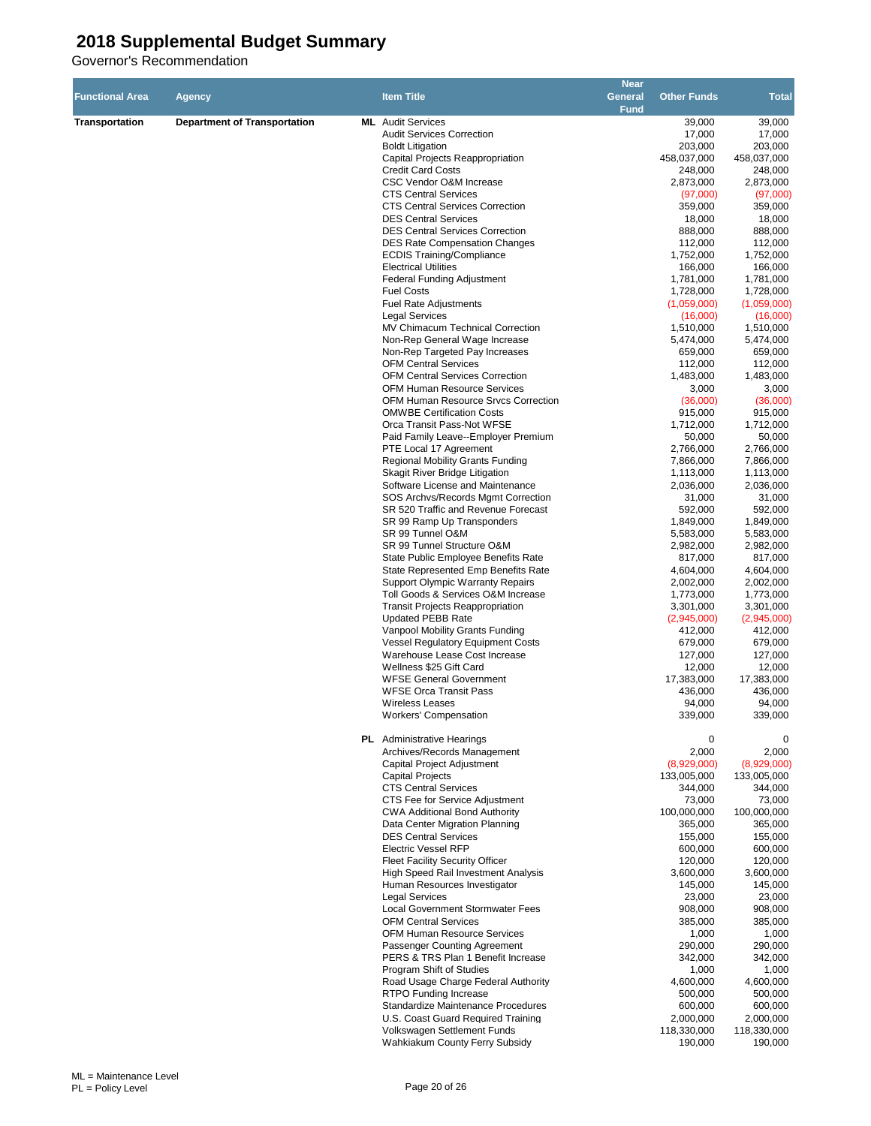| <b>Functional Area</b> | <b>Agency</b>                       | <b>Item Title</b>                                                             | <b>Near</b><br>General<br><b>Fund</b> | <b>Other Funds</b>       | <b>Total</b>             |
|------------------------|-------------------------------------|-------------------------------------------------------------------------------|---------------------------------------|--------------------------|--------------------------|
| <b>Transportation</b>  | <b>Department of Transportation</b> | <b>ML</b> Audit Services                                                      |                                       | 39,000                   | 39,000                   |
|                        |                                     | <b>Audit Services Correction</b>                                              |                                       | 17,000                   | 17,000                   |
|                        |                                     | <b>Boldt Litigation</b>                                                       |                                       | 203,000                  | 203,000                  |
|                        |                                     | Capital Projects Reappropriation<br><b>Credit Card Costs</b>                  |                                       | 458,037,000<br>248,000   | 458,037,000<br>248,000   |
|                        |                                     | CSC Vendor O&M Increase                                                       |                                       | 2,873,000                | 2,873,000                |
|                        |                                     | <b>CTS Central Services</b>                                                   |                                       | (97,000)                 | (97,000)                 |
|                        |                                     | <b>CTS Central Services Correction</b>                                        |                                       | 359,000                  | 359,000                  |
|                        |                                     | <b>DES Central Services</b>                                                   |                                       | 18,000                   | 18,000                   |
|                        |                                     | <b>DES Central Services Correction</b>                                        |                                       | 888,000                  | 888,000                  |
|                        |                                     | <b>DES Rate Compensation Changes</b>                                          |                                       | 112,000                  | 112,000                  |
|                        |                                     | <b>ECDIS Training/Compliance</b><br><b>Electrical Utilities</b>               |                                       | 1,752,000<br>166,000     | 1,752,000<br>166,000     |
|                        |                                     | <b>Federal Funding Adjustment</b>                                             |                                       | 1,781,000                | 1,781,000                |
|                        |                                     | <b>Fuel Costs</b>                                                             |                                       | 1,728,000                | 1,728,000                |
|                        |                                     | <b>Fuel Rate Adjustments</b>                                                  |                                       | (1,059,000)              | (1,059,000)              |
|                        |                                     | <b>Legal Services</b>                                                         |                                       | (16,000)                 | (16,000)                 |
|                        |                                     | MV Chimacum Technical Correction                                              |                                       | 1,510,000                | 1,510,000                |
|                        |                                     | Non-Rep General Wage Increase<br>Non-Rep Targeted Pay Increases               |                                       | 5,474,000<br>659,000     | 5,474,000<br>659,000     |
|                        |                                     | <b>OFM Central Services</b>                                                   |                                       | 112,000                  | 112,000                  |
|                        |                                     | <b>OFM Central Services Correction</b>                                        |                                       | 1,483,000                | 1,483,000                |
|                        |                                     | <b>OFM Human Resource Services</b>                                            |                                       | 3,000                    | 3,000                    |
|                        |                                     | OFM Human Resource Srvcs Correction                                           |                                       | (36,000)                 | (36,000)                 |
|                        |                                     | <b>OMWBE Certification Costs</b>                                              |                                       | 915,000                  | 915,000                  |
|                        |                                     | Orca Transit Pass-Not WFSE                                                    |                                       | 1,712,000                | 1,712,000                |
|                        |                                     | Paid Family Leave--Employer Premium<br>PTE Local 17 Agreement                 |                                       | 50,000<br>2,766,000      | 50,000<br>2,766,000      |
|                        |                                     | <b>Regional Mobility Grants Funding</b>                                       |                                       | 7,866,000                | 7,866,000                |
|                        |                                     | Skagit River Bridge Litigation                                                |                                       | 1,113,000                | 1,113,000                |
|                        |                                     | Software License and Maintenance                                              |                                       | 2,036,000                | 2,036,000                |
|                        |                                     | SOS Archys/Records Mgmt Correction                                            |                                       | 31,000                   | 31,000                   |
|                        |                                     | SR 520 Traffic and Revenue Forecast                                           |                                       | 592,000                  | 592,000                  |
|                        |                                     | SR 99 Ramp Up Transponders<br>SR 99 Tunnel O&M                                |                                       | 1,849,000<br>5,583,000   | 1,849,000<br>5,583,000   |
|                        |                                     | SR 99 Tunnel Structure O&M                                                    |                                       | 2,982,000                | 2,982,000                |
|                        |                                     | State Public Employee Benefits Rate                                           |                                       | 817,000                  | 817,000                  |
|                        |                                     | State Represented Emp Benefits Rate                                           |                                       | 4,604,000                | 4,604,000                |
|                        |                                     | <b>Support Olympic Warranty Repairs</b>                                       |                                       | 2,002,000                | 2,002,000                |
|                        |                                     | Toll Goods & Services O&M Increase                                            |                                       | 1,773,000                | 1,773,000                |
|                        |                                     | <b>Transit Projects Reappropriation</b><br><b>Updated PEBB Rate</b>           |                                       | 3,301,000<br>(2,945,000) | 3,301,000<br>(2,945,000) |
|                        |                                     | Vanpool Mobility Grants Funding                                               |                                       | 412,000                  | 412,000                  |
|                        |                                     | <b>Vessel Requlatory Equipment Costs</b>                                      |                                       | 679,000                  | 679,000                  |
|                        |                                     | Warehouse Lease Cost Increase                                                 |                                       | 127,000                  | 127,000                  |
|                        |                                     | Wellness \$25 Gift Card                                                       |                                       | 12,000                   | 12,000                   |
|                        |                                     | <b>WFSE General Government</b>                                                |                                       | 17,383,000<br>436.000    | 17,383,000               |
|                        |                                     | <b>WFSE Orca Transit Pass</b><br><b>Wireless Leases</b>                       |                                       | 94,000                   | 436,000<br>94,000        |
|                        |                                     | Workers' Compensation                                                         |                                       | 339,000                  | 339,000                  |
|                        |                                     | <b>PL</b> Administrative Hearings                                             |                                       | 0                        | 0                        |
|                        |                                     | Archives/Records Management                                                   |                                       | 2,000                    | 2,000                    |
|                        |                                     | <b>Capital Project Adjustment</b>                                             |                                       | (8,929,000)              | (8,929,000)              |
|                        |                                     | <b>Capital Projects</b><br><b>CTS Central Services</b>                        |                                       | 133,005,000<br>344,000   | 133,005,000<br>344,000   |
|                        |                                     | CTS Fee for Service Adjustment                                                |                                       | 73,000                   | 73,000                   |
|                        |                                     | <b>CWA Additional Bond Authority</b>                                          |                                       | 100,000,000              | 100,000,000              |
|                        |                                     | Data Center Migration Planning                                                |                                       | 365,000                  | 365,000                  |
|                        |                                     | <b>DES Central Services</b>                                                   |                                       | 155,000                  | 155,000                  |
|                        |                                     | <b>Electric Vessel RFP</b>                                                    |                                       | 600,000                  | 600,000                  |
|                        |                                     | <b>Fleet Facility Security Officer</b><br>High Speed Rail Investment Analysis |                                       | 120,000<br>3,600,000     | 120,000<br>3,600,000     |
|                        |                                     | Human Resources Investigator                                                  |                                       | 145,000                  | 145,000                  |
|                        |                                     | <b>Legal Services</b>                                                         |                                       | 23,000                   | 23,000                   |
|                        |                                     | <b>Local Government Stormwater Fees</b>                                       |                                       | 908,000                  | 908,000                  |
|                        |                                     | <b>OFM Central Services</b>                                                   |                                       | 385,000                  | 385,000                  |
|                        |                                     | OFM Human Resource Services                                                   |                                       | 1,000                    | 1,000                    |
|                        |                                     | Passenger Counting Agreement<br>PERS & TRS Plan 1 Benefit Increase            |                                       | 290,000<br>342,000       | 290,000<br>342,000       |
|                        |                                     | Program Shift of Studies                                                      |                                       | 1,000                    | 1,000                    |
|                        |                                     | Road Usage Charge Federal Authority                                           |                                       | 4,600,000                | 4,600,000                |
|                        |                                     | RTPO Funding Increase                                                         |                                       | 500,000                  | 500,000                  |
|                        |                                     | Standardize Maintenance Procedures                                            |                                       | 600,000                  | 600,000                  |
|                        |                                     | U.S. Coast Guard Required Training                                            |                                       | 2,000,000                | 2,000,000                |
|                        |                                     | Volkswagen Settlement Funds<br>Wahkiakum County Ferry Subsidy                 |                                       | 118,330,000<br>190,000   | 118,330,000<br>190,000   |
|                        |                                     |                                                                               |                                       |                          |                          |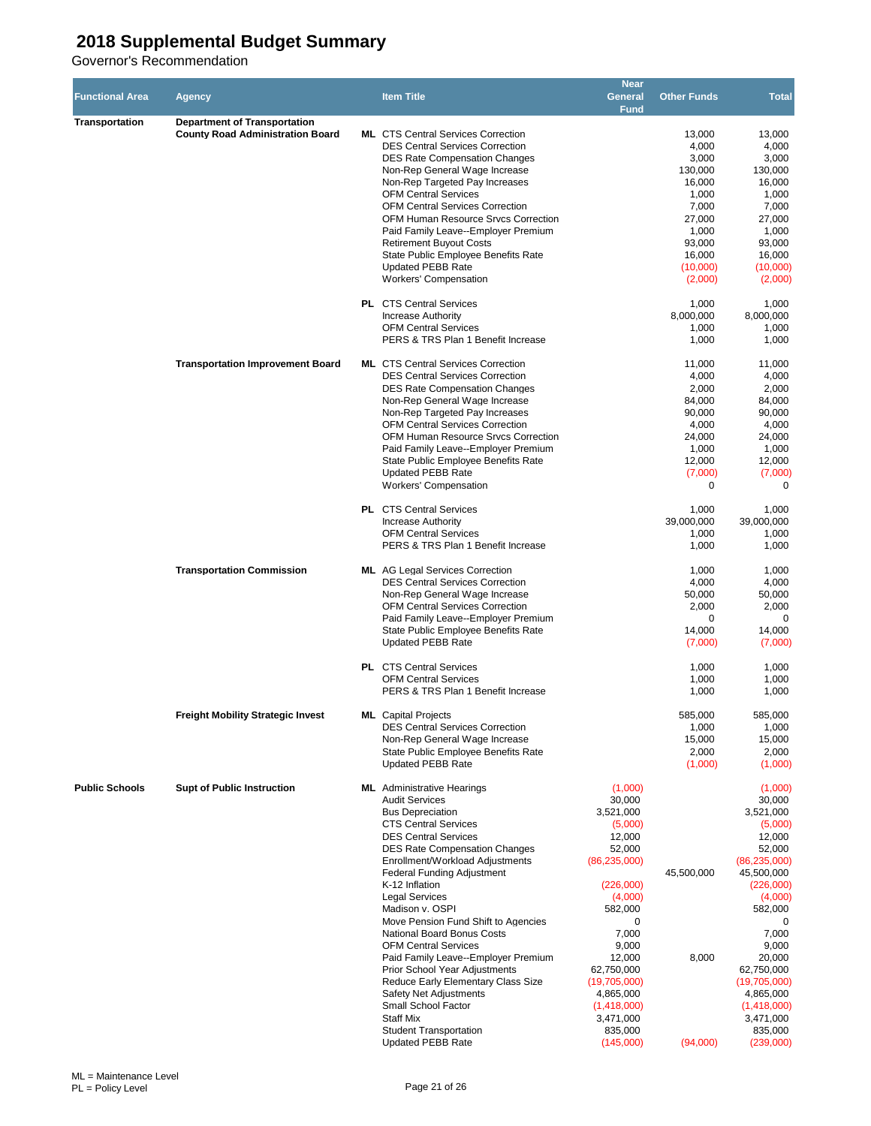| <b>Functional Area</b> | <b>Agency</b>                                                                  | <b>Item Title</b>                                                                                                                                                                                                                                                                                                                                                                                                                                                                                                                                                                                                                                                              | <b>Near</b><br>General<br><b>Fund</b>                                                                                                                                                                                                              | <b>Other Funds</b>                                                                                                            | <b>Total</b>                                                                                                                                                                                                                                                     |
|------------------------|--------------------------------------------------------------------------------|--------------------------------------------------------------------------------------------------------------------------------------------------------------------------------------------------------------------------------------------------------------------------------------------------------------------------------------------------------------------------------------------------------------------------------------------------------------------------------------------------------------------------------------------------------------------------------------------------------------------------------------------------------------------------------|----------------------------------------------------------------------------------------------------------------------------------------------------------------------------------------------------------------------------------------------------|-------------------------------------------------------------------------------------------------------------------------------|------------------------------------------------------------------------------------------------------------------------------------------------------------------------------------------------------------------------------------------------------------------|
| <b>Transportation</b>  | <b>Department of Transportation</b><br><b>County Road Administration Board</b> | <b>ML</b> CTS Central Services Correction<br><b>DES Central Services Correction</b><br><b>DES Rate Compensation Changes</b><br>Non-Rep General Wage Increase<br>Non-Rep Targeted Pay Increases<br><b>OFM Central Services</b><br><b>OFM Central Services Correction</b><br><b>OFM Human Resource Srvcs Correction</b><br>Paid Family Leave--Employer Premium<br><b>Retirement Buyout Costs</b><br>State Public Employee Benefits Rate<br><b>Updated PEBB Rate</b><br><b>Workers' Compensation</b>                                                                                                                                                                              |                                                                                                                                                                                                                                                    | 13,000<br>4,000<br>3,000<br>130.000<br>16,000<br>1,000<br>7,000<br>27,000<br>1,000<br>93,000<br>16,000<br>(10,000)<br>(2,000) | 13,000<br>4,000<br>3,000<br>130,000<br>16,000<br>1,000<br>7,000<br>27,000<br>1,000<br>93,000<br>16,000<br>(10,000)<br>(2,000)                                                                                                                                    |
|                        |                                                                                | <b>PL</b> CTS Central Services<br><b>Increase Authority</b><br><b>OFM Central Services</b><br>PERS & TRS Plan 1 Benefit Increase                                                                                                                                                                                                                                                                                                                                                                                                                                                                                                                                               |                                                                                                                                                                                                                                                    | 1,000<br>8,000,000<br>1,000<br>1,000                                                                                          | 1,000<br>8,000,000<br>1,000<br>1,000                                                                                                                                                                                                                             |
|                        | <b>Transportation Improvement Board</b>                                        | <b>ML</b> CTS Central Services Correction<br><b>DES Central Services Correction</b><br><b>DES Rate Compensation Changes</b><br>Non-Rep General Wage Increase<br>Non-Rep Targeted Pay Increases<br><b>OFM Central Services Correction</b><br>OFM Human Resource Srvcs Correction<br>Paid Family Leave--Employer Premium<br>State Public Employee Benefits Rate<br>Updated PEBB Rate<br><b>Workers' Compensation</b>                                                                                                                                                                                                                                                             |                                                                                                                                                                                                                                                    | 11,000<br>4,000<br>2,000<br>84,000<br>90,000<br>4,000<br>24,000<br>1,000<br>12,000<br>(7,000)<br>$\Omega$                     | 11,000<br>4,000<br>2,000<br>84,000<br>90,000<br>4,000<br>24,000<br>1,000<br>12,000<br>(7,000)<br>$\Omega$                                                                                                                                                        |
|                        |                                                                                | <b>PL</b> CTS Central Services<br><b>Increase Authority</b><br><b>OFM Central Services</b><br>PERS & TRS Plan 1 Benefit Increase                                                                                                                                                                                                                                                                                                                                                                                                                                                                                                                                               |                                                                                                                                                                                                                                                    | 1,000<br>39,000,000<br>1,000<br>1,000                                                                                         | 1,000<br>39,000,000<br>1,000<br>1,000                                                                                                                                                                                                                            |
|                        | <b>Transportation Commission</b>                                               | <b>ML</b> AG Legal Services Correction<br><b>DES Central Services Correction</b><br>Non-Rep General Wage Increase<br><b>OFM Central Services Correction</b><br>Paid Family Leave--Employer Premium<br>State Public Employee Benefits Rate<br><b>Updated PEBB Rate</b>                                                                                                                                                                                                                                                                                                                                                                                                          |                                                                                                                                                                                                                                                    | 1,000<br>4,000<br>50,000<br>2,000<br>0<br>14,000<br>(7,000)                                                                   | 1,000<br>4,000<br>50,000<br>2,000<br>$\mathbf 0$<br>14,000<br>(7,000)                                                                                                                                                                                            |
|                        |                                                                                | <b>PL</b> CTS Central Services<br><b>OFM Central Services</b><br>PERS & TRS Plan 1 Benefit Increase                                                                                                                                                                                                                                                                                                                                                                                                                                                                                                                                                                            |                                                                                                                                                                                                                                                    | 1,000<br>1,000<br>1,000                                                                                                       | 1,000<br>1,000<br>1,000                                                                                                                                                                                                                                          |
|                        | <b>Freight Mobility Strategic Invest</b>                                       | <b>ML</b> Capital Projects<br><b>DES Central Services Correction</b><br>Non-Rep General Wage Increase<br>State Public Employee Benefits Rate<br>Updated PEBB Rate                                                                                                                                                                                                                                                                                                                                                                                                                                                                                                              |                                                                                                                                                                                                                                                    | 585,000<br>1,000<br>15,000<br>2,000<br>(1,000)                                                                                | 585,000<br>1,000<br>15,000<br>2,000<br>(1,000)                                                                                                                                                                                                                   |
| <b>Public Schools</b>  | <b>Supt of Public Instruction</b>                                              | <b>ML</b> Administrative Hearings<br><b>Audit Services</b><br><b>Bus Depreciation</b><br><b>CTS Central Services</b><br><b>DES Central Services</b><br><b>DES Rate Compensation Changes</b><br>Enrollment/Workload Adjustments<br>Federal Funding Adjustment<br>K-12 Inflation<br><b>Legal Services</b><br>Madison v. OSPI<br>Move Pension Fund Shift to Agencies<br>National Board Bonus Costs<br><b>OFM Central Services</b><br>Paid Family Leave--Employer Premium<br>Prior School Year Adjustments<br>Reduce Early Elementary Class Size<br>Safety Net Adjustments<br>Small School Factor<br><b>Staff Mix</b><br><b>Student Transportation</b><br><b>Updated PEBB Rate</b> | (1,000)<br>30,000<br>3,521,000<br>(5,000)<br>12,000<br>52,000<br>(86, 235, 000)<br>(226,000)<br>(4,000)<br>582,000<br>0<br>7,000<br>9,000<br>12,000<br>62,750,000<br>(19,705,000)<br>4,865,000<br>(1,418,000)<br>3,471,000<br>835,000<br>(145,000) | 45,500,000<br>8,000<br>(94,000)                                                                                               | (1,000)<br>30,000<br>3,521,000<br>(5,000)<br>12,000<br>52,000<br>(86, 235, 000)<br>45,500,000<br>(226,000)<br>(4,000)<br>582,000<br>0<br>7,000<br>9,000<br>20,000<br>62,750,000<br>(19,705,000)<br>4,865,000<br>(1,418,000)<br>3,471,000<br>835,000<br>(239,000) |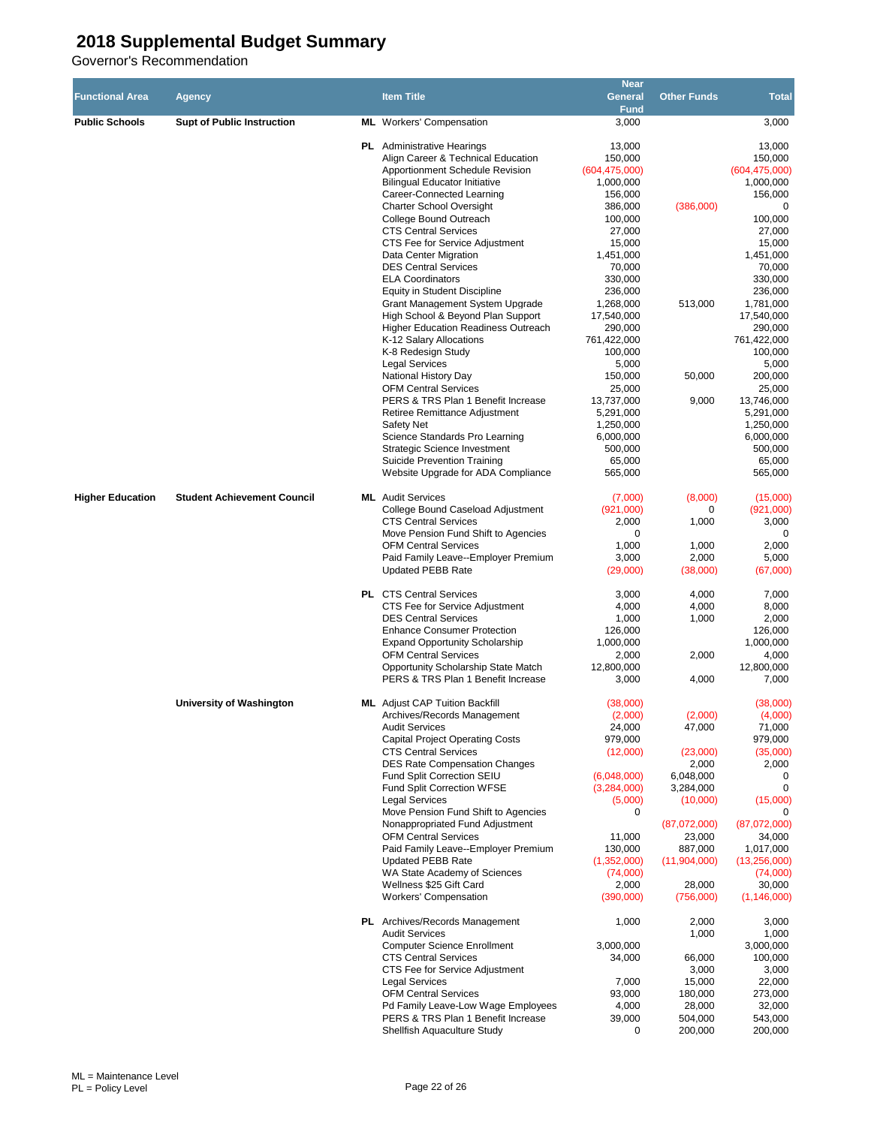|                         |                                    |                                                                      | <b>Near</b>            |                         |                           |
|-------------------------|------------------------------------|----------------------------------------------------------------------|------------------------|-------------------------|---------------------------|
| <b>Functional Area</b>  | Agency                             | <b>Item Title</b>                                                    | General                | <b>Other Funds</b>      | <b>Total</b>              |
|                         |                                    |                                                                      | <b>Fund</b>            |                         |                           |
| <b>Public Schools</b>   | <b>Supt of Public Instruction</b>  | <b>ML</b> Workers' Compensation                                      | 3,000                  |                         | 3,000                     |
|                         |                                    |                                                                      |                        |                         |                           |
|                         |                                    | <b>PL</b> Administrative Hearings                                    | 13.000                 |                         | 13,000                    |
|                         |                                    | Align Career & Technical Education                                   | 150,000                |                         | 150,000                   |
|                         |                                    | Apportionment Schedule Revision                                      | (604, 475, 000)        |                         | (604, 475, 000)           |
|                         |                                    | <b>Bilingual Educator Initiative</b><br>Career-Connected Learning    | 1,000,000<br>156,000   |                         | 1,000,000<br>156,000      |
|                         |                                    | <b>Charter School Oversight</b>                                      | 386,000                | (386,000)               | 0                         |
|                         |                                    | College Bound Outreach                                               | 100,000                |                         | 100,000                   |
|                         |                                    | <b>CTS Central Services</b>                                          | 27,000                 |                         | 27,000                    |
|                         |                                    | CTS Fee for Service Adjustment                                       | 15,000                 |                         | 15,000                    |
|                         |                                    | Data Center Migration                                                | 1,451,000              |                         | 1,451,000                 |
|                         |                                    | <b>DES Central Services</b>                                          | 70,000                 |                         | 70,000                    |
|                         |                                    | <b>ELA Coordinators</b>                                              | 330,000                |                         | 330,000                   |
|                         |                                    | Equity in Student Discipline                                         | 236,000                |                         | 236,000                   |
|                         |                                    | Grant Management System Upgrade                                      | 1,268,000              | 513,000                 | 1,781,000                 |
|                         |                                    | High School & Beyond Plan Support                                    | 17,540,000             |                         | 17,540,000                |
|                         |                                    | <b>Higher Education Readiness Outreach</b>                           | 290,000                |                         | 290,000                   |
|                         |                                    | K-12 Salary Allocations                                              | 761,422,000            |                         | 761,422,000               |
|                         |                                    | K-8 Redesign Study                                                   | 100,000                |                         | 100,000                   |
|                         |                                    | <b>Legal Services</b>                                                | 5,000                  |                         | 5,000                     |
|                         |                                    | National History Day                                                 | 150,000                | 50.000                  | 200,000                   |
|                         |                                    | <b>OFM Central Services</b>                                          | 25,000                 |                         | 25,000                    |
|                         |                                    | PERS & TRS Plan 1 Benefit Increase                                   | 13,737,000             | 9,000                   | 13,746,000                |
|                         |                                    | Retiree Remittance Adjustment                                        | 5,291,000              |                         | 5,291,000                 |
|                         |                                    | Safety Net<br>Science Standards Pro Learning                         | 1,250,000<br>6,000,000 |                         | 1,250,000<br>6,000,000    |
|                         |                                    | <b>Strategic Science Investment</b>                                  | 500,000                |                         | 500,000                   |
|                         |                                    | Suicide Prevention Training                                          | 65,000                 |                         | 65,000                    |
|                         |                                    | Website Upgrade for ADA Compliance                                   | 565,000                |                         | 565,000                   |
|                         |                                    |                                                                      |                        |                         |                           |
| <b>Higher Education</b> | <b>Student Achievement Council</b> | <b>ML</b> Audit Services                                             | (7,000)                | (8,000)                 | (15,000)                  |
|                         |                                    | College Bound Caseload Adjustment                                    | (921,000)              | 0                       | (921,000)                 |
|                         |                                    | <b>CTS Central Services</b>                                          | 2,000                  | 1,000                   | 3,000                     |
|                         |                                    | Move Pension Fund Shift to Agencies                                  | 0                      |                         | 0                         |
|                         |                                    | <b>OFM Central Services</b>                                          | 1,000                  | 1,000                   | 2,000                     |
|                         |                                    | Paid Family Leave--Employer Premium                                  | 3,000                  | 2,000                   | 5,000                     |
|                         |                                    | <b>Updated PEBB Rate</b>                                             | (29,000)               | (38,000)                | (67,000)                  |
|                         |                                    |                                                                      |                        |                         |                           |
|                         |                                    | <b>PL</b> CTS Central Services                                       | 3,000                  | 4,000                   | 7,000                     |
|                         |                                    | CTS Fee for Service Adjustment                                       | 4,000                  | 4,000                   | 8,000                     |
|                         |                                    | <b>DES Central Services</b>                                          | 1,000                  | 1,000                   | 2,000                     |
|                         |                                    | <b>Enhance Consumer Protection</b>                                   | 126,000<br>1,000,000   |                         | 126,000<br>1.000.000      |
|                         |                                    | <b>Expand Opportunity Scholarship</b><br><b>OFM Central Services</b> | 2,000                  | 2,000                   | 4,000                     |
|                         |                                    | Opportunity Scholarship State Match                                  | 12,800,000             |                         | 12,800,000                |
|                         |                                    | PERS & TRS Plan 1 Benefit Increase                                   | 3,000                  | 4,000                   | 7,000                     |
|                         |                                    |                                                                      |                        |                         |                           |
|                         | University of Washington           | <b>ML</b> Adjust CAP Tuition Backfill                                | (38,000)               |                         | (38,000)                  |
|                         |                                    | Archives/Records Management                                          | (2,000)                | (2,000)                 | (4,000)                   |
|                         |                                    | <b>Audit Services</b>                                                | 24,000                 | 47,000                  | 71,000                    |
|                         |                                    | <b>Capital Project Operating Costs</b>                               | 979,000                |                         | 979,000                   |
|                         |                                    | <b>CTS Central Services</b>                                          | (12,000)               | (23,000)                | (35,000)                  |
|                         |                                    | <b>DES Rate Compensation Changes</b>                                 |                        | 2,000                   | 2,000                     |
|                         |                                    | Fund Split Correction SEIU                                           | (6,048,000)            | 6,048,000               | 0                         |
|                         |                                    | Fund Split Correction WFSE                                           | (3,284,000)            | 3,284,000               | $\mathbf 0$               |
|                         |                                    | <b>Legal Services</b>                                                | (5,000)                | (10,000)                | (15,000)                  |
|                         |                                    | Move Pension Fund Shift to Agencies                                  | 0                      |                         | 0                         |
|                         |                                    | Nonappropriated Fund Adjustment                                      |                        | (87,072,000)            | (87,072,000)              |
|                         |                                    | <b>OFM Central Services</b>                                          | 11,000                 | 23,000                  | 34,000                    |
|                         |                                    | Paid Family Leave--Employer Premium<br><b>Updated PEBB Rate</b>      | 130,000<br>(1,352,000) | 887,000<br>(11,904,000) | 1,017,000<br>(13,256,000) |
|                         |                                    | WA State Academy of Sciences                                         | (74,000)               |                         | (74,000)                  |
|                         |                                    | Wellness \$25 Gift Card                                              | 2,000                  | 28,000                  | 30,000                    |
|                         |                                    | <b>Workers' Compensation</b>                                         | (390,000)              | (756,000)               | (1, 146, 000)             |
|                         |                                    |                                                                      |                        |                         |                           |
|                         |                                    | <b>PL</b> Archives/Records Management                                | 1,000                  | 2,000                   | 3,000                     |
|                         |                                    | <b>Audit Services</b>                                                |                        | 1,000                   | 1,000                     |
|                         |                                    | <b>Computer Science Enrollment</b>                                   | 3,000,000              |                         | 3,000,000                 |
|                         |                                    | <b>CTS Central Services</b>                                          | 34,000                 | 66,000                  | 100,000                   |
|                         |                                    | CTS Fee for Service Adjustment                                       |                        | 3,000                   | 3,000                     |
|                         |                                    | <b>Legal Services</b>                                                | 7,000                  | 15,000                  | 22,000                    |
|                         |                                    | <b>OFM Central Services</b>                                          | 93,000                 | 180,000                 | 273,000                   |
|                         |                                    | Pd Family Leave-Low Wage Employees                                   | 4,000                  | 28,000                  | 32,000                    |
|                         |                                    | PERS & TRS Plan 1 Benefit Increase                                   | 39,000                 | 504,000                 | 543,000                   |
|                         |                                    | Shellfish Aquaculture Study                                          | 0                      | 200,000                 | 200,000                   |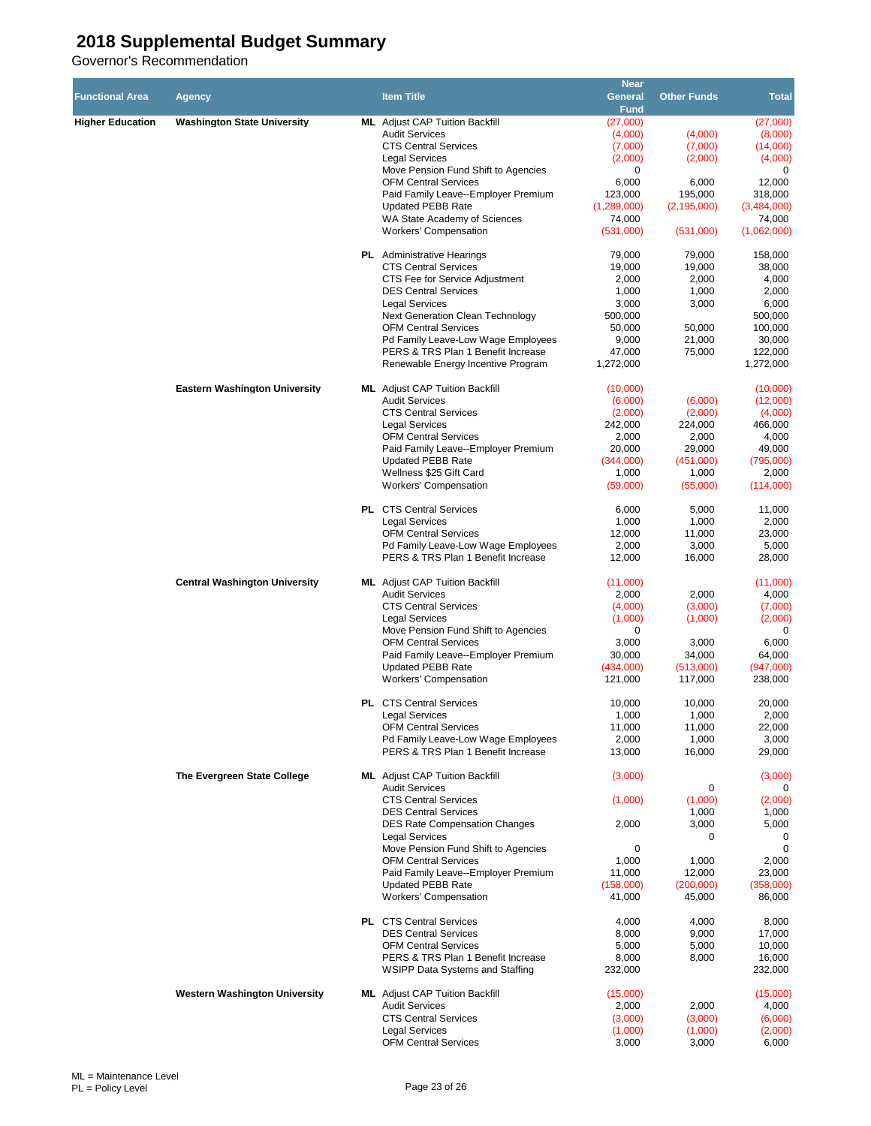|                         |                                      |                                                                          | <b>Near</b>        |                    |                     |
|-------------------------|--------------------------------------|--------------------------------------------------------------------------|--------------------|--------------------|---------------------|
| <b>Functional Area</b>  | Agency                               | <b>Item Title</b>                                                        | General            | <b>Other Funds</b> | <b>Total</b>        |
|                         |                                      |                                                                          | <b>Fund</b>        |                    |                     |
| <b>Higher Education</b> | <b>Washington State University</b>   | <b>ML</b> Adjust CAP Tuition Backfill                                    | (27,000)           |                    | (27,000)            |
|                         |                                      | <b>Audit Services</b><br><b>CTS Central Services</b>                     | (4,000)<br>(7,000) | (4,000)<br>(7,000) | (8,000)<br>(14,000) |
|                         |                                      | <b>Legal Services</b>                                                    | (2,000)            | (2,000)            | (4,000)             |
|                         |                                      | Move Pension Fund Shift to Agencies                                      | 0                  |                    | 0                   |
|                         |                                      | <b>OFM Central Services</b>                                              | 6,000              | 6,000              | 12,000              |
|                         |                                      | Paid Family Leave--Employer Premium                                      | 123,000            | 195,000            | 318,000             |
|                         |                                      | <b>Updated PEBB Rate</b>                                                 | (1,289,000)        | (2, 195, 000)      | (3,484,000)         |
|                         |                                      | WA State Academy of Sciences                                             | 74,000             |                    | 74,000              |
|                         |                                      | <b>Workers' Compensation</b>                                             | (531,000)          | (531,000)          | (1,062,000)         |
|                         |                                      | <b>PL</b> Administrative Hearings                                        | 79,000             | 79,000             | 158,000             |
|                         |                                      | <b>CTS Central Services</b>                                              | 19,000             | 19,000             | 38,000              |
|                         |                                      | CTS Fee for Service Adjustment                                           | 2,000              | 2,000              | 4,000               |
|                         |                                      | <b>DES Central Services</b>                                              | 1,000              | 1,000              | 2,000               |
|                         |                                      | <b>Legal Services</b>                                                    | 3,000              | 3,000              | 6,000               |
|                         |                                      | <b>Next Generation Clean Technology</b>                                  | 500,000            |                    | 500,000             |
|                         |                                      | <b>OFM Central Services</b>                                              | 50,000<br>9,000    | 50,000<br>21,000   | 100,000<br>30,000   |
|                         |                                      | Pd Family Leave-Low Wage Employees<br>PERS & TRS Plan 1 Benefit Increase | 47,000             | 75,000             | 122,000             |
|                         |                                      | Renewable Energy Incentive Program                                       | 1,272,000          |                    | 1,272,000           |
|                         |                                      |                                                                          |                    |                    |                     |
|                         | <b>Eastern Washington University</b> | <b>ML</b> Adjust CAP Tuition Backfill                                    | (10,000)           |                    | (10,000)            |
|                         |                                      | <b>Audit Services</b>                                                    | (6,000)            | (6,000)            | (12,000)            |
|                         |                                      | <b>CTS Central Services</b>                                              | (2,000)            | (2,000)            | (4,000)             |
|                         |                                      | <b>Legal Services</b><br><b>OFM Central Services</b>                     | 242,000<br>2,000   | 224,000<br>2,000   | 466,000<br>4,000    |
|                         |                                      | Paid Family Leave--Employer Premium                                      | 20,000             | 29,000             | 49,000              |
|                         |                                      | <b>Updated PEBB Rate</b>                                                 | (344,000)          | (451,000)          | (795,000)           |
|                         |                                      | Wellness \$25 Gift Card                                                  | 1,000              | 1,000              | 2,000               |
|                         |                                      | <b>Workers' Compensation</b>                                             | (59,000)           | (55,000)           | (114,000)           |
|                         |                                      |                                                                          |                    |                    |                     |
|                         |                                      | <b>PL</b> CTS Central Services<br><b>Legal Services</b>                  | 6,000<br>1,000     | 5,000<br>1,000     | 11,000<br>2,000     |
|                         |                                      | <b>OFM Central Services</b>                                              | 12,000             | 11,000             | 23,000              |
|                         |                                      | Pd Family Leave-Low Wage Employees                                       | 2,000              | 3,000              | 5,000               |
|                         |                                      | PERS & TRS Plan 1 Benefit Increase                                       | 12,000             | 16,000             | 28,000              |
|                         |                                      |                                                                          |                    |                    |                     |
|                         | <b>Central Washington University</b> | <b>ML</b> Adjust CAP Tuition Backfill<br><b>Audit Services</b>           | (11,000)<br>2,000  | 2,000              | (11,000)<br>4,000   |
|                         |                                      | <b>CTS Central Services</b>                                              | (4,000)            | (3,000)            | (7,000)             |
|                         |                                      | <b>Legal Services</b>                                                    | (1,000)            | (1,000)            | (2,000)             |
|                         |                                      | Move Pension Fund Shift to Agencies                                      | 0                  |                    | 0                   |
|                         |                                      | <b>OFM Central Services</b>                                              | 3,000              | 3,000              | 6,000               |
|                         |                                      | Paid Family Leave--Employer Premium                                      | 30,000             | 34,000             | 64,000              |
|                         |                                      | <b>Updated PEBB Rate</b>                                                 | (434,000)          | (513,000)          | (947,000)           |
|                         |                                      | <b>Workers' Compensation</b>                                             | 121,000            | 117,000            | 238,000             |
|                         |                                      | <b>PL</b> CTS Central Services                                           | 10,000             | 10,000             | 20,000              |
|                         |                                      | <b>Legal Services</b>                                                    | 1,000              | 1,000              | 2,000               |
|                         |                                      | <b>OFM Central Services</b>                                              | 11,000             | 11,000             | 22,000              |
|                         |                                      | Pd Family Leave-Low Wage Employees                                       | 2,000              | 1,000              | 3,000               |
|                         |                                      | PERS & TRS Plan 1 Benefit Increase                                       | 13,000             | 16,000             | 29,000              |
|                         | The Evergreen State College          | <b>ML</b> Adjust CAP Tuition Backfill                                    | (3,000)            |                    | (3,000)             |
|                         |                                      | <b>Audit Services</b>                                                    |                    | 0                  | 0                   |
|                         |                                      | <b>CTS Central Services</b>                                              | (1,000)            | (1,000)            | (2,000)             |
|                         |                                      | <b>DES Central Services</b>                                              |                    | 1,000              | 1,000               |
|                         |                                      | <b>DES Rate Compensation Changes</b>                                     | 2,000              | 3,000              | 5,000               |
|                         |                                      | <b>Legal Services</b>                                                    |                    | 0                  | 0<br>$\Omega$       |
|                         |                                      | Move Pension Fund Shift to Agencies<br><b>OFM Central Services</b>       | 0<br>1,000         | 1,000              | 2,000               |
|                         |                                      | Paid Family Leave--Employer Premium                                      | 11,000             | 12,000             | 23,000              |
|                         |                                      | <b>Updated PEBB Rate</b>                                                 | (158,000)          | (200,000)          | (358,000)           |
|                         |                                      | <b>Workers' Compensation</b>                                             | 41,000             | 45,000             | 86,000              |
|                         |                                      |                                                                          |                    |                    |                     |
|                         |                                      | <b>PL</b> CTS Central Services<br><b>DES Central Services</b>            | 4,000<br>8,000     | 4,000<br>9,000     | 8,000<br>17,000     |
|                         |                                      | <b>OFM Central Services</b>                                              | 5,000              | 5,000              | 10,000              |
|                         |                                      | PERS & TRS Plan 1 Benefit Increase                                       | 8,000              | 8,000              | 16,000              |
|                         |                                      | WSIPP Data Systems and Staffing                                          | 232,000            |                    | 232,000             |
|                         | <b>Western Washington University</b> | <b>ML</b> Adjust CAP Tuition Backfill                                    | (15,000)           |                    | (15,000)            |
|                         |                                      | <b>Audit Services</b>                                                    | 2,000              | 2,000              | 4,000               |
|                         |                                      | <b>CTS Central Services</b>                                              | (3,000)            | (3,000)            | (6,000)             |
|                         |                                      | <b>Legal Services</b>                                                    | (1,000)            | (1,000)            | (2,000)             |
|                         |                                      | <b>OFM Central Services</b>                                              | 3,000              | 3,000              | 6,000               |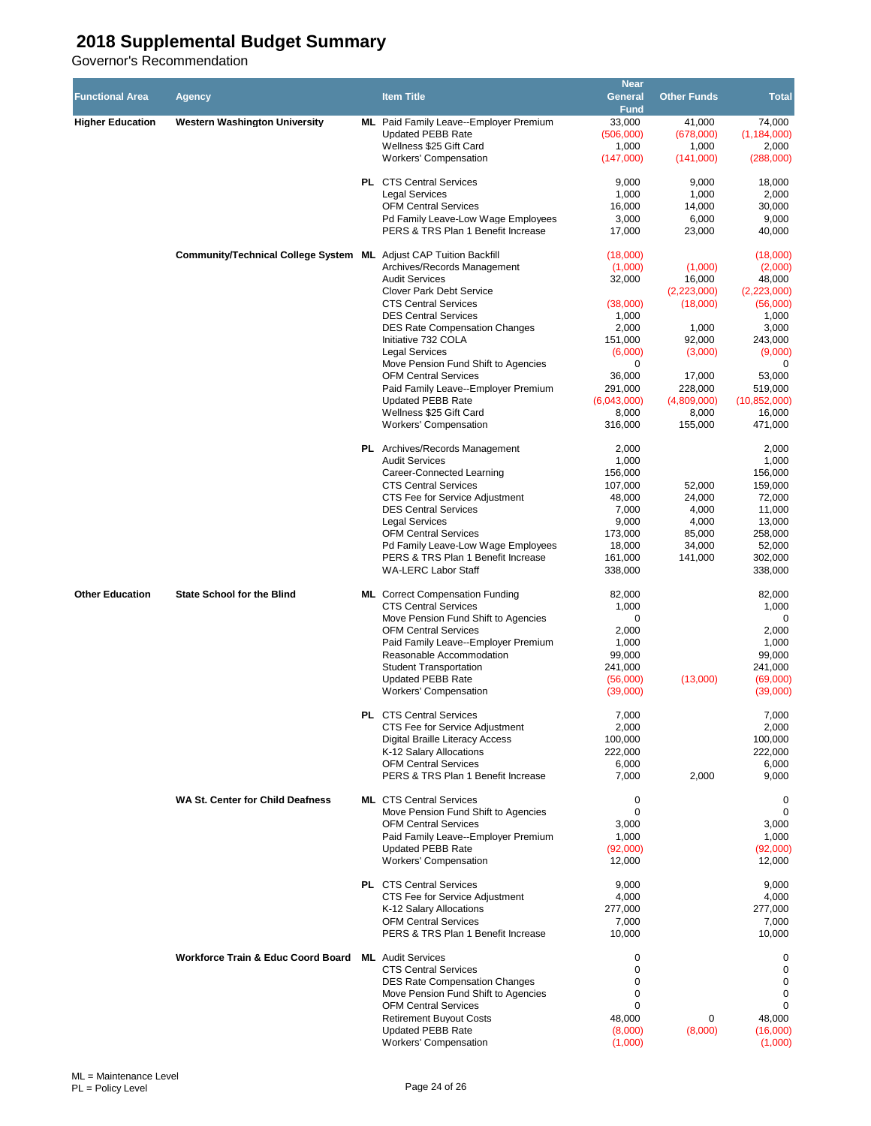| <b>Functional Area</b>  | <b>Agency</b>                                                            | <b>Item Title</b>                                                                                                                                                     | <b>Near</b><br>General                        | <b>Other Funds</b>                 | <b>Total</b>                                                |
|-------------------------|--------------------------------------------------------------------------|-----------------------------------------------------------------------------------------------------------------------------------------------------------------------|-----------------------------------------------|------------------------------------|-------------------------------------------------------------|
| <b>Higher Education</b> | <b>Western Washington University</b>                                     | ML Paid Family Leave--Employer Premium<br><b>Updated PEBB Rate</b><br>Wellness \$25 Gift Card                                                                         | <b>Fund</b><br>33,000<br>(506,000)<br>1,000   | 41,000<br>(678,000)<br>1,000       | 74,000<br>(1, 184, 000)<br>2,000                            |
|                         |                                                                          | <b>Workers' Compensation</b><br><b>PL</b> CTS Central Services<br><b>Legal Services</b>                                                                               | (147,000)<br>9,000<br>1,000                   | (141,000)<br>9,000<br>1,000        | (288,000)<br>18,000<br>2,000                                |
|                         |                                                                          | <b>OFM Central Services</b><br>Pd Family Leave-Low Wage Employees<br>PERS & TRS Plan 1 Benefit Increase                                                               | 16,000<br>3,000<br>17,000                     | 14,000<br>6,000<br>23,000          | 30,000<br>9,000<br>40,000                                   |
|                         | <b>Community/Technical College System ML Adjust CAP Tuition Backfill</b> | Archives/Records Management<br><b>Audit Services</b>                                                                                                                  | (18,000)<br>(1,000)<br>32,000                 | (1,000)<br>16,000                  | (18,000)<br>(2,000)<br>48,000                               |
|                         |                                                                          | <b>Clover Park Debt Service</b><br><b>CTS Central Services</b><br><b>DES Central Services</b>                                                                         | (38,000)<br>1,000                             | (2,223,000)<br>(18,000)            | (2,223,000)<br>(56,000)<br>1,000                            |
|                         |                                                                          | <b>DES Rate Compensation Changes</b><br>Initiative 732 COLA<br><b>Legal Services</b>                                                                                  | 2,000<br>151,000<br>(6,000)                   | 1,000<br>92,000<br>(3,000)         | 3,000<br>243,000<br>(9,000)                                 |
|                         |                                                                          | Move Pension Fund Shift to Agencies<br><b>OFM Central Services</b><br>Paid Family Leave--Employer Premium                                                             | 0<br>36,000<br>291,000                        | 17,000<br>228,000                  | 0<br>53,000<br>519,000                                      |
|                         |                                                                          | <b>Updated PEBB Rate</b><br>Wellness \$25 Gift Card<br><b>Workers' Compensation</b>                                                                                   | (6,043,000)<br>8,000<br>316,000               | (4,809,000)<br>8,000<br>155,000    | (10, 852, 000)<br>16,000<br>471,000                         |
|                         |                                                                          | <b>PL</b> Archives/Records Management<br><b>Audit Services</b><br>Career-Connected Learning                                                                           | 2,000<br>1,000<br>156,000                     |                                    | 2,000<br>1,000<br>156,000                                   |
|                         |                                                                          | <b>CTS Central Services</b><br>CTS Fee for Service Adjustment<br><b>DES Central Services</b><br><b>Legal Services</b>                                                 | 107,000<br>48,000<br>7,000<br>9,000           | 52,000<br>24,000<br>4,000<br>4,000 | 159,000<br>72,000<br>11,000<br>13,000                       |
|                         |                                                                          | <b>OFM Central Services</b><br>Pd Family Leave-Low Wage Employees<br>PERS & TRS Plan 1 Benefit Increase<br><b>WA-LERC Labor Staff</b>                                 | 173,000<br>18,000<br>161,000<br>338,000       | 85,000<br>34,000<br>141,000        | 258,000<br>52,000<br>302,000<br>338,000                     |
| <b>Other Education</b>  | <b>State School for the Blind</b>                                        | <b>ML</b> Correct Compensation Funding<br><b>CTS Central Services</b><br>Move Pension Fund Shift to Agencies                                                          | 82,000<br>1,000<br>0                          |                                    | 82,000<br>1,000<br>0                                        |
|                         |                                                                          | <b>OFM Central Services</b><br>Paid Family Leave--Emplover Premium<br>Reasonable Accommodation<br><b>Student Transportation</b>                                       | 2,000<br>1,000<br>99,000<br>241,000           |                                    | 2,000<br>1,000<br>99,000<br>241,000                         |
|                         |                                                                          | <b>Updated PEBB Rate</b><br><b>Workers' Compensation</b>                                                                                                              | (56,000)<br>(39,000)                          | (13,000)                           | (69,000)<br>(39,000)                                        |
|                         |                                                                          | <b>PL</b> CTS Central Services<br>CTS Fee for Service Adjustment<br>Digital Braille Literacy Access<br>K-12 Salary Allocations<br><b>OFM Central Services</b>         | 7,000<br>2,000<br>100,000<br>222,000<br>6,000 |                                    | 7,000<br>2,000<br>100,000<br>222,000<br>6,000               |
|                         | <b>WA St. Center for Child Deafness</b>                                  | PERS & TRS Plan 1 Benefit Increase<br><b>ML</b> CTS Central Services                                                                                                  | 7,000<br>0                                    | 2,000                              | 9,000<br>$\mathbf 0$                                        |
|                         |                                                                          | Move Pension Fund Shift to Agencies<br><b>OFM Central Services</b><br>Paid Family Leave--Employer Premium<br><b>Updated PEBB Rate</b><br><b>Workers' Compensation</b> | 0<br>3,000<br>1,000<br>(92,000)<br>12,000     |                                    | $\mathbf 0$<br>3,000<br>1,000<br>(92,000)<br>12,000         |
|                         |                                                                          | <b>PL</b> CTS Central Services<br>CTS Fee for Service Adjustment<br>K-12 Salary Allocations<br><b>OFM Central Services</b><br>PERS & TRS Plan 1 Benefit Increase      | 9,000<br>4,000<br>277,000<br>7,000<br>10,000  |                                    | 9,000<br>4,000<br>277,000<br>7,000<br>10,000                |
|                         | Workforce Train & Educ Coord Board ML Audit Services                     | <b>CTS Central Services</b><br><b>DES Rate Compensation Changes</b>                                                                                                   | 0<br>0<br>0                                   |                                    | 0<br>$\mathbf 0$<br>$\mathbf 0$                             |
|                         |                                                                          | Move Pension Fund Shift to Agencies<br><b>OFM Central Services</b><br><b>Retirement Buyout Costs</b><br><b>Updated PEBB Rate</b><br><b>Workers' Compensation</b>      | 0<br>0<br>48,000<br>(8,000)<br>(1,000)        | 0<br>(8,000)                       | $\mathbf 0$<br>$\mathbf 0$<br>48,000<br>(16,000)<br>(1,000) |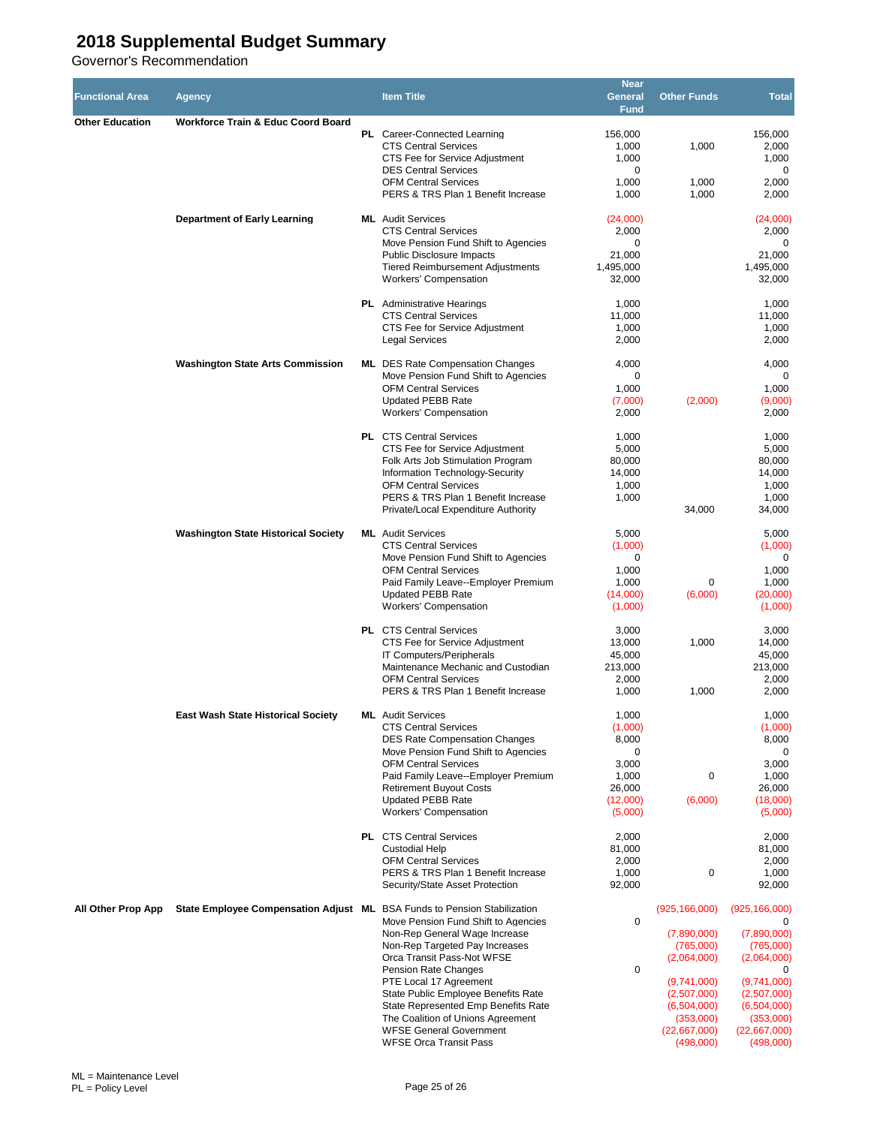| <b>Functional Area</b> | <b>Agency</b>                                                            | <b>Item Title</b>                                                              | <b>Near</b><br>General | <b>Other Funds</b>       | <b>Total</b>             |
|------------------------|--------------------------------------------------------------------------|--------------------------------------------------------------------------------|------------------------|--------------------------|--------------------------|
|                        | <b>Workforce Train &amp; Educ Coord Board</b>                            |                                                                                | <b>Fund</b>            |                          |                          |
| <b>Other Education</b> |                                                                          | <b>PL</b> Career-Connected Learning                                            | 156,000                |                          | 156,000                  |
|                        |                                                                          | <b>CTS Central Services</b>                                                    | 1,000                  | 1,000                    | 2,000                    |
|                        |                                                                          | CTS Fee for Service Adjustment<br><b>DES Central Services</b>                  | 1,000<br>0             |                          | 1,000<br>$\mathbf 0$     |
|                        |                                                                          | <b>OFM Central Services</b>                                                    | 1,000                  | 1,000                    | 2,000                    |
|                        |                                                                          | PERS & TRS Plan 1 Benefit Increase                                             | 1,000                  | 1,000                    | 2,000                    |
|                        | <b>Department of Early Learning</b>                                      | <b>ML</b> Audit Services                                                       | (24,000)               |                          | (24,000)                 |
|                        |                                                                          | <b>CTS Central Services</b>                                                    | 2,000                  |                          | 2,000                    |
|                        |                                                                          | Move Pension Fund Shift to Agencies<br>Public Disclosure Impacts               | 0<br>21,000            |                          | 0<br>21,000              |
|                        |                                                                          | <b>Tiered Reimbursement Adjustments</b>                                        | 1,495,000              |                          | 1,495,000                |
|                        |                                                                          | <b>Workers' Compensation</b>                                                   | 32.000                 |                          | 32,000                   |
|                        |                                                                          | <b>PL</b> Administrative Hearings                                              | 1,000                  |                          | 1,000                    |
|                        |                                                                          | <b>CTS Central Services</b>                                                    | 11,000                 |                          | 11,000                   |
|                        |                                                                          | CTS Fee for Service Adjustment<br><b>Legal Services</b>                        | 1,000<br>2,000         |                          | 1,000<br>2,000           |
|                        |                                                                          |                                                                                |                        |                          |                          |
|                        | <b>Washington State Arts Commission</b>                                  | <b>ML</b> DES Rate Compensation Changes<br>Move Pension Fund Shift to Agencies | 4,000<br>0             |                          | 4,000<br>0               |
|                        |                                                                          | <b>OFM Central Services</b>                                                    | 1,000                  |                          | 1,000                    |
|                        |                                                                          | <b>Updated PEBB Rate</b>                                                       | (7,000)                | (2,000)                  | (9,000)                  |
|                        |                                                                          | <b>Workers' Compensation</b>                                                   | 2,000                  |                          | 2,000                    |
|                        |                                                                          | <b>PL</b> CTS Central Services                                                 | 1,000                  |                          | 1,000                    |
|                        |                                                                          | CTS Fee for Service Adjustment                                                 | 5,000                  |                          | 5,000                    |
|                        |                                                                          | Folk Arts Job Stimulation Program<br>Information Technology-Security           | 80,000<br>14,000       |                          | 80,000<br>14,000         |
|                        |                                                                          | <b>OFM Central Services</b>                                                    | 1,000                  |                          | 1,000                    |
|                        |                                                                          | PERS & TRS Plan 1 Benefit Increase                                             | 1,000                  |                          | 1,000                    |
|                        |                                                                          | Private/Local Expenditure Authority                                            |                        | 34,000                   | 34,000                   |
|                        | <b>Washington State Historical Society</b>                               | <b>ML</b> Audit Services                                                       | 5,000                  |                          | 5,000                    |
|                        |                                                                          | <b>CTS Central Services</b><br>Move Pension Fund Shift to Agencies             | (1,000)<br>0           |                          | (1,000)<br>0             |
|                        |                                                                          | <b>OFM Central Services</b>                                                    | 1,000                  |                          | 1,000                    |
|                        |                                                                          | Paid Family Leave--Employer Premium                                            | 1,000                  | 0                        | 1,000                    |
|                        |                                                                          | <b>Updated PEBB Rate</b>                                                       | (14,000)               | (6,000)                  | (20,000)                 |
|                        |                                                                          | <b>Workers' Compensation</b>                                                   | (1,000)                |                          | (1,000)                  |
|                        |                                                                          | <b>PL</b> CTS Central Services                                                 | 3,000                  |                          | 3,000                    |
|                        |                                                                          | CTS Fee for Service Adjustment<br>IT Computers/Peripherals                     | 13,000<br>45,000       | 1,000                    | 14,000<br>45,000         |
|                        |                                                                          | Maintenance Mechanic and Custodian                                             | 213,000                |                          | 213,000                  |
|                        |                                                                          | <b>OFM Central Services</b>                                                    | 2,000                  |                          | 2,000                    |
|                        |                                                                          | PERS & TRS Plan 1 Benefit Increase                                             | 1,000                  | 1,000                    | 2,000                    |
|                        | <b>East Wash State Historical Society</b>                                | <b>ML</b> Audit Services                                                       | 1,000                  |                          | 1,000                    |
|                        |                                                                          | <b>CTS Central Services</b><br><b>DES Rate Compensation Changes</b>            | (1,000)<br>8,000       |                          | (1,000)<br>8,000         |
|                        |                                                                          | Move Pension Fund Shift to Agencies                                            | 0                      |                          | 0                        |
|                        |                                                                          | <b>OFM Central Services</b>                                                    | 3,000                  |                          | 3,000                    |
|                        |                                                                          | Paid Family Leave--Employer Premium<br><b>Retirement Buyout Costs</b>          | 1,000<br>26,000        | 0                        | 1,000<br>26,000          |
|                        |                                                                          | <b>Updated PEBB Rate</b>                                                       | (12,000)               | (6,000)                  | (18,000)                 |
|                        |                                                                          | <b>Workers' Compensation</b>                                                   | (5,000)                |                          | (5,000)                  |
|                        |                                                                          | <b>PL</b> CTS Central Services                                                 | 2,000                  |                          | 2,000                    |
|                        |                                                                          | <b>Custodial Help</b>                                                          | 81,000                 |                          | 81,000                   |
|                        |                                                                          | <b>OFM Central Services</b><br>PERS & TRS Plan 1 Benefit Increase              | 2,000<br>1,000         | 0                        | 2,000<br>1,000           |
|                        |                                                                          | Security/State Asset Protection                                                | 92,000                 |                          | 92,000                   |
| All Other Prop App     | State Employee Compensation Adjust ML BSA Funds to Pension Stabilization |                                                                                |                        | (925, 166, 000)          | (925, 166, 000)          |
|                        |                                                                          | Move Pension Fund Shift to Agencies                                            | 0                      |                          | $\Omega$                 |
|                        |                                                                          | Non-Rep General Wage Increase                                                  |                        | (7,890,000)              | (7,890,000)              |
|                        |                                                                          | Non-Rep Targeted Pay Increases<br>Orca Transit Pass-Not WFSE                   |                        | (765,000)<br>(2,064,000) | (765,000)<br>(2,064,000) |
|                        |                                                                          | Pension Rate Changes                                                           | 0                      |                          | 0                        |
|                        |                                                                          | PTE Local 17 Agreement                                                         |                        | (9,741,000)              | (9,741,000)              |
|                        |                                                                          | State Public Employee Benefits Rate                                            |                        | (2,507,000)              | (2,507,000)              |
|                        |                                                                          | State Represented Emp Benefits Rate<br>The Coalition of Unions Agreement       |                        | (6,504,000)<br>(353,000) | (6,504,000)<br>(353,000) |
|                        |                                                                          | <b>WFSE General Government</b>                                                 |                        | (22,667,000)             | (22,667,000)             |
|                        |                                                                          | <b>WFSE Orca Transit Pass</b>                                                  |                        | (498,000)                | (498,000)                |